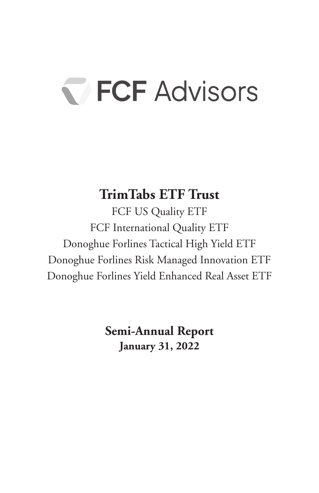# FCF Advisors

### **TrimTabs ETF Trust**

FCF US Quality ETF FCF International Quality ETF Donoghue Forlines Tactical High Yield ETF Donoghue Forlines Risk Managed Innovation ETF Donoghue Forlines Yield Enhanced Real Asset ETF

> **Semi-Annual Report January 31, 2022**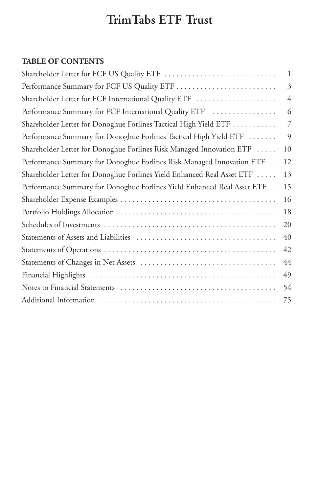### **TABLE OF CONTENTS**

| Shareholder Letter for FCF US Quality ETF                               | $\mathbf{1}$ |
|-------------------------------------------------------------------------|--------------|
| Performance Summary for FCF US Quality ETF                              | 3            |
| Shareholder Letter for FCF International Quality ETF                    | 4            |
| Performance Summary for FCF International Quality ETF                   | 6            |
| Shareholder Letter for Donoghue Forlines Tactical High Yield ETF        | 7            |
| Performance Summary for Donoghue Forlines Tactical High Yield ETF       | 9            |
| Shareholder Letter for Donoghue Forlines Risk Managed Innovation ETF    | 10           |
| Performance Summary for Donoghue Forlines Risk Managed Innovation ETF   | 12           |
| Shareholder Letter for Donoghue Forlines Yield Enhanced Real Asset ETF  | 13           |
| Performance Summary for Donoghue Forlines Yield Enhanced Real Asset ETF | 15           |
|                                                                         | 16           |
|                                                                         | 18           |
|                                                                         | 20           |
|                                                                         | 40           |
|                                                                         | 42           |
|                                                                         | 44           |
|                                                                         | 49           |
|                                                                         | 54           |
|                                                                         | 75           |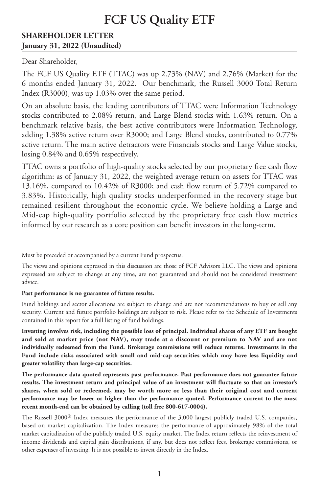#### **SHAREHOLDER LETTER January 31, 2022 (Unaudited)**

Dear Shareholder,

The FCF US Quality ETF (TTAC) was up 2.73% (NAV) and 2.76% (Market) for the 6 months ended January 31, 2022. Our benchmark, the Russell 3000 Total Return Index (R3000), was up 1.03% over the same period.

On an absolute basis, the leading contributors of TTAC were Information Technology stocks contributed to 2.08% return, and Large Blend stocks with 1.63% return. On a benchmark relative basis, the best active contributors were Information Technology, adding 1.38% active return over R3000; and Large Blend stocks, contributed to 0.77% active return. The main active detractors were Financials stocks and Large Value stocks, losing 0.84% and 0.65% respectively.

TTAC owns a portfolio of high-quality stocks selected by our proprietary free cash flow algorithm: as of January 31, 2022, the weighted average return on assets for TTAC was 13.16%, compared to 10.42% of R3000; and cash flow return of 5.72% compared to 3.83%. Historically, high quality stocks underperformed in the recovery stage but remained resilient throughout the economic cycle. We believe holding a Large and Mid-cap high-quality portfolio selected by the proprietary free cash flow metrics informed by our research as a core position can benefit investors in the long-term.

Must be preceded or accompanied by a current Fund prospectus.

The views and opinions expressed in this discussion are those of FCF Advisors LLC. The views and opinions expressed are subject to change at any time, are not guaranteed and should not be considered investment advice.

#### **Past performance is no guarantee of future results.**

Fund holdings and sector allocations are subject to change and are not recommendations to buy or sell any security. Current and future portfolio holdings are subject to risk. Please refer to the Schedule of Investments contained in this report for a full listing of fund holdings.

**Investing involves risk, including the possible loss of principal. Individual shares of any ETF are bought and sold at market price (not NAV), may trade at a discount or premium to NAV and are not individually redeemed from the Fund. Brokerage commissions will reduce returns. Investments in the Fund include risks associated with small and mid-cap securities which may have less liquidity and greater volatility than large-cap securities.**

**The performance data quoted represents past performance. Past performance does not guarantee future results. The investment return and principal value of an investment will fluctuate so that an investor's shares, when sold or redeemed, may be worth more or less than their original cost and current performance may be lower or higher than the performance quoted. Performance current to the most recent month-end can be obtained by calling (toll free 800-617-0004).**

The Russell 3000® Index measures the performance of the 3,000 largest publicly traded U.S. companies, based on market capitalization. The Index measures the performance of approximately 98% of the total market capitalization of the publicly traded U.S. equity market. The Index return reflects the reinvestment of income dividends and capital gain distributions, if any, but does not reflect fees, brokerage commissions, or other expenses of investing. It is not possible to invest directly in the Index.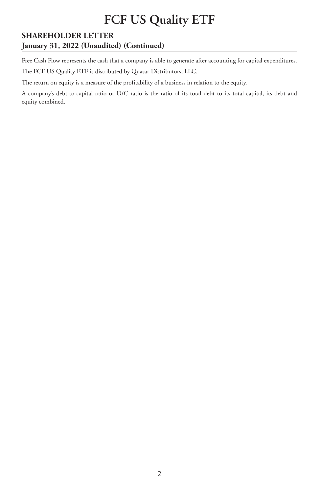#### **SHAREHOLDER LETTER January 31, 2022 (Unaudited) (Continued)**

Free Cash Flow represents the cash that a company is able to generate after accounting for capital expenditures. The FCF US Quality ETF is distributed by Quasar Distributors, LLC.

The return on equity is a measure of the profitability of a business in relation to the equity.

A company's debt-to-capital ratio or D/C ratio is the ratio of its total debt to its total capital, its debt and equity combined.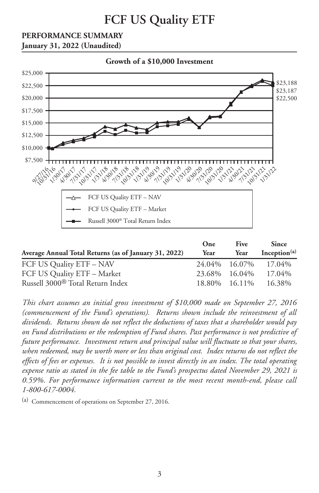### **PERFORMANCE SUMMARY**





|                                                       | One  | <b>Five</b>   | <b>Since</b>         |
|-------------------------------------------------------|------|---------------|----------------------|
| Average Annual Total Returns (as of January 31, 2022) | Year | Year          | Inception $(a)$      |
| FCF US Quality ETF - NAV                              |      |               | 24.04% 16.07% 17.04% |
| FCF US Quality ETF - Market                           |      | 23.68% 16.04% | 17.04%               |
| Russell 3000 <sup>®</sup> Total Return Index          |      | 18.80% 16.11% | 16.38%               |

*This chart assumes an initial gross investment of \$10,000 made on September 27, 2016 (commencement of the Fund's operations). Returns shown include the reinvestment of all dividends. Returns shown do not reflect the deductions of taxes that a shareholder would pay on Fund distributions or the redemption of Fund shares. Past performance is not predictive of future performance. Investment return and principal value will fluctuate so that your shares, when redeemed, may be worth more or less than original cost. Index returns do not reflect the* effects of fees or expenses. It is not possible to invest directly in an index. The total operating *expense ratio as stated in the fee table to the Fund's prospectus dated November 29, 2021 is 0.59%. For performance information current to the most recent month-end, please call 1-800-617-0004.*

(a) Commencement of operations on September 27, 2016.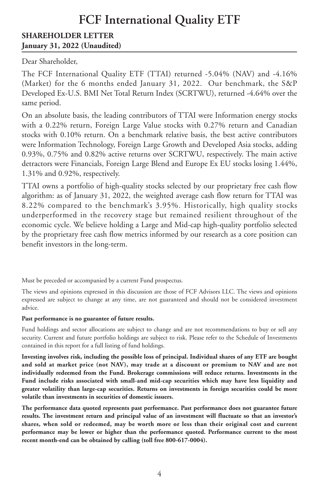#### **SHAREHOLDER LETTER January 31, 2022 (Unaudited)**

Dear Shareholder,

The FCF International Quality ETF (TTAI) returned -5.04% (NAV) and -4.16% (Market) for the 6 months ended January 31, 2022. Our benchmark, the S&P Developed Ex-U.S. BMI Net Total Return Index (SCRTWU), returned -4.64% over the same period.

On an absolute basis, the leading contributors of TTAI were Information energy stocks with a 0.22% return, Foreign Large Value stocks with 0.27% return and Canadian stocks with 0.10% return. On a benchmark relative basis, the best active contributors were Information Technology, Foreign Large Growth and Developed Asia stocks, adding 0.93%, 0.75% and 0.82% active returns over SCRTWU, respectively. The main active detractors were Financials, Foreign Large Blend and Europe Ex EU stocks losing 1.44%, 1.31% and 0.92%, respectively.

TTAI owns a portfolio of high-quality stocks selected by our proprietary free cash flow algorithm: as of January 31, 2022, the weighted average cash flow return for TTAI was 8.22% compared to the benchmark's 3.95%. Historically, high quality stocks underperformed in the recovery stage but remained resilient throughout of the economic cycle. We believe holding a Large and Mid-cap high-quality portfolio selected by the proprietary free cash flow metrics informed by our research as a core position can benefit investors in the long-term.

Must be preceded or accompanied by a current Fund prospectus.

The views and opinions expressed in this discussion are those of FCF Advisors LLC. The views and opinions expressed are subject to change at any time, are not guaranteed and should not be considered investment advice.

#### **Past performance is no guarantee of future results.**

Fund holdings and sector allocations are subject to change and are not recommendations to buy or sell any security. Current and future portfolio holdings are subject to risk. Please refer to the Schedule of Investments contained in this report for a full listing of fund holdings.

**Investing involves risk, including the possible loss of principal. Individual shares of any ETF are bought and sold at market price (not NAV), may trade at a discount or premium to NAV and are not individually redeemed from the Fund. Brokerage commissions will reduce returns. Investments in the Fund include risks associated with small-and mid-cap securities which may have less liquidity and greater volatility than large-cap securities. Returns on investments in foreign securities could be more volatile than investments in securities of domestic issuers.**

**The performance data quoted represents past performance. Past performance does not guarantee future results. The investment return and principal value of an investment will fluctuate so that an investor's shares, when sold or redeemed, may be worth more or less than their original cost and current performance may be lower or higher than the performance quoted. Performance current to the most recent month-end can be obtained by calling (toll free 800-617-0004).**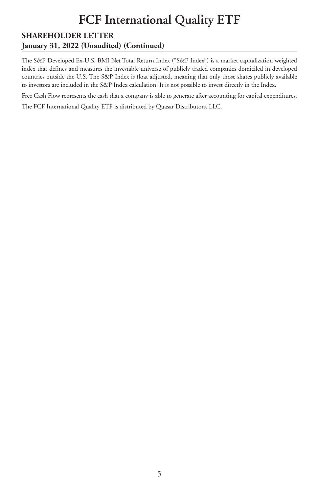#### **SHAREHOLDER LETTER January 31, 2022 (Unaudited) (Continued)**

The S&P Developed Ex-U.S. BMI Net Total Return Index ("S&P Index") is a market capitalization weighted index that defines and measures the investable universe of publicly traded companies domiciled in developed countries outside the U.S. The S&P Index is float adjusted, meaning that only those shares publicly available to investors are included in the S&P Index calculation. It is not possible to invest directly in the Index.

Free Cash Flow represents the cash that a company is able to generate after accounting for capital expenditures.

The FCF International Quality ETF is distributed by Quasar Distributors, LLC.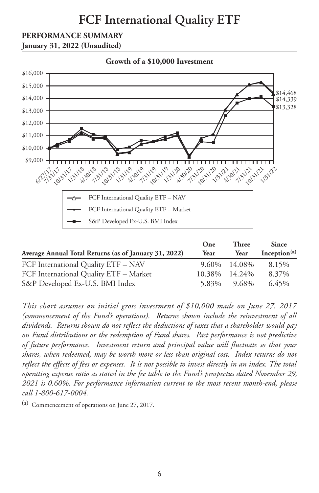#### **PERFORMANCE SUMMARY**





| Average Annual Total Returns (as of January 31, 2022) | One<br>Year | <b>Three</b><br>Year | <b>Since</b><br>Inception <sup>(a)</sup> |
|-------------------------------------------------------|-------------|----------------------|------------------------------------------|
| FCF International Quality ETF - NAV                   | 9.60%       | 14.08%               | 8.15%                                    |
| FCF International Quality ETF - Market                | 10.38%      | 14.24%               | 8.37%                                    |
| S&P Developed Ex-U.S. BMI Index                       | 5.83%       | 9.68%                | $6.45\%$                                 |

*This chart assumes an initial gross investment of \$10,000 made on June 27, 2017 (commencement of the Fund's operations). Returns shown include the reinvestment of all dividends. Returns shown do not reflect the deductions of taxes that a shareholder would pay on Fund distributions or the redemption of Fund shares. Past performance is not predictive of future performance. Investment return and principal value will fluctuate so that your shares, when redeemed, may be worth more or less than original cost. Index returns do not* reflect the effects of fees or expenses. It is not possible to invest directly in an index. The total *operating expense ratio as stated in the fee table to the Fund's prospectus dated November 29, 2021 is 0.60%. For performance information current to the most recent month-end, please call 1-800-617-0004.*

(a) Commencement of operations on June 27, 2017.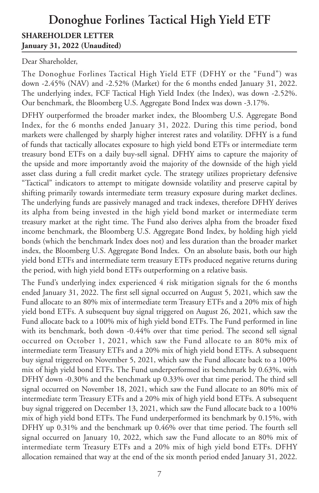### **Donoghue Forlines Tactical High Yield ETF SHAREHOLDER LETTER January 31, 2022 (Unaudited)**

Dear Shareholder,

The Donoghue Forlines Tactical High Yield ETF (DFHY or the "Fund") was down -2.45% (NAV) and -2.52% (Market) for the 6 months ended January 31, 2022. The underlying index, FCF Tactical High Yield Index (the Index), was down -2.52%. Our benchmark, the Bloomberg U.S. Aggregate Bond Index was down -3.17%.

DFHY outperformed the broader market index, the Bloomberg U.S. Aggregate Bond Index, for the 6 months ended January 31, 2022. During this time period, bond markets were challenged by sharply higher interest rates and volatility. DFHY is a fund of funds that tactically allocates exposure to high yield bond ETFs or intermediate term treasury bond ETFs on a daily buy-sell signal. DFHY aims to capture the majority of the upside and more importantly avoid the majority of the downside of the high yield asset class during a full credit market cycle. The strategy utilizes proprietary defensive "Tactical" indicators to attempt to mitigate downside volatility and preserve capital by shifting primarily towards intermediate term treasury exposure during market declines. The underlying funds are passively managed and track indexes, therefore DFHY derives its alpha from being invested in the high yield bond market or intermediate term treasury market at the right time. The Fund also derives alpha from the broader fixed income benchmark, the Bloomberg U.S. Aggregate Bond Index, by holding high yield bonds (which the benchmark Index does not) and less duration than the broader market index, the Bloomberg U.S. Aggregate Bond Index. On an absolute basis, both our high yield bond ETFs and intermediate term treasury ETFs produced negative returns during the period, with high yield bond ETFs outperforming on a relative basis.

The Fund's underlying index experienced 4 risk mitigation signals for the 6 months ended January 31, 2022. The first sell signal occurred on August 5, 2021, which saw the Fund allocate to an 80% mix of intermediate term Treasury ETFs and a 20% mix of high yield bond ETFs. A subsequent buy signal triggered on August 26, 2021, which saw the Fund allocate back to a 100% mix of high yield bond ETFs. The Fund performed in line with its benchmark, both down -0.44% over that time period. The second sell signal occurred on October 1, 2021, which saw the Fund allocate to an 80% mix of intermediate term Treasury ETFs and a 20% mix of high yield bond ETFs. A subsequent buy signal triggered on November 5, 2021, which saw the Fund allocate back to a 100% mix of high yield bond ETFs. The Fund underperformed its benchmark by 0.63%, with DFHY down -0.30% and the benchmark up 0.33% over that time period. The third sell signal occurred on November 18, 2021, which saw the Fund allocate to an 80% mix of intermediate term Treasury ETFs and a 20% mix of high yield bond ETFs. A subsequent buy signal triggered on December 13, 2021, which saw the Fund allocate back to a 100% mix of high yield bond ETFs. The Fund underperformed its benchmark by 0.15%, with DFHY up 0.31% and the benchmark up 0.46% over that time period. The fourth sell signal occurred on January 10, 2022, which saw the Fund allocate to an 80% mix of intermediate term Treasury ETFs and a 20% mix of high yield bond ETFs. DFHY allocation remained that way at the end of the six month period ended January 31, 2022.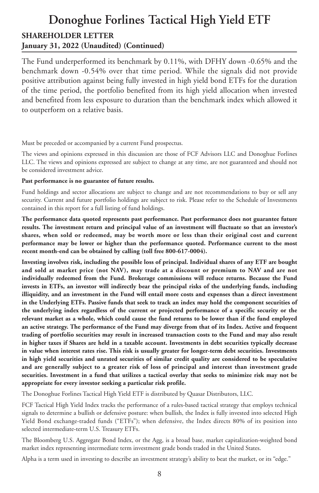### **Donoghue Forlines Tactical High Yield ETF SHAREHOLDER LETTER January 31, 2022 (Unaudited) (Continued)**

The Fund underperformed its benchmark by 0.11%, with DFHY down -0.65% and the benchmark down -0.54% over that time period. While the signals did not provide positive attribution against being fully invested in high yield bond ETFs for the duration of the time period, the portfolio benefited from its high yield allocation when invested and benefited from less exposure to duration than the benchmark index which allowed it to outperform on a relative basis.

Must be preceded or accompanied by a current Fund prospectus.

The views and opinions expressed in this discussion are those of FCF Advisors LLC and Donoghue Forlines LLC. The views and opinions expressed are subject to change at any time, are not guaranteed and should not be considered investment advice.

#### **Past performance is no guarantee of future results.**

Fund holdings and sector allocations are subject to change and are not recommendations to buy or sell any security. Current and future portfolio holdings are subject to risk. Please refer to the Schedule of Investments contained in this report for a full listing of fund holdings.

**The performance data quoted represents past performance. Past performance does not guarantee future results. The investment return and principal value of an investment will fluctuate so that an investor's shares, when sold or redeemed, may be worth more or less than their original cost and current performance may be lower or higher than the performance quoted. Performance current to the most recent month-end can be obtained by calling (toll free 800-617-0004).**

**Investing involves risk, including the possible loss of principal. Individual shares of any ETF are bought and sold at market price (not NAV), may trade at a discount or premium to NAV and are not individually redeemed from the Fund. Brokerage commissions will reduce returns. Because the Fund invests in ETFs, an investor will indirectly bear the principal risks of the underlying funds, including illiquidity, and an investment in the Fund will entail more costs and expenses than a direct investment** in the Underlying ETFs. Passive funds that seek to track an index may hold the component securities of **the underlying index regardless of the current or projected performance of a specific security or the** relevant market as a whole, which could cause the fund returns to be lower than if the fund employed an active strategy. The performance of the Fund may diverge from that of its Index. Active and frequent **trading of portfolio securities may result in increased transaction costs to the Fund and may also result** in higher taxes if Shares are held in a taxable account. Investments in debt securities typically decrease **in value when interest rates rise. This risk is usually greater for longer-term debt securities. Investments in high yield securities and unrated securities of similar credit quality are considered to be speculative and are generally subject to a greater risk of loss of principal and interest than investment grade** securities. Investment in a fund that utilizes a tactical overlay that seeks to minimize risk may not be **appropriate for every investor seeking a particular risk profile.**

The Donoghue Forlines Tactical High Yield ETF is distributed by Quasar Distributors, LLC.

FCF Tactical High Yield Index tracks the performance of a rules-based tactical strategy that employs technical signals to determine a bullish or defensive posture: when bullish, the Index is fully invested into selected High Yield Bond exchange-traded funds ("ETFs"); when defensive, the Index directs 80% of its position into selected intermediate-term U.S. Treasury ETFs.

The Bloomberg U.S. Aggregate Bond Index, or the Agg, is a broad base, market capitalization-weighted bond market index representing intermediate term investment grade bonds traded in the United States.

Alpha is a term used in investing to describe an investment strategy's ability to beat the market, or its "edge."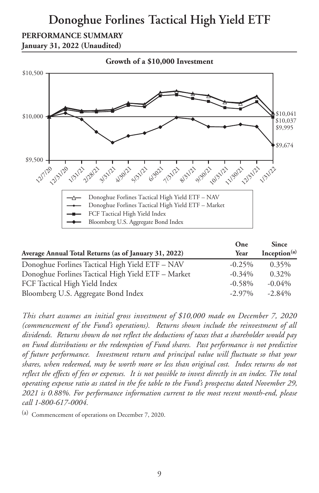### **Donoghue Forlines Tactical High Yield ETF**

### **PERFORMANCE SUMMARY**

**January 31, 2022 (Unaudited)**



|                                                       | One       | <b>Since</b>             |
|-------------------------------------------------------|-----------|--------------------------|
| Average Annual Total Returns (as of January 31, 2022) | Year      | Inception <sup>(a)</sup> |
| Donoghue Forlines Tactical High Yield ETF - NAV       | $-0.25%$  | 0.35%                    |
| Donoghue Forlines Tactical High Yield ETF - Market    | $-0.34\%$ | 0.32%                    |
| FCF Tactical High Yield Index                         | $-0.58\%$ | $-0.04\%$                |
| Bloomberg U.S. Aggregate Bond Index                   | $-2.97\%$ | $-2.84%$                 |

*This chart assumes an initial gross investment of \$10,000 made on December 7, 2020 (commencement of the Fund's operations). Returns shown include the reinvestment of all dividends. Returns shown do not reflect the deductions of taxes that a shareholder would pay on Fund distributions or the redemption of Fund shares. Past performance is not predictive of future performance. Investment return and principal value will fluctuate so that your shares, when redeemed, may be worth more or less than original cost. Index returns do not* reflect the effects of fees or expenses. It is not possible to invest directly in an index. The total *operating expense ratio as stated in the fee table to the Fund's prospectus dated November 29, 2021 is 0.88%. For performance information current to the most recent month-end, please call 1-800-617-0004.*

(a) Commencement of operations on December 7, 2020.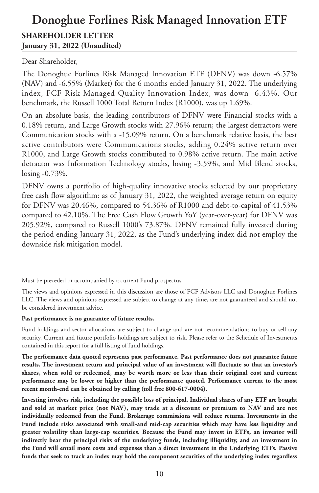### **Donoghue Forlines Risk Managed Innovation ETF SHAREHOLDER LETTER January 31, 2022 (Unaudited)**

Dear Shareholder,

The Donoghue Forlines Risk Managed Innovation ETF (DFNV) was down -6.57% (NAV) and -6.55% (Market) for the 6 months ended January 31, 2022. The underlying index, FCF Risk Managed Quality Innovation Index, was down -6.43%. Our benchmark, the Russell 1000 Total Return Index (R1000), was up 1.69%.

On an absolute basis, the leading contributors of DFNV were Financial stocks with a 0.18% return, and Large Growth stocks with 27.96% return; the largest detractors were Communication stocks with a -15.09% return. On a benchmark relative basis, the best active contributors were Communications stocks, adding 0.24% active return over R1000, and Large Growth stocks contributed to 0.98% active return. The main active detractor was Information Technology stocks, losing -3.59%, and Mid Blend stocks, losing -0.73%.

DFNV owns a portfolio of high-quality innovative stocks selected by our proprietary free cash flow algorithm: as of January 31, 2022, the weighted average return on equity for DFNV was 20.46%, compared to 54.36% of R1000 and debt-to-capital of 41.53% compared to 42.10%. The Free Cash Flow Growth YoY (year-over-year) for DFNV was 205.92%, compared to Russell 1000's 73.87%. DFNV remained fully invested during the period ending January 31, 2022, as the Fund's underlying index did not employ the downside risk mitigation model.

Must be preceded or accompanied by a current Fund prospectus.

The views and opinions expressed in this discussion are those of FCF Advisors LLC and Donoghue Forlines LLC. The views and opinions expressed are subject to change at any time, are not guaranteed and should not be considered investment advice.

#### **Past performance is no guarantee of future results.**

Fund holdings and sector allocations are subject to change and are not recommendations to buy or sell any security. Current and future portfolio holdings are subject to risk. Please refer to the Schedule of Investments contained in this report for a full listing of fund holdings.

**The performance data quoted represents past performance. Past performance does not guarantee future results. The investment return and principal value of an investment will fluctuate so that an investor's shares, when sold or redeemed, may be worth more or less than their original cost and current performance may be lower or higher than the performance quoted. Performance current to the most recent month-end can be obtained by calling (toll free 800-617-0004).**

**Investing involves risk, including the possible loss of principal. Individual shares of any ETF are bought and sold at market price (not NAV), may trade at a discount or premium to NAV and are not individually redeemed from the Fund. Brokerage commissions will reduce returns. Investments in the Fund include risks associated with small-and mid-cap securities which may have less liquidity and greater volatility than large-cap securities. Because the Fund may invest in ETFs, an investor will indirectly bear the principal risks of the underlying funds, including illiquidity, and an investment in the Fund will entail more costs and expenses than a direct investment in the Underlying ETFs. Passive funds that seek to track an index may hold the component securities of the underlying index regardless**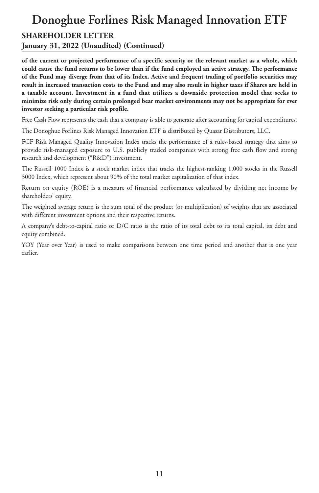#### **SHAREHOLDER LETTER**

**January 31, 2022 (Unaudited) (Continued)**

of the current or projected performance of a specific security or the relevant market as a whole, which could cause the fund returns to be lower than if the fund employed an active strategy. The performance of the Fund may diverge from that of its Index. Active and frequent trading of portfolio securities may result in increased transaction costs to the Fund and may also result in higher taxes if Shares are held in **a taxable account. Investment in a fund that utilizes a downside protection model that seeks to minimize risk only during certain prolonged bear market environments may not be appropriate for ever investor seeking a particular risk profile.**

Free Cash Flow represents the cash that a company is able to generate after accounting for capital expenditures.

The Donoghue Forlines Risk Managed Innovation ETF is distributed by Quasar Distributors, LLC.

FCF Risk Managed Quality Innovation Index tracks the performance of a rules-based strategy that aims to provide risk-managed exposure to U.S. publicly traded companies with strong free cash flow and strong research and development ("R&D") investment.

The Russell 1000 Index is a stock market index that tracks the highest-ranking 1,000 stocks in the Russell 3000 Index, which represent about 90% of the total market capitalization of that index.

Return on equity (ROE) is a measure of financial performance calculated by dividing net income by shareholders' equity.

The weighted average return is the sum total of the product (or multiplication) of weights that are associated with different investment options and their respective returns.

A company's debt-to-capital ratio or D/C ratio is the ratio of its total debt to its total capital, its debt and equity combined.

YOY (Year over Year) is used to make comparisons between one time period and another that is one year earlier.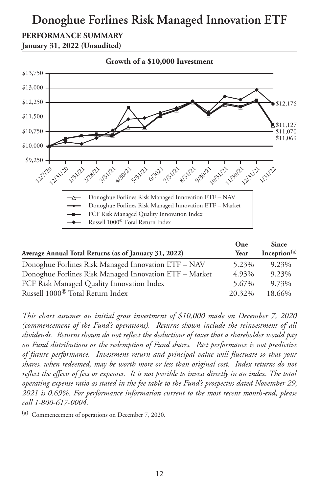### **PERFORMANCE SUMMARY**

**January 31, 2022 (Unaudited)**



| Average Annual Total Returns (as of January 31, 2022)  | One<br>Year | <b>Since</b><br>Inception <sup>(a)</sup> |
|--------------------------------------------------------|-------------|------------------------------------------|
| Donoghue Forlines Risk Managed Innovation ETF – NAV    | 5.23%       | 9.23%                                    |
| Donoghue Forlines Risk Managed Innovation ETF - Market | 4.93%       | 9.23%                                    |
| FCF Risk Managed Quality Innovation Index              | 5.67%       | 9.73%                                    |
| Russell 1000 <sup>®</sup> Total Return Index           | 20.32%      | 18.66%                                   |

*This chart assumes an initial gross investment of \$10,000 made on December 7, 2020 (commencement of the Fund's operations). Returns shown include the reinvestment of all dividends. Returns shown do not reflect the deductions of taxes that a shareholder would pay on Fund distributions or the redemption of Fund shares. Past performance is not predictive of future performance. Investment return and principal value will fluctuate so that your shares, when redeemed, may be worth more or less than original cost. Index returns do not* reflect the effects of fees or expenses. It is not possible to invest directly in an index. The total *operating expense ratio as stated in the fee table to the Fund's prospectus dated November 29, 2021 is 0.69%. For performance information current to the most recent month-end, please call 1-800-617-0004.*

(a) Commencement of operations on December 7, 2020.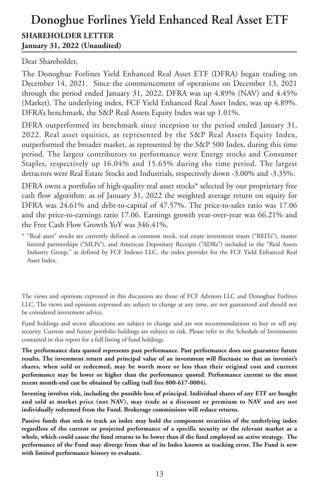### **Donoghue Forlines Yield Enhanced Real Asset ETF SHAREHOLDER LETTER January 31, 2022 (Unaudited)**

Dear Shareholder,

The Donoghue Forlines Yield Enhanced Real Asset ETF (DFRA) began trading on December 14, 2021. Since the commencement of operations on December 13, 2021 through the period ended January 31, 2022, DFRA was up 4.89% (NAV) and 4.45% (Market). The underlying index, FCF Yield Enhanced Real Asset Index, was up 4.89%. DFRA's benchmark, the S&P Real Assets Equity Index was up 1.01%.

DFRA outperformed its benchmark since inception to the period ended January 31, 2022. Real asset equities, as represented by the S&P Real Assets Equity Index, outperformed the broader market, as represented by the S&P 500 Index, during this time period. The largest contributors to performance were Energy stocks and Consumer Staples, respectively up 16.04% and 15.65% during the time period. The largest detractors were Real Estate Stocks and Industrials, respectively down -3.00% and -3.35%.

DFRA owns a portfolio of high-quality real asset stocks\* selected by our proprietary free cash flow algorithm: as of January 31, 2022 the weighted average return on equity for DFRA was 24.61% and debt-to-capital of 47.57%. The price-to-sales ratio was 17.06 and the price-to-earnings ratio 17.06. Earnings growth year-over-year was 66.21% and the Free Cash Flow Growth YoY was 346.41%.

\* "Real asset" stocks are currently defined as common stock, real estate investment trusts ("REITs"), master limited partnerships ("MLPs"), and American Depositary Receipts ("ADRs") included in the "Real Assets Industry Group," as defined by FCF Indexes LLC, the index provider for the FCF Yield Enhanced Real Asset Index.

The views and opinions expressed in this discussion are those of FCF Advisors LLC and Donoghue Forlines LLC. The views and opinions expressed are subject to change at any time, are not guaranteed and should not be considered investment advice.

Fund holdings and sector allocations are subject to change and are not recommendations to buy or sell any security. Current and future portfolio holdings are subject to risk. Please refer to the Schedule of Investments contained in this report for a full listing of fund holdings.

**The performance data quoted represents past performance. Past performance does not guarantee future results. The investment return and principal value of an investment will fluctuate so that an investor's shares, when sold or redeemed, may be worth more or less than their original cost and current performance may be lower or higher than the performance quoted. Performance current to the most recent month-end can be obtained by calling (toll free 800-617-0004).**

**Investing involves risk, including the possible loss of principal. Individual shares of any ETF are bought and sold at market price (not NAV), may trade at a discount or premium to NAV and are not individually redeemed from the Fund. Brokerage commissions will reduce returns.**

**Passive funds that seek to track an index may hold the component securities of the underlying index regardless of the current or projected performance of a specific security or the relevant market as a** whole, which could cause the fund returns to be lower than if the fund employed an active strategy. The performance of the Fund may diverge from that of its Index known as tracking error. The Fund is new **with limited performance history to evaluate.**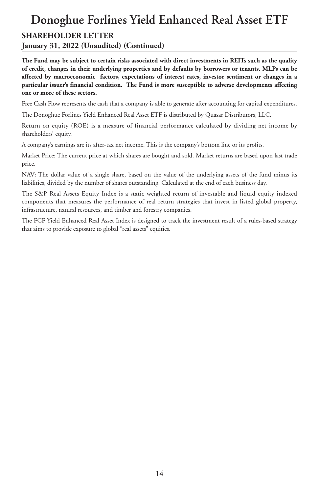# **Donoghue Forlines Yield Enhanced Real Asset ETF**

#### **SHAREHOLDER LETTER**

**January 31, 2022 (Unaudited) (Continued)**

The Fund may be subject to certain risks associated with direct investments in REITs such as the quality **of credit, changes in their underlying properties and by defaults by borrowers or tenants. MLPs can be affected by macroeconomic factors, expectations of interest rates, investor sentiment or changes in a particular issuer's financial condition. The Fund is more susceptible to adverse developments affecting one or more of these sectors.**

Free Cash Flow represents the cash that a company is able to generate after accounting for capital expenditures.

The Donoghue Forlines Yield Enhanced Real Asset ETF is distributed by Quasar Distributors, LLC.

Return on equity (ROE) is a measure of financial performance calculated by dividing net income by shareholders' equity.

A company's earnings are its after-tax net income. This is the company's bottom line or its profits.

Market Price: The current price at which shares are bought and sold. Market returns are based upon last trade price.

NAV: The dollar value of a single share, based on the value of the underlying assets of the fund minus its liabilities, divided by the number of shares outstanding. Calculated at the end of each business day.

The S&P Real Assets Equity Index is a static weighted return of investable and liquid equity indexed components that measures the performance of real return strategies that invest in listed global property, infrastructure, natural resources, and timber and forestry companies.

The FCF Yield Enhanced Real Asset Index is designed to track the investment result of a rules-based strategy that aims to provide exposure to global "real assets" equities.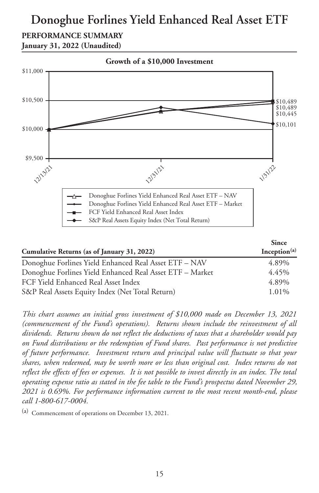### **Donoghue Forlines Yield Enhanced Real Asset ETF**

### **PERFORMANCE SUMMARY**

**January 31, 2022 (Unaudited)**



|                                                          | <b>Since</b>    |
|----------------------------------------------------------|-----------------|
| Cumulative Returns (as of January 31, 2022)              | Inception $(a)$ |
| Donoghue Forlines Yield Enhanced Real Asset ETF - NAV    | 4.89%           |
| Donoghue Forlines Yield Enhanced Real Asset ETF - Market | 4.45%           |
| FCF Yield Enhanced Real Asset Index                      | 4.89%           |
| S&P Real Assets Equity Index (Net Total Return)          | 1.01%           |

*This chart assumes an initial gross investment of \$10,000 made on December 13, 2021 (commencement of the Fund's operations). Returns shown include the reinvestment of all dividends. Returns shown do not reflect the deductions of taxes that a shareholder would pay on Fund distributions or the redemption of Fund shares. Past performance is not predictive of future performance. Investment return and principal value will fluctuate so that your shares, when redeemed, may be worth more or less than original cost. Index returns do not* reflect the effects of fees or expenses. It is not possible to invest directly in an index. The total *operating expense ratio as stated in the fee table to the Fund's prospectus dated November 29, 2021 is 0.69%. For performance information current to the most recent month-end, please call 1-800-617-0004.*

(a) Commencement of operations on December 13, 2021.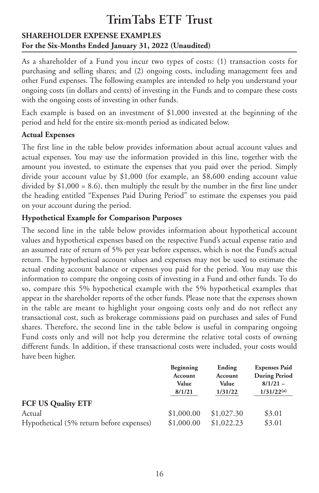#### **SHAREHOLDER EXPENSE EXAMPLES For the Six-Months Ended January 31, 2022 (Unaudited)**

As a shareholder of a Fund you incur two types of costs: (1) transaction costs for purchasing and selling shares; and (2) ongoing costs, including management fees and other Fund expenses. The following examples are intended to help you understand your ongoing costs (in dollars and cents) of investing in the Funds and to compare these costs with the ongoing costs of investing in other funds.

Each example is based on an investment of \$1,000 invested at the beginning of the period and held for the entire six-month period as indicated below.

#### **Actual Expenses**

The first line in the table below provides information about actual account values and actual expenses. You may use the information provided in this line, together with the amount you invested, to estimate the expenses that you paid over the period. Simply divide your account value by \$1,000 (for example, an \$8,600 ending account value divided by \$1,000 = 8.6), then multiply the result by the number in the first line under the heading entitled "Expenses Paid During Period" to estimate the expenses you paid on your account during the period.

#### **Hypothetical Example for Comparison Purposes**

The second line in the table below provides information about hypothetical account values and hypothetical expenses based on the respective Fund's actual expense ratio and an assumed rate of return of 5% per year before expenses, which is not the Fund's actual return. The hypothetical account values and expenses may not be used to estimate the actual ending account balance or expenses you paid for the period. You may use this information to compare the ongoing costs of investing in a Fund and other funds. To do so, compare this 5% hypothetical example with the 5% hypothetical examples that appear in the shareholder reports of the other funds. Please note that the expenses shown in the table are meant to highlight your ongoing costs only and do not reflect any transactional cost, such as brokerage commissions paid on purchases and sales of Fund shares. Therefore, the second line in the table below is useful in comparing ongoing Fund costs only and will not help you determine the relative total costs of owning different funds. In addition, if these transactional costs were included, your costs would have been higher.

|                                          | Beginning  | Ending     | <b>Expenses Paid</b> |
|------------------------------------------|------------|------------|----------------------|
|                                          | Account    | Account    | <b>During Period</b> |
|                                          | Value      | Value      | $8/1/21 -$           |
|                                          | 8/1/21     | 1/31/22    | $1/31/22^{(a)}$      |
| <b>FCF US Quality ETF</b>                |            |            |                      |
| Actual                                   | \$1,000.00 | \$1,027.30 | \$3.01               |
| Hypothetical (5% return before expenses) | \$1,000.00 | \$1,022.23 | \$3.01               |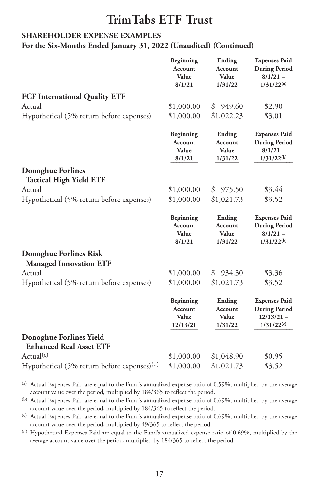#### **SHAREHOLDER EXPENSE EXAMPLES**

**For the Six-Months Ended January 31, 2022 (Unaudited) (Continued)**

|                                                           | Beginning<br>Account<br>Value<br>8/1/21          | Ending<br>Account<br>Value<br>1/31/22 | <b>Expenses Paid</b><br><b>During Period</b><br>$8/1/21 -$<br>$1/31/22^{(a)}$   |
|-----------------------------------------------------------|--------------------------------------------------|---------------------------------------|---------------------------------------------------------------------------------|
| <b>FCF International Quality ETF</b>                      |                                                  |                                       |                                                                                 |
| Actual                                                    | \$1,000.00                                       | 949.60<br>\$                          | \$2.90                                                                          |
| Hypothetical (5% return before expenses)                  | \$1,000.00                                       | \$1,022.23                            | \$3.01                                                                          |
|                                                           | Beginning<br>Account<br>Value<br>8/1/21          | Ending<br>Account<br>Value<br>1/31/22 | <b>Expenses Paid</b><br><b>During Period</b><br>$8/1/21 -$<br>$1/31/22^{(b)}$   |
| <b>Donoghue Forlines</b>                                  |                                                  |                                       |                                                                                 |
| <b>Tactical High Yield ETF</b>                            |                                                  |                                       |                                                                                 |
| Actual                                                    | \$1,000.00                                       | 975.50<br>\$                          | \$3.44                                                                          |
| Hypothetical (5% return before expenses)                  | \$1,000.00                                       | \$1,021.73                            | \$3.52                                                                          |
|                                                           | Beginning<br><b>Account</b><br>Value<br>8/1/21   | Ending<br>Account<br>Value<br>1/31/22 | <b>Expenses Paid</b><br><b>During Period</b><br>$8/1/21 -$<br>$1/31/22^{(b)}$   |
|                                                           |                                                  |                                       |                                                                                 |
| Donoghue Forlines Risk                                    |                                                  |                                       |                                                                                 |
| <b>Managed Innovation ETF</b><br>Actual                   |                                                  | 934.30<br>\$                          | \$3.36                                                                          |
| Hypothetical (5% return before expenses)                  | \$1,000.00<br>\$1,000.00                         | \$1,021.73                            | \$3.52                                                                          |
|                                                           | Beginning<br><b>Account</b><br>Value<br>12/13/21 | Ending<br>Account<br>Value<br>1/31/22 | <b>Expenses Paid</b><br><b>During Period</b><br>$12/13/21 -$<br>$1/31/22^{(c)}$ |
| Donoghue Forlines Yield<br><b>Enhanced Real Asset ETF</b> |                                                  |                                       |                                                                                 |
| Actual <sup>(c)</sup>                                     | \$1,000.00                                       | \$1,048.90                            | \$0.95                                                                          |

(a) Actual Expenses Paid are equal to the Fund's annualized expense ratio of 0.59%, multiplied by the average account value over the period, multiplied by 184/365 to reflect the period.

(b) Actual Expenses Paid are equal to the Fund's annualized expense ratio of 0.69%, multiplied by the average account value over the period, multiplied by 184/365 to reflect the period.

(c) Actual Expenses Paid are equal to the Fund's annualized expense ratio of 0.69%, multiplied by the average account value over the period, multiplied by 49/365 to reflect the period.

(d) Hypothetical Expenses Paid are equal to the Fund's annualized expense ratio of 0.69%, multiplied by the average account value over the period, multiplied by 184/365 to reflect the period.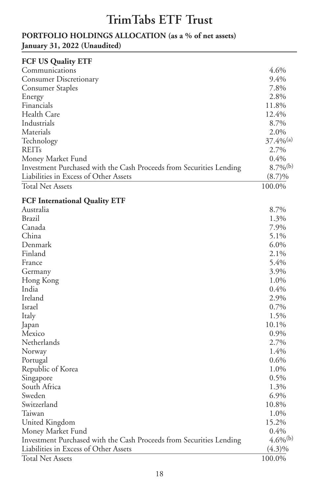#### **PORTFOLIO HOLDINGS ALLOCATION (as a % of net assets) January 31, 2022 (Unaudited)**

| <b>FCF US Quality ETF</b>                                           |                         |
|---------------------------------------------------------------------|-------------------------|
| Communications                                                      | 4.6%                    |
| <b>Consumer Discretionary</b>                                       | 9.4%                    |
| <b>Consumer Staples</b>                                             | 7.8%                    |
| Energy                                                              | 2.8%                    |
| Financials                                                          | 11.8%                   |
| Health Care                                                         | 12.4%                   |
| Industrials                                                         | 8.7%                    |
| Materials                                                           | 2.0%                    |
| Technology                                                          | $37.4\%$ <sup>(a)</sup> |
| REITs                                                               | 2.7%                    |
| Money Market Fund                                                   | 0.4%                    |
| Investment Purchased with the Cash Proceeds from Securities Lending | $8.7\%$ <sup>(b)</sup>  |
| Liabilities in Excess of Other Assets                               | $(8.7)\%$               |
| Total Net Assets                                                    | 100.0%                  |
|                                                                     |                         |
| <b>FCF International Quality ETF</b>                                |                         |
| Australia                                                           | 8.7%                    |
| Brazil                                                              | 1.3%                    |
| Canada                                                              | 7.9%                    |
| China                                                               | 5.1%                    |
| Denmark                                                             | $6.0\%$                 |
| Finland                                                             | 2.1%                    |
| France                                                              | 5.4%                    |
| Germany                                                             | 3.9%                    |
| Hong Kong                                                           | 1.0%                    |
| India                                                               | 0.4%                    |
| Ireland                                                             | 2.9%                    |
| Israel                                                              | 0.7%                    |
| Italy                                                               | 1.5%                    |
| Japan                                                               | 10.1%                   |
| Mexico                                                              | 0.9%                    |
| Netherlands                                                         | 2.7%                    |
| Norway                                                              | 1.4%                    |
| Portugal                                                            | $0.6\%$                 |
| Republic of Korea                                                   | 1.0%                    |
| Singapore                                                           | 0.5%                    |
| South Africa                                                        | 1.3%                    |
| Sweden                                                              | 6.9%                    |
| Switzerland                                                         | 10.8%                   |
| Taiwan                                                              | 1.0%                    |
| United Kingdom                                                      | 15.2%                   |
| Money Market Fund                                                   | 0.4%                    |
| Investment Purchased with the Cash Proceeds from Securities Lending | $4.6\%$ <sup>(b)</sup>  |
| Liabilities in Excess of Other Assets                               | $(4.3)\%$               |
| Total Net Assets                                                    | 100.0%                  |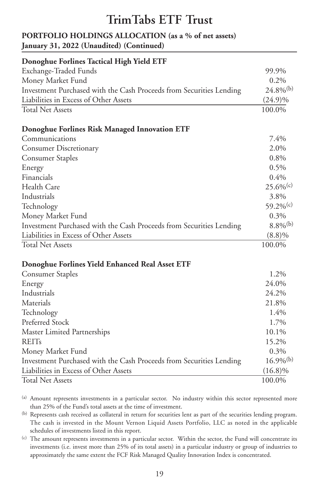#### **PORTFOLIO HOLDINGS ALLOCATION (as a % of net assets) January 31, 2022 (Unaudited) (Continued)**

| Donoghue Forlines Tactical High Yield ETF                           |                         |
|---------------------------------------------------------------------|-------------------------|
| Exchange-Traded Funds                                               | 99.9%                   |
| Money Market Fund                                                   | 0.2%                    |
| Investment Purchased with the Cash Proceeds from Securities Lending | $24.8\%$ <sup>(b)</sup> |
| Liabilities in Excess of Other Assets                               | $(24.9)\%$              |
| <b>Total Net Assets</b>                                             | 100.0%                  |
| Donoghue Forlines Risk Managed Innovation ETF                       |                         |
| Communications                                                      | 7.4%                    |
| <b>Consumer Discretionary</b>                                       | 2.0%                    |
| <b>Consumer Staples</b>                                             | 0.8%                    |
| Energy                                                              | 0.5%                    |
| Financials                                                          | 0.4%                    |
| Health Care                                                         | $25.6\%$ <sup>(c)</sup> |
| Industrials                                                         | 3.8%                    |
| Technology                                                          | 59.2% $(c)$             |
| Money Market Fund                                                   | 0.3%                    |
| Investment Purchased with the Cash Proceeds from Securities Lending | $8.8\%$ <sup>(b)</sup>  |
| Liabilities in Excess of Other Assets                               | $(8.8)\%$               |
| <b>Total Net Assets</b>                                             | 100.0%                  |
| Donoghue Forlines Yield Enhanced Real Asset ETF                     |                         |
| <b>Consumer Staples</b>                                             | 1.2%                    |
| Energy                                                              | 24.0%                   |
| Industrials                                                         | 24.2%                   |
| Materials                                                           | 21.8%                   |
| Technology                                                          | 1.4%                    |
| Preferred Stock                                                     | 1.7%                    |
| Master Limited Partnerships                                         | 10.1%                   |
| <b>REITs</b>                                                        | 15.2%                   |
| Money Market Fund                                                   | 0.3%                    |
| Investment Purchased with the Cash Proceeds from Securities Lending | $16.9\%$ <sup>(b)</sup> |
| Liabilities in Excess of Other Assets                               | $(16.8)\%$              |
| <b>Total Net Assets</b>                                             | 100.0%                  |

(a) Amount represents investments in a particular sector. No industry within this sector represented more than 25% of the Fund's total assets at the time of investment.

(b) Represents cash received as collateral in return for securities lent as part of the securities lending program. The cash is invested in the Mount Vernon Liquid Assets Portfolio, LLC as noted in the applicable schedules of investments listed in this report.

(c) The amount represents investments in a particular sector. Within the sector, the Fund will concentrate its investments (i.e. invest more than 25% of its total assets) in a particular industry or group of industries to approximately the same extent the FCF Risk Managed Quality Innovation Index is concentrated.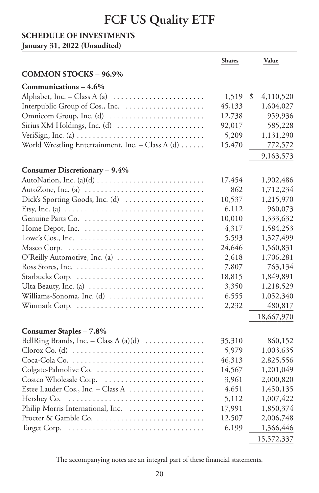#### **SCHEDULE OF INVESTMENTS**

**January 31, 2022 (Unaudited)**

|                                                                                                | <b>Shares</b> | Value           |
|------------------------------------------------------------------------------------------------|---------------|-----------------|
| <b>COMMON STOCKS - 96.9%</b>                                                                   |               |                 |
| Communications - 4.6%                                                                          |               |                 |
| Alphabet, Inc. – Class A (a) $\dots \dots \dots \dots \dots \dots \dots$                       | 1,519         | 4,110,520<br>\$ |
|                                                                                                | 45,133        | 1,604,027       |
|                                                                                                | 12,738        | 959,936         |
| Sirius XM Holdings, Inc. (d)                                                                   | 92,017        | 585,228         |
| VeriSign, Inc. (a) $\dots\dots\dots\dots\dots\dots\dots\dots\dots\dots\dots\dots\dots\dots$    | 5,209         | 1,131,290       |
| World Wrestling Entertainment, Inc. - Class A (d)                                              | 15,470        | 772,572         |
|                                                                                                |               | 9,163,573       |
| Consumer Discretionary - 9.4%                                                                  |               |                 |
|                                                                                                | 17,454        | 1,902,486       |
| AutoZone, Inc. (a)                                                                             | 862           | 1,712,234       |
| Dick's Sporting Goods, Inc. (d)                                                                | 10,537        | 1,215,970       |
| Etsy, Inc. (a) $\dots \dots \dots \dots \dots \dots \dots \dots \dots \dots \dots \dots \dots$ | 6,112         | 960,073         |
| Genuine Parts Co.                                                                              | 10,010        | 1,333,632       |
|                                                                                                | 4,317         | 1,584,253       |
|                                                                                                | 5,593         | 1,327,499       |
| Masco Corp.                                                                                    | 24,646        | 1,560,831       |
| O'Reilly Automotive, Inc. (a)                                                                  | 2,618         | 1,706,281       |
|                                                                                                | 7,807         | 763,134         |
|                                                                                                | 18,815        | 1,849,891       |
|                                                                                                | 3,350         | 1,218,529       |
| Williams-Sonoma, Inc. (d)                                                                      | 6,555         | 1,052,340       |
| Winmark Corp.                                                                                  | 2,232         | 480,817         |
|                                                                                                |               | 18,667,970      |
| Consumer Staples - 7.8%                                                                        |               |                 |
| BellRing Brands, Inc. - Class A $(a)(d)$                                                       | 35,310        | 860,152         |
|                                                                                                | 5,979         | 1,003,635       |
|                                                                                                | 46,313        | 2,825,556       |
| Colgate-Palmolive Co.                                                                          | 14,567        | 1,201,049       |
| Costco Wholesale Corp.                                                                         | 3,961         | 2,000,820       |
| Estee Lauder Cos., Inc. - Class A                                                              | 4,651         | 1,450,135       |
| Hershey Co.                                                                                    | 5,112         | 1,007,422       |
|                                                                                                | 17,991        | 1,850,374       |
| Procter & Gamble Co.                                                                           | 12,507        | 2,006,748       |
|                                                                                                | 6,199         | 1,366,446       |
|                                                                                                |               | 15,572,337      |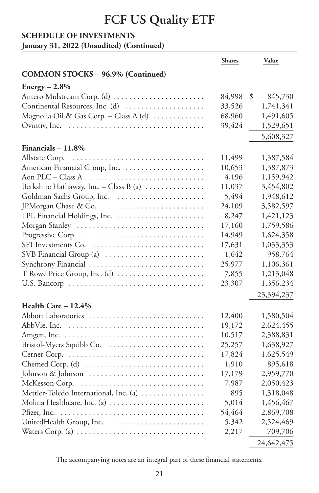### **SCHEDULE OF INVESTMENTS**

**January 31, 2022 (Unaudited) (Continued)**

|                                                 | <b>Shares</b> | Value         |
|-------------------------------------------------|---------------|---------------|
| <b>COMMON STOCKS - 96.9% (Continued)</b>        |               |               |
| $Energy - 2.8\%$                                |               |               |
| Antero Midstream Corp. (d)                      | 84,998        | \$<br>845,730 |
| Continental Resources, Inc. (d)                 | 33,526        | 1,741,341     |
| Magnolia Oil & Gas Corp. - Class A (d)          | 68,960        | 1,491,605     |
| Ovintiv, Inc.                                   | 39,424        | 1,529,651     |
|                                                 |               | 5,608,327     |
| Financials $-11.8\%$                            |               |               |
| Allstate Corp.                                  | 11,499        | 1,387,584     |
| American Financial Group, Inc.                  | 10,653        | 1,387,873     |
|                                                 | 4,196         | 1,159,942     |
| Berkshire Hathaway, Inc. - Class B (a) $\ldots$ | 11,037        | 3,454,802     |
| Goldman Sachs Group, Inc.                       | 5,494         | 1,948,612     |
| JPMorgan Chase & Co.                            | 24,109        | 3,582,597     |
| LPL Financial Holdings, Inc.                    | 8,247         | 1,421,123     |
| Morgan Stanley                                  | 17,160        | 1,759,586     |
|                                                 | 14,949        | 1,624,358     |
| SEI Investments Co.                             | 17,631        | 1,033,353     |
| SVB Financial Group (a)                         | 1,642         | 958,764       |
| Synchrony Financial                             | 25,977        | 1,106,361     |
| T Rowe Price Group, Inc. (d)                    | 7,855         | 1,213,048     |
|                                                 | 23,307        | 1,356,234     |
|                                                 |               | 23,394,237    |
| Health Care $-12.4%$                            |               |               |
|                                                 | 12,400        | 1,580,504     |
| AbbVie, Inc.                                    | 19,172        | 2,624,455     |
|                                                 | 10,517        | 2,388,831     |
|                                                 | 25,257        | 1,638,927     |
|                                                 | 17,824        | 1,625,549     |
|                                                 | 1,910         | 895,618       |
| Johnson & Johnson                               | 17,179        | 2,959,770     |
| McKesson Corp.                                  | 7,987         | 2,050,423     |
| Mettler-Toledo International, Inc. (a)          | 895           | 1,318,048     |
| Molina Healthcare, Inc. (a)                     | 5,014         | 1,456,467     |
| Pfizer, Inc.                                    | 54,464        | 2,869,708     |
|                                                 | 5,342         | 2,524,469     |
|                                                 | 2,217         | 709,706       |
|                                                 |               | 24,642,475    |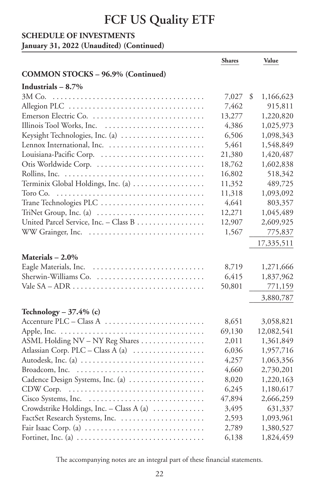### **SCHEDULE OF INVESTMENTS**

**January 31, 2022 (Unaudited) (Continued)**

|                                                                                        | <b>Shares</b> | Value           |
|----------------------------------------------------------------------------------------|---------------|-----------------|
| <b>COMMON STOCKS - 96.9% (Continued)</b>                                               |               |                 |
| Industrials $-8.7\%$                                                                   |               |                 |
|                                                                                        | 7,027         | \$<br>1,166,623 |
|                                                                                        | 7,462         | 915,811         |
| Emerson Electric Co.                                                                   | 13,277        | 1,220,820       |
| Illinois Tool Works, Inc.                                                              | 4,386         | 1,025,973       |
| Keysight Technologies, Inc. (a)                                                        | 6,506         | 1,098,343       |
|                                                                                        | 5,461         | 1,548,849       |
|                                                                                        | 21,380        | 1,420,487       |
| Otis Worldwide Corp.                                                                   | 18,762        | 1,602,838       |
|                                                                                        | 16,802        | 518,342         |
| Terminix Global Holdings, Inc. (a)                                                     | 11,352        | 489,725         |
| Toro Co.                                                                               | 11,318        | 1,093,092       |
| Trane Technologies PLC                                                                 | 4,641         | 803,357         |
| TriNet Group, Inc. (a) $\dots \dots \dots \dots \dots \dots \dots \dots$               | 12,271        | 1,045,489       |
| United Parcel Service, Inc. - Class B                                                  | 12,907        | 2,609,925       |
| WW Grainger, Inc.                                                                      | 1,567         | 775,837         |
|                                                                                        |               | 17,335,511      |
| Materials $-2.0\%$                                                                     |               |                 |
| Eagle Materials, Inc.                                                                  | 8,719         | 1,271,666       |
| Sherwin-Williams Co.                                                                   | 6,415         | 1,837,962       |
|                                                                                        | 50,801        | 771,159         |
|                                                                                        |               | 3,880,787       |
| Technology – $37.4\%$ (c)                                                              |               |                 |
| Accenture PLC - Class A                                                                | 8,651         | 3,058,821       |
|                                                                                        | 69,130        | 12,082,541      |
| ASML Holding NV - NY Reg Shares                                                        | 2,011         | 1,361,849       |
| Atlassian Corp. PLC - Class A (a)                                                      | 6,036         | 1,957,716       |
| Autodesk, Inc. (a)                                                                     | 4,257         | 1,063,356       |
|                                                                                        | 4,660         | 2,730,201       |
| Cadence Design Systems, Inc. (a)                                                       | 8,020         | 1,220,163       |
| CDW Corp.                                                                              | 6,245         | 1,180,617       |
|                                                                                        | 47,894        | 2,666,259       |
| Crowdstrike Holdings, Inc. - Class A (a)                                               | 3,495         | 631,337         |
| FactSet Research Systems, Inc.                                                         | 2,593         | 1,093,961       |
|                                                                                        | 2,789         | 1,380,527       |
| Fortinet, Inc. (a) $\dots \dots \dots \dots \dots \dots \dots \dots \dots \dots \dots$ | 6,138         | 1,824,459       |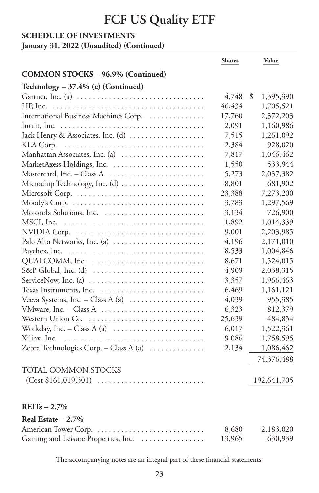#### **SCHEDULE OF INVESTMENTS**

**January 31, 2022 (Unaudited) (Continued)**

|                                                                                    | <b>Shares</b> | Value           |
|------------------------------------------------------------------------------------|---------------|-----------------|
| <b>COMMON STOCKS - 96.9% (Continued)</b>                                           |               |                 |
| Technology - 37.4% (c) (Continued)                                                 |               |                 |
|                                                                                    | 4,748         | \$<br>1,395,390 |
| HP, Inc.                                                                           | 46,434        | 1,705,521       |
| International Business Machines Corp.                                              | 17,760        | 2,372,203       |
|                                                                                    | 2,091         | 1,160,986       |
| Jack Henry & Associates, Inc. (d)                                                  | 7,515         | 1,261,092       |
| KLA Corp.                                                                          | 2,384         | 928,020         |
| Manhattan Associates, Inc. (a)                                                     | 7,817         | 1,046,462       |
| MarketAxess Holdings, Inc.                                                         | 1,550         | 533,944         |
| Mastercard, Inc. - Class A                                                         | 5,273         | 2,037,382       |
| Microchip Technology, Inc. (d)                                                     | 8,801         | 681,902         |
| Microsoft Corp.                                                                    | 23,388        | 7,273,200       |
|                                                                                    | 3,783         | 1,297,569       |
| Motorola Solutions, Inc.                                                           | 3,134         | 726,900         |
| MSCI, Inc.                                                                         | 1,892         | 1,014,339       |
|                                                                                    | 9,001         | 2,203,985       |
| Palo Alto Networks, Inc. (a)                                                       | 4,196         | 2,171,010       |
|                                                                                    | 8,533         | 1,004,846       |
| QUALCOMM, Inc.                                                                     | 8,671         | 1,524,015       |
|                                                                                    | 4,909         | 2,038,315       |
| ServiceNow, Inc. (a) $\dots \dots \dots \dots \dots \dots \dots \dots \dots \dots$ | 3,357         | 1,966,463       |
| Texas Instruments, Inc.                                                            | 6,469         | 1,161,121       |
| Veeva Systems, Inc. - Class A (a) $\dots\dots\dots\dots\dots\dots$                 | 4,039         | 955,385         |
|                                                                                    | 6,323         | 812,379         |
| Western Union Co.                                                                  | 25,639        | 484,834         |
| Workday, Inc. – Class A (a) $\dots \dots \dots \dots \dots \dots \dots$            | 6,017         | 1,522,361       |
| Xilinx, Inc.                                                                       | 9,086         | 1,758,595       |
| Zebra Technologies Corp. - Class A (a) $\ldots \ldots \ldots$                      | 2,134         | 1,086,462       |
|                                                                                    |               | 74,376,488      |
| <b>TOTAL COMMON STOCKS</b>                                                         |               |                 |
|                                                                                    |               | 192,641,705     |
|                                                                                    |               |                 |
| $REITs - 2.7%$                                                                     |               |                 |
| Real Estate $-2.7\%$                                                               |               |                 |
|                                                                                    | 8,680         | 2,183,020       |
| Gaming and Leisure Properties, Inc.                                                | 13,965        | 630,939         |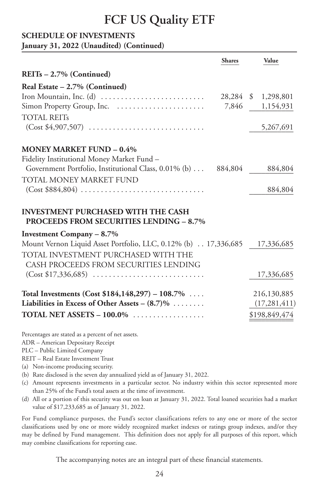#### **SCHEDULE OF INVESTMENTS**

**January 31, 2022 (Unaudited) (Continued)**

|                                                                                             | <b>Shares</b> | Value               |
|---------------------------------------------------------------------------------------------|---------------|---------------------|
| $REITs - 2.7\%$ (Continued)                                                                 |               |                     |
| Real Estate - 2.7% (Continued)                                                              |               |                     |
|                                                                                             |               | 28,284 \$ 1,298,801 |
|                                                                                             |               | 7,846 1,154,931     |
| <b>TOTAL REITS</b>                                                                          |               |                     |
| $(Cost $4,907,507)$                                                                         |               | 5,267,691           |
| <b>MONEY MARKET FUND - 0.4%</b>                                                             |               |                     |
| Fidelity Institutional Money Market Fund -                                                  |               |                     |
| Government Portfolio, Institutional Class, 0.01% (b)  884,804                               |               | 884,804             |
| TOTAL MONEY MARKET FUND                                                                     |               |                     |
| $(Cost $884,804) \ldots \ldots \ldots \ldots \ldots \ldots \ldots \ldots \ldots$            |               | 884,804             |
| <b>INVESTMENT PURCHASED WITH THE CASH</b><br><b>PROCEEDS FROM SECURITIES LENDING - 8.7%</b> |               |                     |
| Investment Company – 8.7%                                                                   |               |                     |
| Mount Vernon Liquid Asset Portfolio, LLC, 0.12% (b) 17,336,685 17,336,685                   |               |                     |
| TOTAL INVESTMENT PURCHASED WITH THE<br>CASH PROCEEDS FROM SECURITIES LENDING                |               |                     |
|                                                                                             |               | 17,336,685          |
| Total Investments (Cost $$184,148,297$ ) – 108.7%                                           |               | 216,130,885         |
| Liabilities in Excess of Other Assets $- (8.7)\% \ldots \ldots$                             |               | (17, 281, 411)      |
| <b>TOTAL NET ASSETS – 100.0%</b>                                                            |               | \$198,849,474       |

Percentages are stated as a percent of net assets.

ADR – American Depositary Receipt

PLC – Public Limited Company

REIT – Real Estate Investment Trust

(a) Non-income producing security.

(b) Rate disclosed is the seven day annualized yield as of January 31, 2022.

- (c) Amount represents investments in a particular sector. No industry within this sector represented more than 25% of the Fund's total assets at the time of investment.
- (d) All or a portion of this security was out on loan at January 31, 2022. Total loaned securities had a market value of \$17,233,685 as of January 31, 2022.

For Fund compliance purposes, the Fund's sector classifications refers to any one or more of the sector classifications used by one or more widely recognized market indexes or ratings group indexes, and/or they may be defined by Fund management. This definition does not apply for all purposes of this report, which may combine classifications for reporting ease.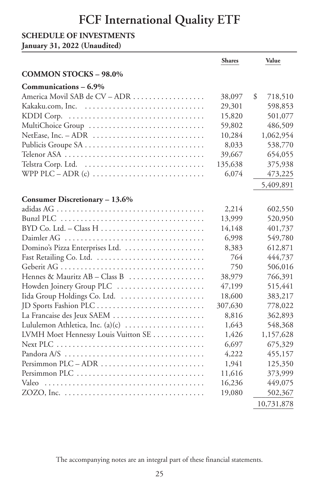#### **SCHEDULE OF INVESTMENTS**

**January 31, 2022 (Unaudited)**

|                                     | <b>Shares</b> | Value         |
|-------------------------------------|---------------|---------------|
| <b>COMMON STOCKS - 98.0%</b>        |               |               |
| Communications - 6.9%               |               |               |
| America Movil SAB de CV - ADR       | 38,097        | \$<br>718,510 |
| Kakaku.com, Inc.                    | 29,301        | 598,853       |
| KDDI Corp.                          | 15,820        | 501,077       |
| MultiChoice Group                   | 59,802        | 486,509       |
|                                     | 10,284        | 1,062,954     |
|                                     | 8,033         | 538,770       |
|                                     | 39,667        | 654,055       |
|                                     | 135,638       | 375,938       |
|                                     | 6,074         | 473,225       |
|                                     |               | 5,409,891     |
| Consumer Discretionary - 13.6%      |               |               |
|                                     | 2,214         | 602,550       |
|                                     | 13,999        | 520,950       |
|                                     | 14,148        | 401,737       |
|                                     | 6,998         | 549,780       |
|                                     | 8,383         | 612,871       |
|                                     | 764           | 444,737       |
|                                     | 750           | 506,016       |
| Hennes & Mauritz AB - Class B       | 38,979        | 766,391       |
| Howden Joinery Group PLC            | 47,199        | 515,441       |
| Iida Group Holdings Co. Ltd.        | 18,600        | 383,217       |
|                                     | 307,630       | 778,022       |
| La Francaise des Jeux SAEM          | 8,816         | 362,893       |
| Lululemon Athletica, Inc. (a)(c)    | 1,643         | 548,368       |
| LVMH Moet Hennessy Louis Vuitton SE | 1,426         | 1,157,628     |
|                                     | 6,697         | 675,329       |
|                                     | 4,222         | 455,157       |
|                                     | 1,941         | 125,350       |
| Persimmon PLC                       | 11,616        | 373,999       |
|                                     | 16,236        | 449,075       |
|                                     | 19,080        | 502,367       |
|                                     |               | 10,731,878    |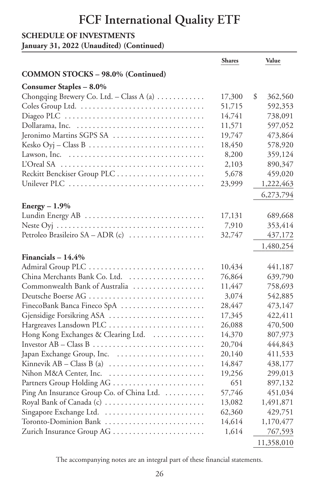#### **SCHEDULE OF INVESTMENTS**

**January 31, 2022 (Unaudited) (Continued)**

|                                                                         | <b>Shares</b> | Value         |
|-------------------------------------------------------------------------|---------------|---------------|
| <b>COMMON STOCKS - 98.0% (Continued)</b>                                |               |               |
| <b>Consumer Staples - 8.0%</b>                                          |               |               |
| Chongqing Brewery Co. Ltd. - Class A (a) $\dots \dots \dots$            | 17,300        | \$<br>362,560 |
| Coles Group Ltd.                                                        | 51,715        | 592,353       |
|                                                                         | 14,741        | 738,091       |
|                                                                         | 11,571        | 597,052       |
| Jeronimo Martins SGPS SA                                                | 19,747        | 473,864       |
|                                                                         | 18,450        | 578,920       |
| Lawson, Inc.                                                            | 8,200         | 359,124       |
| L'Oreal SA                                                              | 2,103         | 890,347       |
|                                                                         | 5,678         | 459,020       |
|                                                                         | 23,999        | 1,222,463     |
|                                                                         |               | 6,273,794     |
| $Energy - 1.9\%$                                                        |               |               |
| Lundin Energy AB                                                        | 17,131        | 689,668       |
|                                                                         | 7,910         | 353,414       |
| Petroleo Brasileiro SA - ADR (c)                                        | 32,747        | 437,172       |
|                                                                         |               | 1,480,254     |
|                                                                         |               |               |
| Financials $-14.4\%$                                                    |               |               |
| China Merchants Bank Co. Ltd.                                           | 10,434        | 441,187       |
|                                                                         | 76,864        | 639,790       |
| Commonwealth Bank of Australia                                          | 11,447        | 758,693       |
| Deutsche Boerse AG                                                      | 3,074         | 542,885       |
| FinecoBank Banca Fineco SpA                                             | 28,447        | 473,147       |
| Gjensidige Forsikring ASA                                               | 17,345        | 422,411       |
| Hargreaves Lansdown PLC                                                 | 26,088        | 470,500       |
| Hong Kong Exchanges & Clearing Ltd.                                     | 14,370        | 807,973       |
|                                                                         | 20,704        | 444,843       |
| Japan Exchange Group, Inc.                                              | 20,140        | 411,533       |
| Kinnevik $AB - Class B$ (a) $\ldots \ldots \ldots \ldots \ldots \ldots$ | 14,847        | 438,177       |
| Nihon M&A Center, Inc.                                                  | 19,256        | 299,013       |
|                                                                         | 651           | 897,132       |
| Ping An Insurance Group Co. of China Ltd.                               | 57,746        | 451,034       |
| Royal Bank of Canada (c)                                                | 13,082        | 1,491,871     |
| Singapore Exchange Ltd.                                                 | 62,360        | 429,751       |
| Toronto-Dominion Bank                                                   | 14,614        | 1,170,477     |
| Zurich Insurance Group AG                                               | 1,614         | 767,593       |
|                                                                         |               | 11,358,010    |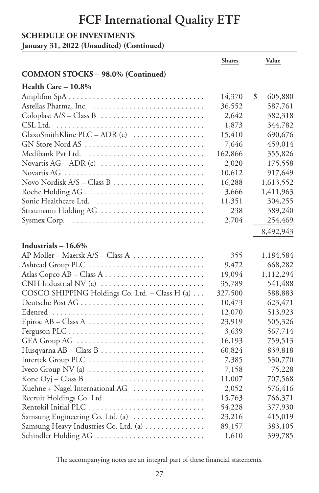#### **SCHEDULE OF INVESTMENTS**

**January 31, 2022 (Unaudited) (Continued)**

|                                                                            | <b>Shares</b> | Value                |
|----------------------------------------------------------------------------|---------------|----------------------|
| <b>COMMON STOCKS - 98.0% (Continued)</b>                                   |               |                      |
| Health Care - 10.8%                                                        |               |                      |
|                                                                            | 14,370        | \$<br>605,880        |
| Astellas Pharma, Inc.                                                      | 36,552        | 587,761              |
|                                                                            | 2,642         | 382,318              |
| CSL Ltd.                                                                   | 1,873         | 344,782              |
| GlaxoSmithKline PLC - ADR (c)                                              | 15,410        | 690,676              |
| GN Store Nord AS                                                           | 7,646         | 459,014              |
|                                                                            | 162,866       | 355,826              |
|                                                                            | 2,020         | 175,558              |
|                                                                            | 10,612        | 917,649              |
| Novo Nordisk A/S - Class B                                                 | 16,288        | 1,613,552            |
| Roche Holding AG                                                           | 3,666         | 1,411,963            |
|                                                                            | 11,351        | 304,255              |
| Straumann Holding AG                                                       | 238           | 389,240              |
| Sysmex Corp.                                                               | 2,704         | 254,469              |
|                                                                            |               | 8,492,943            |
|                                                                            |               |                      |
| Industrials $-16.6\%$<br>AP Moller - Maersk A/S - Class A                  |               |                      |
|                                                                            | 355<br>9,472  | 1,184,584            |
| Ashtead Group PLC                                                          | 19,094        | 668,282<br>1,112,294 |
|                                                                            | 35,789        | 541,488              |
| CNH Industrial NV (c)<br>COSCO SHIPPING Holdings Co. Ltd. - Class H (a)    | 327,500       | 588,883              |
| Deutsche Post AG                                                           | 10,473        | 623,471              |
|                                                                            | 12,070        | 513,923              |
|                                                                            | 23,919        | 505,326              |
|                                                                            | 3,639         | 567,714              |
| GEA Group AG                                                               | 16,193        | 759,513              |
|                                                                            | 60,824        | 839,818              |
| Intertek Group PLC                                                         | 7,385         | 530,770              |
| Iveco Group NV (a) $\dots \dots \dots \dots \dots \dots \dots \dots \dots$ | 7,158         | 75,228               |
| Kone Oyj - Class B                                                         | 11,007        | 707,568              |
| Kuehne + Nagel International AG                                            | 2,052         | 576,416              |
| Recruit Holdings Co. Ltd.                                                  | 15,763        | 766,371              |
| Rentokil Initial PLC                                                       | 54,228        | 377,930              |
| Samsung Engineering Co. Ltd. (a)                                           | 23,216        | 415,019              |
| Samsung Heavy Industries Co. Ltd. (a)                                      | 89,157        | 383,105              |
| Schindler Holding AG                                                       | 1,610         | 399,785              |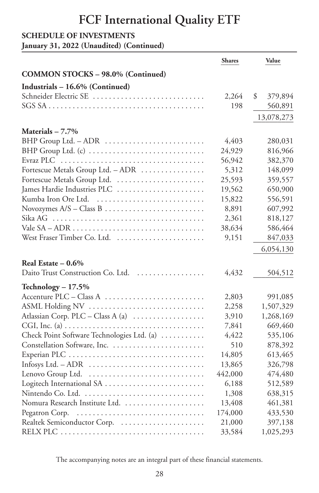### **SCHEDULE OF INVESTMENTS**

**January 31, 2022 (Unaudited) (Continued)**

|                                                                                               | <b>Shares</b> | Value         |
|-----------------------------------------------------------------------------------------------|---------------|---------------|
| <b>COMMON STOCKS - 98.0% (Continued)</b>                                                      |               |               |
| Industrials - 16.6% (Continued)                                                               |               |               |
| Schneider Electric SE                                                                         | 2,264         | \$<br>379,894 |
|                                                                                               | 198           | 560,891       |
|                                                                                               |               | 13,078,273    |
| Materials $-7.7\%$                                                                            |               |               |
| BHP Group Ltd. - ADR                                                                          | 4,403         | 280,031       |
| BHP Group Ltd. (c)                                                                            | 24,929        | 816,966       |
|                                                                                               | 56,942        | 382,370       |
| Fortescue Metals Group Ltd. - ADR                                                             | 5,312         | 148,099       |
| Fortescue Metals Group Ltd.                                                                   | 25,593        | 359,557       |
| James Hardie Industries PLC                                                                   | 19,562        | 650,900       |
| Kumba Iron Ore Ltd.                                                                           | 15,822        | 556,591       |
|                                                                                               | 8,891         | 607,992       |
|                                                                                               | 2,361         | 818,127       |
|                                                                                               | 38,634        | 586,464       |
| West Fraser Timber Co. Ltd.                                                                   | 9,151         | 847,033       |
|                                                                                               |               | 6,054,130     |
| Real Estate $-0.6\%$                                                                          |               |               |
| Daito Trust Construction Co. Ltd.                                                             | 4,432         | 504,512       |
|                                                                                               |               |               |
| Technology $-17.5%$                                                                           |               |               |
| Accenture PLC - Class A                                                                       | 2,803         | 991,085       |
| ASML Holding NV                                                                               | 2,258         | 1,507,329     |
| Atlassian Corp. PLC - Class A (a)                                                             | 3,910         | 1,268,169     |
| CGI, Inc. (a) $\dots \dots \dots \dots \dots \dots \dots \dots \dots \dots \dots \dots \dots$ | 7,841         | 669,460       |
| Check Point Software Technologies Ltd. (a)                                                    | 4,422         | 535,106       |
|                                                                                               | 510           | 878,392       |
|                                                                                               | 14,805        | 613,465       |
|                                                                                               | 13,865        | 326,798       |
|                                                                                               | 442,000       | 474,480       |
|                                                                                               | 6,188         | 512,589       |
| Nintendo Co. Ltd.                                                                             | 1,308         | 638,315       |
| Nomura Research Institute Ltd.                                                                | 13,408        | 461,381       |
| Pegatron Corp.                                                                                | 174,000       | 433,530       |
| Realtek Semiconductor Corp.                                                                   | 21,000        | 397,138       |
|                                                                                               | 33,584        | 1,025,293     |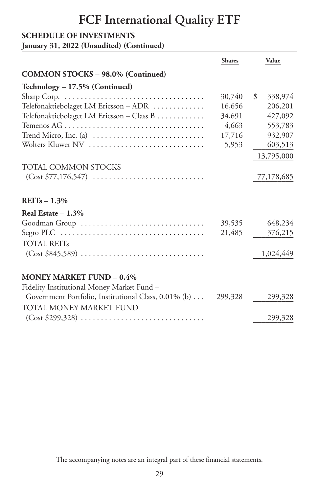#### **SCHEDULE OF INVESTMENTS**

**January 31, 2022 (Unaudited) (Continued)**

|                                                                                 | <b>Shares</b> | Value         |
|---------------------------------------------------------------------------------|---------------|---------------|
| <b>COMMON STOCKS - 98.0% (Continued)</b>                                        |               |               |
| Technology - 17.5% (Continued)                                                  |               |               |
|                                                                                 | 30,740        | \$<br>338,974 |
| Telefonaktiebolaget LM Ericsson - ADR                                           | 16,656        | 206,201       |
| Telefonaktiebolaget LM Ericsson - Class B                                       | 34,691        | 427,092       |
|                                                                                 | 4,663         | 553,783       |
| Trend Micro, Inc. (a) $\dots\dots\dots\dots\dots\dots\dots\dots\dots\dots\dots$ | 17,716        | 932,907       |
| Wolters Kluwer NV                                                               | 5,953         | 603,513       |
|                                                                                 |               | 13,795,000    |
| <b>TOTAL COMMON STOCKS</b>                                                      |               |               |
|                                                                                 |               | 77,178,685    |
| REITs $-1.3%$                                                                   |               |               |
| Real Estate $-1.3%$                                                             |               |               |
| Goodman Group                                                                   | 39,535        | 648,234       |
|                                                                                 | 21,485        | 376,215       |
| <b>TOTAL REITS</b>                                                              |               |               |
|                                                                                 |               | 1,024,449     |
| <b>MONEY MARKET FUND - 0.4%</b>                                                 |               |               |
| Fidelity Institutional Money Market Fund -                                      |               |               |
| Government Portfolio, Institutional Class, 0.01% (b)  299,328                   |               | 299,328       |
| TOTAL MONEY MARKET FUND                                                         |               |               |
|                                                                                 |               | 299,328       |
|                                                                                 |               |               |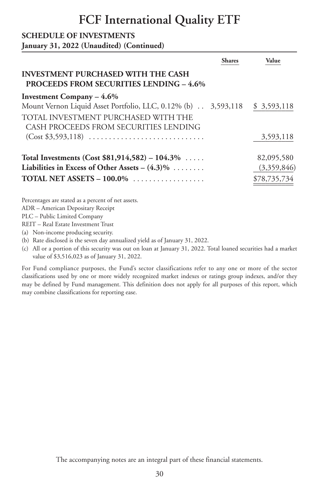#### **SCHEDULE OF INVESTMENTS**

**January 31, 2022 (Unaudited) (Continued)**

|                                                                                             | Shares | Value        |
|---------------------------------------------------------------------------------------------|--------|--------------|
| <b>INVESTMENT PURCHASED WITH THE CASH</b><br><b>PROCEEDS FROM SECURITIES LENDING - 4.6%</b> |        |              |
| Investment Company $-4.6\%$                                                                 |        |              |
| Mount Vernon Liquid Asset Portfolio, LLC, 0.12% (b) 3,593,118 \$ 3,593,118                  |        |              |
| TOTAL INVESTMENT PURCHASED WITH THE                                                         |        |              |
| CASH PROCEEDS FROM SECURITIES LENDING                                                       |        |              |
|                                                                                             |        | 3,593,118    |
| Total Investments (Cost \$81,914,582) – 104.3\%                                             |        | 82,095,580   |
| Liabilities in Excess of Other Assets – $(4.3)\%$                                           |        | (3,359,846)  |
| TOTAL NET ASSETS $-100.0\%$                                                                 |        | \$78,735,734 |
|                                                                                             |        |              |

Percentages are stated as a percent of net assets.

ADR – American Depositary Receipt

PLC – Public Limited Company

REIT – Real Estate Investment Trust

(a) Non-income producing security.

(b) Rate disclosed is the seven day annualized yield as of January 31, 2022.

(c) All or a portion of this security was out on loan at January 31, 2022. Total loaned securities had a market value of \$3,516,023 as of January 31, 2022.

For Fund compliance purposes, the Fund's sector classifications refer to any one or more of the sector classifications used by one or more widely recognized market indexes or ratings group indexes, and/or they may be defined by Fund management. This definition does not apply for all purposes of this report, which may combine classifications for reporting ease.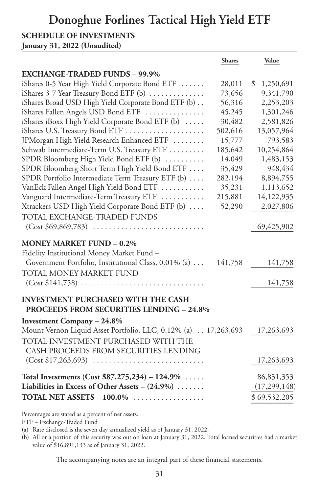### **Donoghue Forlines Tactical High Yield ETF**

#### **SCHEDULE OF INVESTMENTS**

**January 31, 2022 (Unaudited)**

|                                                                                  | <b>Shares</b> | Value           |
|----------------------------------------------------------------------------------|---------------|-----------------|
| <b>EXCHANGE-TRADED FUNDS - 99.9%</b>                                             |               |                 |
| iShares 0-5 Year High Yield Corporate Bond ETF                                   | 28,011        | 1,250,691<br>\$ |
| iShares 3-7 Year Treasury Bond ETF (b)                                           | 73,656        | 9,341,790       |
| iShares Broad USD High Yield Corporate Bond ETF (b)                              | 56,316        | 2,253,203       |
| iShares Fallen Angels USD Bond ETF                                               | 45,245        | 1,301,246       |
| iShares iBoxx High Yield Corporate Bond ETF (b)                                  | 30,482        | 2,581,826       |
| iShares U.S. Treasury Bond ETF                                                   | 502,616       | 13,057,964      |
| JPMorgan High Yield Research Enhanced ETF                                        | 15,777        | 793,583         |
| Schwab Intermediate-Term U.S. Treasury ETF                                       | 185,642       | 10,254,864      |
| SPDR Bloomberg High Yield Bond ETF (b)                                           | 14,049        | 1,483,153       |
| SPDR Bloomberg Short Term High Yield Bond ETF                                    | 35,429        | 948,434         |
| SPDR Portfolio Intermediate Term Treasury ETF (b)                                | 282,194       | 8,894,755       |
| VanEck Fallen Angel High Yield Bond ETF                                          | 35,231        | 1,113,652       |
| Vanguard Intermediate-Term Treasury ETF                                          | 215,881       | 14,122,935      |
| Xtrackers USD High Yield Corporate Bond ETF (b)                                  | 52,290        | 2,027,806       |
| TOTAL EXCHANGE-TRADED FUNDS                                                      |               |                 |
|                                                                                  |               | 69,425,902      |
| <b>MONEY MARKET FUND - 0.2%</b>                                                  |               |                 |
| Fidelity Institutional Money Market Fund -                                       |               |                 |
| Government Portfolio, Institutional Class, 0.01% (a)                             | 141,758       | 141,758         |
| TOTAL MONEY MARKET FUND                                                          |               |                 |
|                                                                                  |               |                 |
| $(Cost $141,758) \ldots \ldots \ldots \ldots \ldots \ldots \ldots \ldots \ldots$ |               | 141,758         |
| <b>INVESTMENT PURCHASED WITH THE CASH</b>                                        |               |                 |
| <b>PROCEEDS FROM SECURITIES LENDING - 24.8%</b>                                  |               |                 |
| <b>Investment Company - 24.8%</b>                                                |               |                 |
| Mount Vernon Liquid Asset Portfolio, LLC, 0.12% (a) 17,263,693                   |               | 17,263,693      |
| TOTAL INVESTMENT PURCHASED WITH THE                                              |               |                 |
| CASH PROCEEDS FROM SECURITIES LENDING                                            |               |                 |
|                                                                                  |               | 17,263,693      |
|                                                                                  |               |                 |
| Total Investments (Cost $$87,275,234$ ) - 124.9%                                 |               | 86,831,353      |
| Liabilities in Excess of Other Assets - $(24.9\%)$                               |               | (17, 299, 148)  |
| TOTAL NET ASSETS $-100.0\%$                                                      |               | \$69,532,205    |
|                                                                                  |               |                 |

Percentages are stated as a percent of net assets.

ETF – Exchange-Traded Fund

(a) Rate disclosed is the seven day annualized yield as of January 31, 2022.

(b) All or a portion of this security was out on loan at January 31, 2022. Total loaned securities had a market value of \$16,891,133 as of January 31, 2022.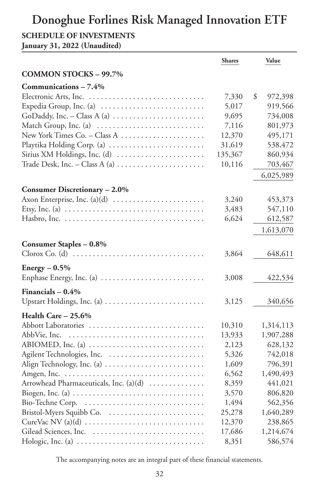#### **SCHEDULE OF INVESTMENTS**

**January 31, 2022 (Unaudited)**

|                                                                                                | <b>Shares</b> | Value         |
|------------------------------------------------------------------------------------------------|---------------|---------------|
| <b>COMMON STOCKS - 99.7%</b>                                                                   |               |               |
| Communications - 7.4%                                                                          |               |               |
|                                                                                                | 7,330         | \$<br>972,398 |
| Expedia Group, Inc. (a)                                                                        | 5,017         | 919,566       |
| GoDaddy, Inc. - Class A (a) $\dots\dots\dots\dots\dots\dots\dots\dots$                         | 9,695         | 734,008       |
| Match Group, Inc. (a)                                                                          | 7,116         | 801,973       |
| New York Times Co. - Class A                                                                   | 12,370        | 495,171       |
| Playtika Holding Corp. (a)                                                                     | 31,619        | 538,472       |
| Sirius XM Holdings, Inc. (d)                                                                   | 135,367       | 860,934       |
| Trade Desk, Inc. - Class A (a) $\dots \dots \dots \dots \dots \dots$                           | 10,116        | 703,467       |
|                                                                                                |               | 6,025,989     |
| Consumer Discretionary - 2.0%                                                                  |               |               |
| Axon Enterprise, Inc. (a)(d)                                                                   | 3,240         | 453,373       |
| Etsy, Inc. (a) $\dots \dots \dots \dots \dots \dots \dots \dots \dots \dots \dots \dots \dots$ | 3,483         | 547,110       |
|                                                                                                | 6,624         | 612,587       |
|                                                                                                |               | 1,613,070     |
| <b>Consumer Staples - 0.8%</b>                                                                 |               |               |
|                                                                                                | 3,864         | 648,611       |
| $Energy - 0.5%$                                                                                |               |               |
| Enphase Energy, Inc. (a)                                                                       | 3,008         | 422,534       |
| Financials $-0.4%$                                                                             |               |               |
| Upstart Holdings, Inc. (a)                                                                     | 3,125         | 340,656       |
| Health Care - 25.6%                                                                            |               |               |
| Abbott Laboratories                                                                            | 10,310        | 1,314,113     |
| AbbVie, Inc.                                                                                   | 13,933        | 1,907,288     |
| $ABIOMED$ , Inc. (a) $\ldots \ldots \ldots \ldots \ldots \ldots \ldots \ldots$                 | 2,123         | 628,132       |
| Agilent Technologies, Inc.                                                                     | 5,326         | 742,018       |
| Align Technology, Inc. (a)                                                                     | 1,609         | 796,391       |
|                                                                                                | 6,562         | 1,490,493     |
| Arrowhead Pharmaceuticals, Inc. (a)(d)                                                         | 8,359         | 441,021       |
| Biogen, Inc. (a) $\dots \dots \dots \dots \dots \dots \dots \dots \dots \dots \dots$           | 3,570         | 806,820       |
|                                                                                                | 1,494         | 562,356       |
|                                                                                                | 25,278        | 1,640,289     |
|                                                                                                | 12,370        | 238,865       |
|                                                                                                | 17,686        | 1,214,674     |
|                                                                                                | 8,351         | 586,574       |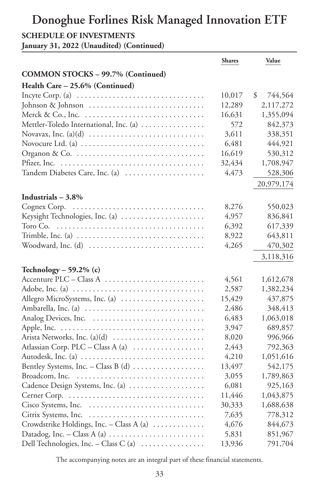#### **SCHEDULE OF INVESTMENTS**

**January 31, 2022 (Unaudited) (Continued)**

|                                                                                          | <b>Shares</b> | Value         |
|------------------------------------------------------------------------------------------|---------------|---------------|
| <b>COMMON STOCKS - 99.7% (Continued)</b>                                                 |               |               |
| Health Care - 25.6% (Continued)                                                          |               |               |
| Incyte Corp. (a) $\ldots \ldots \ldots \ldots \ldots \ldots \ldots \ldots \ldots \ldots$ | 10,017        | \$<br>744,564 |
| Johnson & Johnson                                                                        | 12,289        | 2,117,272     |
|                                                                                          | 16,631        | 1,355,094     |
| Mettler-Toledo International, Inc. (a)                                                   | 572           | 842,373       |
|                                                                                          | 3,611         | 338,351       |
|                                                                                          | 6,481         | 444,921       |
|                                                                                          | 16,619        | 530,312       |
|                                                                                          | 32,434        | 1,708,947     |
| Tandem Diabetes Care, Inc. (a)                                                           | 4,473         | 528,306       |
|                                                                                          |               | 20,979,174    |
| Industrials $-3.8\%$                                                                     |               |               |
| Cognex Corp.<br>.                                                                        | 8,276         | 550,023       |
| Keysight Technologies, Inc. (a)                                                          | 4,957         | 836,841       |
| Toro Co.                                                                                 | 6,392         | 617,339       |
| Trimble, Inc. (a) $\dots \dots \dots \dots \dots \dots \dots \dots \dots \dots \dots$    | 8,922         | 643,811       |
|                                                                                          | 4,265         | 470,302       |
|                                                                                          |               | 3,118,316     |
| Technology – 59.2% $(c)$                                                                 |               |               |
| Accenture PLC - Class A                                                                  | 4,561         | 1,612,678     |
| Adobe, Inc. (a) $\ldots \ldots \ldots \ldots \ldots \ldots \ldots \ldots \ldots \ldots$  | 2,587         | 1,382,234     |
| Allegro MicroSystems, Inc. (a)                                                           | 15,429        | 437,875       |
| Ambarella, Inc. (a)                                                                      | 2,486         | 348,413       |
| Analog Devices, Inc.                                                                     | 6,483         | 1,063,018     |
|                                                                                          | 3,947         | 689,857       |
|                                                                                          | 8,020         | 996,966       |
| Atlassian Corp. PLC - Class A (a)                                                        | 2,443         | 792,363       |
| Autodesk, Inc. (a)                                                                       | 4,210         | 1,051,616     |
| Bentley Systems, Inc. - Class B (d)                                                      | 13,497        | 542,175       |
|                                                                                          | 3,055         | 1,789,863     |
| Cadence Design Systems, Inc. (a)                                                         | 6,081         | 925,163       |
|                                                                                          | 11,446        | 1,043,875     |
|                                                                                          | 30,333        | 1,688,638     |
| Citrix Systems, Inc.                                                                     | 7,635         | 778,312       |
| Crowdstrike Holdings, Inc. - Class A (a)                                                 | 4,676         | 844,673       |
| Datadog, Inc. - Class A (a) $\dots \dots \dots \dots \dots \dots \dots$                  | 5,831         | 851,967       |
| Dell Technologies, Inc. - Class C (a)                                                    | 13,936        | 791,704       |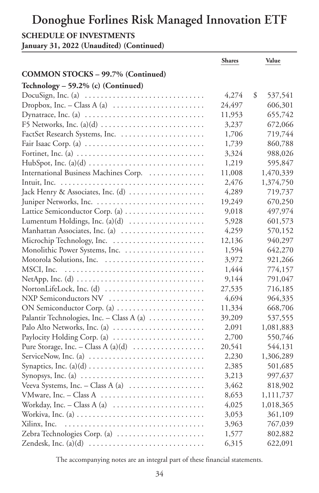#### **SCHEDULE OF INVESTMENTS**

**January 31, 2022 (Unaudited) (Continued)**

|                                                                                        | <b>Shares</b> | Value         |
|----------------------------------------------------------------------------------------|---------------|---------------|
| <b>COMMON STOCKS - 99.7% (Continued)</b>                                               |               |               |
| Technology - 59.2% (c) (Continued)                                                     |               |               |
| DocuSign, Inc. (a) $\dots \dots \dots \dots \dots \dots \dots \dots \dots \dots$       | 4,274         | 537,541<br>\$ |
| Dropbox, Inc. – Class A (a) $\dots \dots \dots \dots \dots \dots \dots$                | 24,497        | 606,301       |
|                                                                                        | 11,953        | 655,742       |
|                                                                                        | 3,237         | 672,066       |
| FactSet Research Systems, Inc.                                                         | 1,706         | 719,744       |
| Fair Isaac Corp. (a) $\ldots \ldots \ldots \ldots \ldots \ldots \ldots \ldots \ldots$  | 1,739         | 860,788       |
| Fortinet, Inc. (a) $\dots \dots \dots \dots \dots \dots \dots \dots \dots \dots \dots$ | 3,324         | 988,026       |
|                                                                                        | 1,219         | 595,847       |
| International Business Machines Corp.                                                  | 11,008        | 1,470,339     |
|                                                                                        | 2,476         | 1,374,750     |
| Jack Henry & Associates, Inc. (d)                                                      | 4,289         | 719,737       |
|                                                                                        | 19,249        | 670,250       |
| Lattice Semiconductor Corp. (a)                                                        | 9,018         | 497,974       |
| Lumentum Holdings, Inc. (a)(d)                                                         | 5,928         | 601,573       |
| Manhattan Associates, Inc. (a)                                                         | 4,259         | 570,152       |
| Microchip Technology, Inc.                                                             | 12,136        | 940,297       |
|                                                                                        | 1,594         | 642,270       |
| Motorola Solutions, Inc.                                                               | 3,972         | 921,266       |
| MSCI, Inc.                                                                             | 1,444         | 774,157       |
|                                                                                        | 9,144         | 791,047       |
| NortonLifeLock, Inc. (d)                                                               | 27,535        | 716,185       |
| NXP Semiconductors NV                                                                  | 4,694         | 964,335       |
| ON Semiconductor Corp. (a)                                                             | 11,334        | 668,706       |
| Palantir Technologies, Inc. - Class A (a)                                              | 39,209        | 537,555       |
| Palo Alto Networks, Inc. (a)                                                           | 2,091         | 1,081,883     |
| Paylocity Holding Corp. (a)                                                            | 2,700         | 550,746       |
| Pure Storage, Inc. – Class A $(a)(d)$                                                  | 20,541        | 544,131       |
| ServiceNow, Inc. (a) $\dots \dots \dots \dots \dots \dots \dots \dots \dots \dots$     | 2,230         | 1,306,289     |
|                                                                                        | 2,385         | 501,685       |
| Synopsys, Inc. (a) $\dots \dots \dots \dots \dots \dots \dots \dots \dots \dots$       | 3,213         | 997,637       |
| Veeva Systems, Inc. - Class A (a) $\dots\dots\dots\dots\dots\dots$                     | 3,462         | 818,902       |
|                                                                                        | 8,653         | 1,111,737     |
| Workday, Inc. – Class A (a) $\dots \dots \dots \dots \dots \dots \dots$                | 4,025         | 1,018,365     |
| Workiva, Inc. (a) $\dots \dots \dots \dots \dots \dots \dots \dots \dots \dots \dots$  | 3,053         | 361,109       |
| Xilinx, Inc.                                                                           | 3,963         | 767,039       |
| Zebra Technologies Corp. (a)                                                           | 1,577         | 802,882       |
|                                                                                        | 6,315         | 622,091       |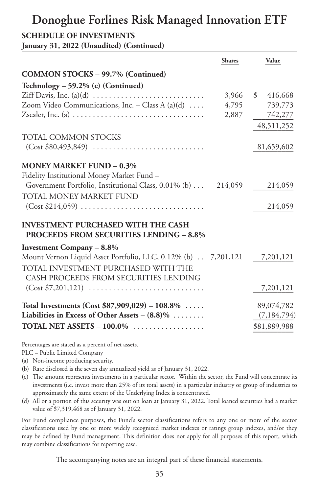### **Donoghue Forlines Risk Managed Innovation ETF**

#### **SCHEDULE OF INVESTMENTS**

**January 31, 2022 (Unaudited) (Continued)**

|                                                                                                 | <b>Shares</b> | Value                    |
|-------------------------------------------------------------------------------------------------|---------------|--------------------------|
| <b>COMMON STOCKS - 99.7% (Continued)</b>                                                        |               |                          |
| Technology - 59.2% (c) (Continued)                                                              |               |                          |
|                                                                                                 | 3,966         | $\mathcal{S}$<br>416,668 |
| Zoom Video Communications, Inc. - Class A (a)(d) $\dots$                                        | 4,795         | 739,773                  |
| Zscaler, Inc. (a) $\dots\dots\dots\dots\dots\dots\dots\dots\dots\dots\dots\dots\dots\dots\dots$ | 2,887         | 742,277                  |
|                                                                                                 |               | 48,511,252               |
| <b>TOTAL COMMON STOCKS</b>                                                                      |               |                          |
|                                                                                                 |               | 81,659,602               |
| <b>MONEY MARKET FUND - 0.3%</b>                                                                 |               |                          |
| Fidelity Institutional Money Market Fund -                                                      |               |                          |
| Government Portfolio, Institutional Class, 0.01% (b) 214,059                                    |               | 214,059                  |
| TOTAL MONEY MARKET FUND                                                                         |               |                          |
| $(Cost $214,059)$                                                                               |               | 214,059                  |
| <b>INVESTMENT PURCHASED WITH THE CASH</b><br><b>PROCEEDS FROM SECURITIES LENDING - 8.8%</b>     |               |                          |
| <b>Investment Company - 8.8%</b>                                                                |               |                          |
| Mount Vernon Liquid Asset Portfolio, LLC, 0.12% (b) 7,201,121                                   |               | 7,201,121                |
| TOTAL INVESTMENT PURCHASED WITH THE                                                             |               |                          |
| CASH PROCEEDS FROM SECURITIES LENDING                                                           |               |                          |
|                                                                                                 |               | 7,201,121                |
| Total Investments (Cost $$87,909,029$ ) – 108.8%                                                |               | 89,074,782               |
| Liabilities in Excess of Other Assets - $(8.8)\%$                                               |               | (7, 184, 794)            |
| TOTAL NET ASSETS $-100.0\%$                                                                     |               | \$81,889,988             |

Percentages are stated as a percent of net assets.

PLC – Public Limited Company

- (a) Non-income producing security.
- (b) Rate disclosed is the seven day annualized yield as of January 31, 2022.
- (c) The amount represents investments in a particular sector. Within the sector, the Fund will concentrate its investments (i.e. invest more than 25% of its total assets) in a particular industry or group of industries to approximately the same extent of the Underlying Index is concentrated.
- (d) All or a portion of this security was out on loan at January 31, 2022. Total loaned securities had a market value of \$7,319,468 as of January 31, 2022.

For Fund compliance purposes, the Fund's sector classifications refers to any one or more of the sector classifications used by one or more widely recognized market indexes or ratings group indexes, and/or they may be defined by Fund management. This definition does not apply for all purposes of this report, which may combine classifications for reporting ease.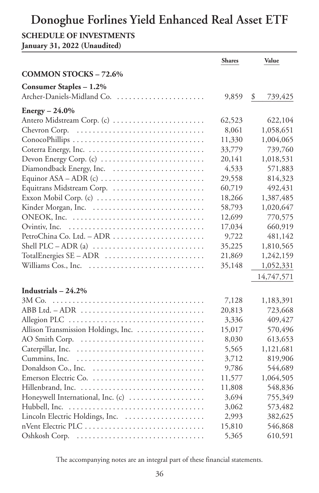#### **SCHEDULE OF INVESTMENTS**

**January 31, 2022 (Unaudited)**

|                                                                             | <b>Shares</b> | Value         |
|-----------------------------------------------------------------------------|---------------|---------------|
| <b>COMMON STOCKS - 72.6%</b>                                                |               |               |
| Consumer Staples - 1.2%                                                     |               |               |
| Archer-Daniels-Midland Co.                                                  | 9,859         | \$<br>739,425 |
| $Energy - 24.0\%$                                                           |               |               |
| Antero Midstream Corp. (c)                                                  | 62,523        | 622,104       |
| Chevron Corp.                                                               | 8,061         | 1,058,651     |
|                                                                             | 11,330        | 1,004,065     |
|                                                                             | 33,779        | 739,760       |
|                                                                             | 20,141        | 1,018,531     |
| Devon Energy Corp. (c)                                                      | 4,533         | 571,883       |
| Equinor $ASA - ADR$ (c) $\ldots \ldots \ldots \ldots \ldots \ldots \ldots$  | 29,558        | 814,323       |
| Equitrans Midstream Corp.                                                   | 60,719        | 492,431       |
| Exxon Mobil Corp. (c)                                                       | 18,266        | 1,387,485     |
|                                                                             | 58,793        | 1,020,647     |
|                                                                             | 12,699        | 770,575       |
| Ovintiv, Inc.                                                               | 17,034        | 660,919       |
|                                                                             | 9,722         | 481,142       |
| Shell PLC $-$ ADR (a) $\ldots$ $\ldots$ $\ldots$ $\ldots$ $\ldots$ $\ldots$ | 35,225        | 1,810,565     |
|                                                                             | 21,869        | 1,242,159     |
| Williams Cos., Inc.                                                         | 35,148        |               |
|                                                                             |               | 1,052,331     |
|                                                                             |               | 14,747,571    |
| Industrials $-24.2\%$                                                       |               |               |
|                                                                             | 7,128         | 1,183,391     |
| ABB Ltd. - ADR                                                              | 20,813        | 723,668       |
|                                                                             | 3,336         | 409,427       |
| Allison Transmission Holdings, Inc.                                         | 15,017        | 570,496       |
|                                                                             | 8,030         | 613,653       |
| Caterpillar, Inc.                                                           | 5,565         | 1,121,681     |
| Cummins, Inc.                                                               | 3,712         | 819,906       |
| Donaldson Co., Inc.                                                         | 9,786         | 544,689       |
| Emerson Electric Co.                                                        | 11,577        | 1,064,505     |
|                                                                             | 11,808        | 548,836       |
| Honeywell International, Inc. (c)                                           | 3,694         | 755,349       |
| Hubbell, Inc.                                                               | 3,062         | 573,482       |
| Lincoln Electric Holdings, Inc.                                             | 2,993         | 382,625       |
|                                                                             | 15,810        | 546,868       |
| Oshkosh Corp.                                                               | 5,365         | 610,591       |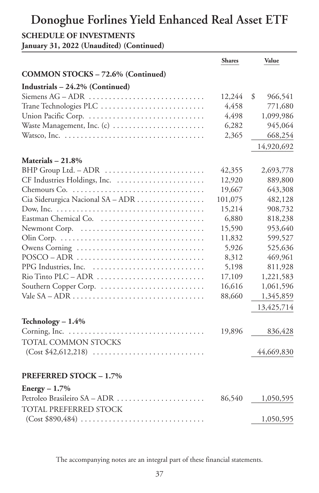#### **SCHEDULE OF INVESTMENTS**

**January 31, 2022 (Unaudited) (Continued)**

|                                                                       | <b>Shares</b> | Value         |
|-----------------------------------------------------------------------|---------------|---------------|
| <b>COMMON STOCKS - 72.6% (Continued)</b>                              |               |               |
| Industrials - 24.2% (Continued)                                       |               |               |
|                                                                       | 12,244        | 966,541<br>\$ |
| Trane Technologies PLC                                                | 4,458         | 771,680       |
| Union Pacific Corp.                                                   | 4,498         | 1,099,986     |
| Waste Management, Inc. (c)                                            | 6,282         | 945,064       |
|                                                                       | 2,365         | 668,254       |
|                                                                       |               | 14,920,692    |
| Materials - 21.8%                                                     |               |               |
| BHP Group Ltd. - ADR                                                  | 42,355        | 2,693,778     |
| CF Industries Holdings, Inc.                                          | 12,920        | 889,800       |
|                                                                       | 19,667        | 643,308       |
| Cia Siderurgica Nacional SA - ADR                                     | 101,075       | 482,128       |
|                                                                       | 15,214        | 908,732       |
|                                                                       | 6,880         | 818,238       |
|                                                                       | 15,590        | 953,640       |
|                                                                       | 11,832        | 599,527       |
| Owens Corning                                                         | 5,926         | 525,636       |
| $POSCO-ADR$                                                           | 8,312         | 469,961       |
| PPG Industries, Inc.                                                  | 5,198         | 811,928       |
| Rio Tinto PLC - ADR                                                   | 17,109        | 1,221,583     |
|                                                                       | 16,616        | 1,061,596     |
|                                                                       | 88,660        | 1,345,859     |
|                                                                       |               | 13,425,714    |
| Technology $-1.4%$                                                    |               |               |
|                                                                       | 19,896        | 836,428       |
| TOTAL COMMON STOCKS                                                   |               |               |
| $(Cost $42,612,218) \ldots \ldots \ldots \ldots \ldots \ldots \ldots$ |               | 44,669,830    |
|                                                                       |               |               |
| <b>PREFERRED STOCK - 1.7%</b>                                         |               |               |
| $Energy - 1.7%$                                                       |               |               |
| Petroleo Brasileiro SA - ADR                                          | 86,540        | 1,050,595     |
| TOTAL PREFERRED STOCK                                                 |               |               |
|                                                                       |               | 1,050,595     |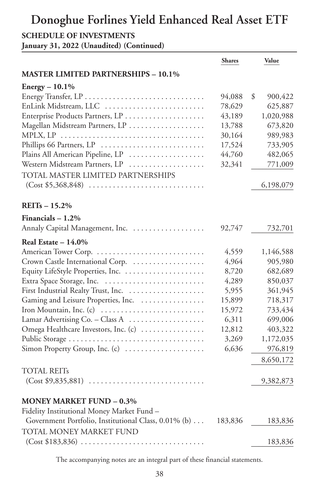#### **SCHEDULE OF INVESTMENTS**

**January 31, 2022 (Unaudited) (Continued)**

|                                                                                  | <b>Shares</b> | Value         |
|----------------------------------------------------------------------------------|---------------|---------------|
| <b>MASTER LIMITED PARTNERSHIPS - 10.1%</b>                                       |               |               |
| Energy - 10.1%                                                                   |               |               |
|                                                                                  | 94,088        | \$<br>900,422 |
| EnLink Midstream, LLC                                                            | 78,629        | 625,887       |
| Enterprise Products Partners, LP                                                 | 43,189        | 1,020,988     |
| Magellan Midstream Partners, LP                                                  | 13,788        | 673,820       |
|                                                                                  | 30,164        | 989,983       |
| Phillips 66 Partners, LP                                                         | 17,524        | 733,905       |
| Plains All American Pipeline, LP                                                 | 44,760        | 482,065       |
| Western Midstream Partners, LP                                                   | 32,341        | 771,009       |
| TOTAL MASTER LIMITED PARTNERSHIPS                                                |               |               |
|                                                                                  |               | 6,198,079     |
| $REITs - 15.2%$                                                                  |               |               |
| Financials $-1.2\%$                                                              |               |               |
| Annaly Capital Management, Inc.                                                  | 92,747        | 732,701       |
| Real Estate $-14.0\%$                                                            |               |               |
|                                                                                  | 4,559         | 1,146,588     |
| Crown Castle International Corp.                                                 | 4,964         | 905,980       |
| Equity LifeStyle Properties, Inc.                                                | 8,720         | 682,689       |
| Extra Space Storage, Inc.                                                        | 4,289         | 850,037       |
|                                                                                  | 5,955         | 361,945       |
| Gaming and Leisure Properties, Inc.                                              | 15,899        | 718,317       |
| Iron Mountain, Inc. (c)                                                          | 15,972        | 733,434       |
| Lamar Advertising Co. - Class A                                                  | 6,311         | 699,006       |
| Omega Healthcare Investors, Inc. (c)                                             | 12,812        | 403,322       |
| Public Storage                                                                   | 3,269         | 1,172,035     |
| Simon Property Group, Inc. (c)                                                   | 6,636         | 976,819       |
|                                                                                  |               | 8,650,172     |
| TOTAL REITs                                                                      |               |               |
|                                                                                  |               | 9,382,873     |
| <b>MONEY MARKET FUND - 0.3%</b>                                                  |               |               |
| Fidelity Institutional Money Market Fund -                                       |               |               |
| Government Portfolio, Institutional Class, 0.01% (b)                             | 183,836       | 183,836       |
| TOTAL MONEY MARKET FUND                                                          |               |               |
| $(Cost $183,836) \ldots \ldots \ldots \ldots \ldots \ldots \ldots \ldots \ldots$ |               | 183,836       |
|                                                                                  |               |               |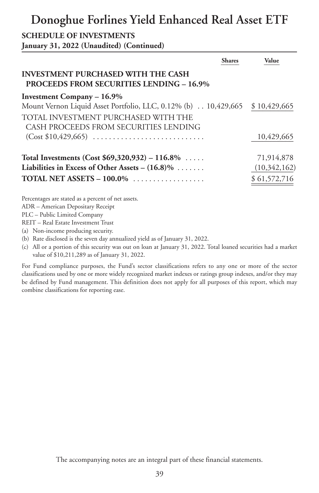#### **SCHEDULE OF INVESTMENTS**

**January 31, 2022 (Unaudited) (Continued)**

|                                                                                              | <b>Shares</b> | Value        |
|----------------------------------------------------------------------------------------------|---------------|--------------|
| <b>INVESTMENT PURCHASED WITH THE CASH</b><br><b>PROCEEDS FROM SECURITIES LENDING - 16.9%</b> |               |              |
| <b>Investment Company - 16.9%</b>                                                            |               |              |
| Mount Vernon Liquid Asset Portfolio, LLC, 0.12% (b) 10,429,665 \$10,429,665                  |               |              |
| TOTAL INVESTMENT PURCHASED WITH THE                                                          |               |              |
| CASH PROCEEDS FROM SECURITIES LENDING                                                        |               |              |
|                                                                                              |               | 10,429,665   |
| Total Investments (Cost $$69,320,932) - 116.8\%$                                             |               | 71,914,878   |
| Liabilities in Excess of Other Assets – $(16.8)\%$                                           |               | (10,342,162) |
| TOTAL NET ASSETS $-100.0\%$                                                                  |               | \$61,572,716 |
| Percentages are stated as a percent of net assets.<br>$\sqrt{2}$                             |               |              |

ADR – American Depositary Receipt

PLC – Public Limited Company

REIT – Real Estate Investment Trust

(a) Non-income producing security.

(b) Rate disclosed is the seven day annualized yield as of January 31, 2022.

(c) All or a portion of this security was out on loan at January 31, 2022. Total loaned securities had a market value of \$10,211,289 as of January 31, 2022.

For Fund compliance purposes, the Fund's sector classifications refers to any one or more of the sector classifications used by one or more widely recognized market indexes or ratings group indexes, and/or they may be defined by Fund management. This definition does not apply for all purposes of this report, which may combine classifications for reporting ease.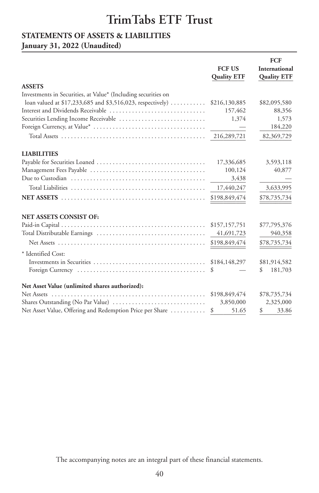### **STATEMENTS OF ASSETS & LIABILITIES**

### **January 31, 2022 (Unaudited)**

|                                                                              |                    | <b>FCF</b>         |
|------------------------------------------------------------------------------|--------------------|--------------------|
|                                                                              | <b>FCF US</b>      | International      |
|                                                                              | <b>Quality ETF</b> | <b>Quality ETF</b> |
| <b>ASSETS</b>                                                                |                    |                    |
| Investments in Securities, at Value* (Including securities on                |                    |                    |
| loan valued at \$17,233,685 and \$3,516,023, respectively) $\dots\dots\dots$ | \$216,130,885      | \$82,095,580       |
| Interest and Dividends Receivable                                            | 157,462            | 88,356             |
| Securities Lending Income Receivable                                         | 1,374              | 1,573              |
|                                                                              |                    | 184,220            |
|                                                                              | 216,289,721        | 82,369,729         |
| <b>LIABILITIES</b>                                                           |                    |                    |
|                                                                              | 17,336,685         | 3,593,118          |
|                                                                              | 100,124            | 40,877             |
|                                                                              | 3,438              |                    |
|                                                                              | 17,440,247         | 3,633,995          |
|                                                                              | \$198,849,474      | \$78,735,734       |
| <b>NET ASSETS CONSIST OF:</b>                                                |                    |                    |
|                                                                              | \$157,157,751      | \$77,795,376       |
|                                                                              | 41,691,723         | 940,358            |
|                                                                              | \$198,849,474      | \$78,735,734       |
| * Identified Cost:                                                           |                    |                    |
|                                                                              | \$184,148,297      | \$81,914,582       |
|                                                                              | S                  | 181,703<br>\$      |
| Net Asset Value (unlimited shares authorized):                               |                    |                    |
|                                                                              | \$198,849,474      | \$78,735,734       |
| Shares Outstanding (No Par Value)                                            | 3,850,000          | 2,325,000          |
| Net Asset Value, Offering and Redemption Price per Share                     | 51.65<br>\$        | 33.86<br>\$        |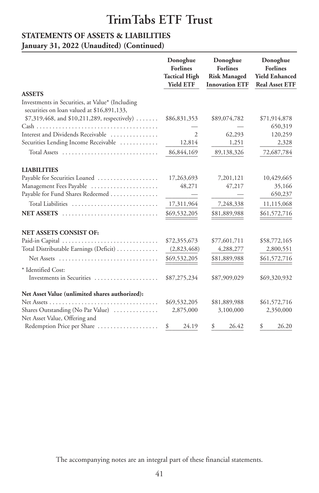# **STATEMENTS OF ASSETS & LIABILITIES**

### **January 31, 2022 (Unaudited) (Continued)**

|                                                                                               | Donoghue<br><b>Forlines</b><br><b>Tactical High</b><br><b>Yield ETF</b> | Donoghue<br><b>Forlines</b><br><b>Risk Managed</b><br><b>Innovation ETF</b> | Donoghue<br><b>Forlines</b><br><b>Yield Enhanced</b><br><b>Real Asset ETF</b> |
|-----------------------------------------------------------------------------------------------|-------------------------------------------------------------------------|-----------------------------------------------------------------------------|-------------------------------------------------------------------------------|
| <b>ASSETS</b>                                                                                 |                                                                         |                                                                             |                                                                               |
| Investments in Securities, at Value* (Including<br>securities on loan valued at \$16,891,133, |                                                                         |                                                                             |                                                                               |
| $$7,319,468$ , and $$10,211,289$ , respectively)                                              | \$86,831,353                                                            | \$89,074,782                                                                | \$71,914,878                                                                  |
|                                                                                               |                                                                         |                                                                             | 650,319                                                                       |
| Interest and Dividends Receivable                                                             | $\mathfrak{2}$                                                          | 62,293                                                                      | 120,259                                                                       |
| Securities Lending Income Receivable                                                          | 12,814                                                                  | 1,251                                                                       | 2,328                                                                         |
|                                                                                               | 86,844,169                                                              | 89,138,326                                                                  | 72,687,784                                                                    |
| <b>LIABILITIES</b>                                                                            |                                                                         |                                                                             |                                                                               |
| Payable for Securities Loaned                                                                 | 17,263,693                                                              | 7,201,121                                                                   | 10,429,665                                                                    |
| Management Fees Payable                                                                       | 48,271                                                                  | 47,217                                                                      | 35,166                                                                        |
| Payable for Fund Shares Redeemed                                                              |                                                                         |                                                                             | 650,237                                                                       |
| Total Liabilities                                                                             | 17,311,964                                                              | 7,248,338                                                                   | 11,115,068                                                                    |
| <b>NET ASSETS</b>                                                                             | \$69,532,205                                                            | \$81,889,988                                                                | \$61,572,716                                                                  |
| <b>NET ASSETS CONSIST OF:</b>                                                                 |                                                                         |                                                                             |                                                                               |
|                                                                                               | \$72,355,673                                                            | \$77,601,711                                                                | \$58,772,165                                                                  |
| Total Distributable Earnings (Deficit)                                                        | (2,823,468)                                                             | 4,288,277                                                                   | 2,800,551                                                                     |
|                                                                                               | \$69,532,205                                                            | \$81,889,988                                                                | \$61,572,716                                                                  |
| * Identified Cost:                                                                            |                                                                         |                                                                             |                                                                               |
| Investments in Securities                                                                     | \$87,275,234                                                            | \$87,909,029                                                                | \$69,320,932                                                                  |
| Net Asset Value (unlimited shares authorized):                                                |                                                                         |                                                                             |                                                                               |
| Net Assets<br>.                                                                               | \$69,532,205                                                            | \$81,889,988                                                                | \$61,572,716                                                                  |
| Shares Outstanding (No Par Value)                                                             | 2,875,000                                                               | 3,100,000                                                                   | 2,350,000                                                                     |
| Net Asset Value, Offering and                                                                 |                                                                         |                                                                             |                                                                               |
| Redemption Price per Share                                                                    | \$<br>24.19                                                             | \$<br>26.42                                                                 | \$<br>26.20                                                                   |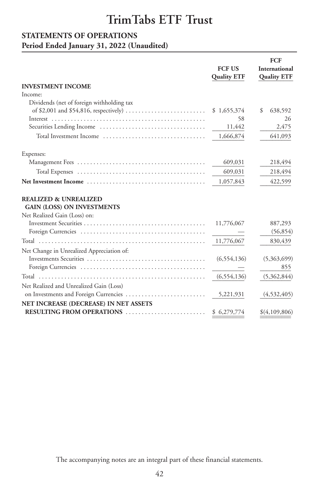# **STATEMENTS OF OPERATIONS**

### **Period Ended January 31, 2022 (Unaudited)**

|               | <b>FCF</b>                                                     |
|---------------|----------------------------------------------------------------|
| <b>FCF US</b> | International                                                  |
|               | <b>Quality ETF</b>                                             |
|               |                                                                |
|               |                                                                |
|               |                                                                |
|               | \$<br>638,592                                                  |
|               | 26                                                             |
|               | 2,475                                                          |
|               | 641,093                                                        |
|               |                                                                |
| 609,031       | 218,494                                                        |
| 609,031       | 218,494                                                        |
| 1,057,843     | 422,599                                                        |
|               |                                                                |
|               |                                                                |
|               |                                                                |
| 11,776,067    | 887,293                                                        |
|               | (56, 854)                                                      |
| 11,776,067    | 830,439                                                        |
|               |                                                                |
| (6, 554, 136) | (5,363,699)                                                    |
|               | 855                                                            |
| (6, 554, 136) | (5,362,844)                                                    |
|               |                                                                |
| 5,221,931     | (4, 532, 405)                                                  |
|               |                                                                |
| \$6,279,774   | \$(4,109,806)                                                  |
|               | <b>Quality ETF</b><br>\$1,655,374<br>58<br>11,442<br>1,666,874 |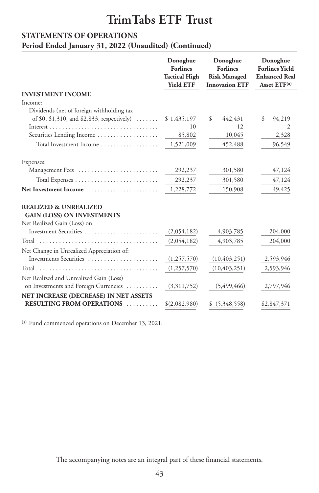#### **STATEMENTS OF OPERATIONS**

**Period Ended January 31, 2022 (Unaudited) (Continued)**

|                                                                                                       | Donoghue<br><b>Forlines</b><br><b>Tactical High</b><br><b>Yield ETF</b> | Donoghue<br><b>Forlines</b><br><b>Risk Managed</b><br><b>Innovation ETF</b> | Donoghue<br><b>Forlines Yield</b><br><b>Enhanced Real</b><br>Asset $ETF^{(a)}$ |
|-------------------------------------------------------------------------------------------------------|-------------------------------------------------------------------------|-----------------------------------------------------------------------------|--------------------------------------------------------------------------------|
| <b>INVESTMENT INCOME</b>                                                                              |                                                                         |                                                                             |                                                                                |
| Income:                                                                                               |                                                                         |                                                                             |                                                                                |
| Dividends (net of foreign withholding tax                                                             |                                                                         |                                                                             |                                                                                |
| of \$0, \$1,310, and \$2,833, respectively) $\dots$                                                   | \$1,435,197                                                             | \$<br>442,431                                                               | \$<br>94,219                                                                   |
|                                                                                                       | 10                                                                      | 12                                                                          | 2                                                                              |
| Securities Lending Income                                                                             | 85,802                                                                  | 10,045                                                                      | 2,328                                                                          |
| Total Investment Income                                                                               | 1,521,009                                                               | 452,488                                                                     | 96,549                                                                         |
| Expenses:                                                                                             |                                                                         |                                                                             |                                                                                |
| Management Fees                                                                                       | 292,237                                                                 | 301,580                                                                     | 47,124                                                                         |
|                                                                                                       | 292,237                                                                 | 301,580                                                                     | 47,124                                                                         |
| Net Investment Income                                                                                 | 1,228,772                                                               | 150,908                                                                     | 49,425                                                                         |
| <b>REALIZED &amp; UNREALIZED</b><br><b>GAIN (LOSS) ON INVESTMENTS</b><br>Net Realized Gain (Loss) on: |                                                                         |                                                                             |                                                                                |
| Investment Securities                                                                                 | (2,054,182)                                                             | 4,903,785                                                                   | 204,000                                                                        |
|                                                                                                       | (2,054,182)                                                             | 4,903,785                                                                   | 204,000                                                                        |
| Net Change in Unrealized Appreciation of:                                                             |                                                                         |                                                                             |                                                                                |
| Investments Securities                                                                                | (1,257,570)                                                             | (10, 403, 251)                                                              | 2,593,946                                                                      |
|                                                                                                       | (1,257,570)                                                             | (10, 403, 251)                                                              | 2,593,946                                                                      |
| Net Realized and Unrealized Gain (Loss)<br>on Investments and Foreign Currencies                      | (3,311,752)                                                             | (5,499,466)                                                                 | 2,797,946                                                                      |
| NET INCREASE (DECREASE) IN NET ASSETS                                                                 |                                                                         |                                                                             |                                                                                |
| <b>RESULTING FROM OPERATIONS </b>                                                                     | \$(2,082,980)                                                           | (5,348,558)                                                                 | \$2,847,371                                                                    |

(a) Fund commenced operations on December 13, 2021.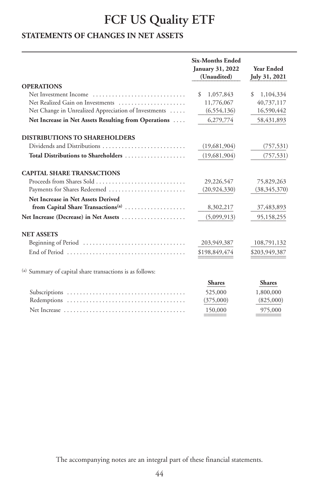# **FCF US Quality ETF**

### **STATEMENTS OF CHANGES IN NET ASSETS**

|                                                                                                | <b>Six-Months Ended</b><br>January 31, 2022<br>(Unaudited) | <b>Year Ended</b><br>July 31, 2021 |
|------------------------------------------------------------------------------------------------|------------------------------------------------------------|------------------------------------|
| <b>OPERATIONS</b>                                                                              |                                                            |                                    |
| Net Investment Income                                                                          | \$<br>1,057,843                                            | \$<br>1,104,334                    |
| Net Realized Gain on Investments                                                               | 11,776,067                                                 | 40,737,117                         |
| Net Change in Unrealized Appreciation of Investments                                           | (6, 554, 136)                                              | 16,590,442                         |
| Net Increase in Net Assets Resulting from Operations                                           | 6,279,774                                                  | 58,431,893                         |
| <b>DISTRIBUTIONS TO SHAREHOLDERS</b>                                                           |                                                            |                                    |
| Dividends and Distributions                                                                    | (19, 681, 904)                                             | (757, 531)                         |
| Total Distributions to Shareholders                                                            | (19,681,904)                                               | (757, 531)                         |
| <b>CAPITAL SHARE TRANSACTIONS</b>                                                              |                                                            |                                    |
|                                                                                                | 29,226,547                                                 | 75,829,263                         |
| Payments for Shares Redeemed                                                                   | (20, 924, 330)                                             | (38,345,370)                       |
| Net Increase in Net Assets Derived                                                             |                                                            |                                    |
| from Capital Share Transactions <sup>(a)</sup>                                                 | 8,302,217                                                  | 37,483,893                         |
| Net Increase (Decrease) in Net Assets                                                          | (5,099,913)                                                | 95,158,255                         |
| <b>NET ASSETS</b>                                                                              |                                                            |                                    |
| Beginning of Period                                                                            | 203,949,387                                                | 108,791,132                        |
| End of Period $\ldots, \ldots, \ldots, \ldots, \ldots, \ldots, \ldots, \ldots, \ldots, \ldots$ | \$198,849,474                                              | \$203,949,387                      |
| (a) Summary of capital share transactions is as follows:                                       |                                                            |                                    |
|                                                                                                | <b>Shares</b>                                              | <b>Shares</b>                      |
|                                                                                                | 525,000                                                    | 1,800,000                          |
|                                                                                                | (375,000)                                                  | (825,000)                          |
|                                                                                                | 150,000                                                    | 975,000                            |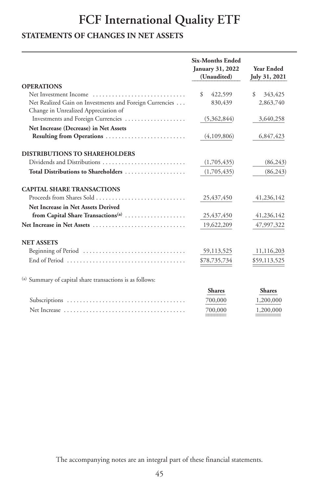# **FCF International Quality ETF**

### **STATEMENTS OF CHANGES IN NET ASSETS**

|                                                                                                 | <b>Six-Months Ended</b><br>January 31, 2022<br>(Unaudited) | <b>Year Ended</b><br>July 31, 2021 |
|-------------------------------------------------------------------------------------------------|------------------------------------------------------------|------------------------------------|
| <b>OPERATIONS</b>                                                                               |                                                            |                                    |
| Net Investment Income                                                                           | \$<br>422,599                                              | \$<br>343,425                      |
| Net Realized Gain on Investments and Foreign Currencies<br>Change in Unrealized Appreciation of | 830,439                                                    | 2,863,740                          |
| Investments and Foreign Currencies                                                              | (5,362,844)                                                | 3,640,258                          |
| Net Increase (Decrease) in Net Assets                                                           |                                                            |                                    |
| Resulting from Operations                                                                       | (4,109,806)                                                | 6,847,423                          |
| <b>DISTRIBUTIONS TO SHAREHOLDERS</b>                                                            |                                                            |                                    |
|                                                                                                 | (1,705,435)                                                | (86,243)                           |
| Total Distributions to Shareholders                                                             | (1,705,435)                                                | (86,243)                           |
|                                                                                                 |                                                            |                                    |
| <b>CAPITAL SHARE TRANSACTIONS</b>                                                               |                                                            |                                    |
|                                                                                                 | 25,437,450                                                 | 41,236,142                         |
| Net Increase in Net Assets Derived<br>from Capital Share Transactions <sup>(a)</sup>            | 25,437,450                                                 | 41,236,142                         |
|                                                                                                 | 19,622,209                                                 | 47,997,322                         |
| <b>NET ASSETS</b>                                                                               |                                                            |                                    |
| Beginning of Period                                                                             | 59,113,525                                                 | 11,116,203                         |
| End of Period $\ldots, \ldots, \ldots, \ldots, \ldots, \ldots, \ldots, \ldots, \ldots, \ldots$  | \$78,735,734                                               | \$59,113,525                       |
|                                                                                                 |                                                            |                                    |
| (a) Summary of capital share transactions is as follows:                                        |                                                            |                                    |
|                                                                                                 | <b>Shares</b>                                              | <b>Shares</b>                      |
|                                                                                                 | 700,000                                                    | 1,200,000                          |
|                                                                                                 | 700,000                                                    | 1,200,000                          |
|                                                                                                 |                                                            |                                    |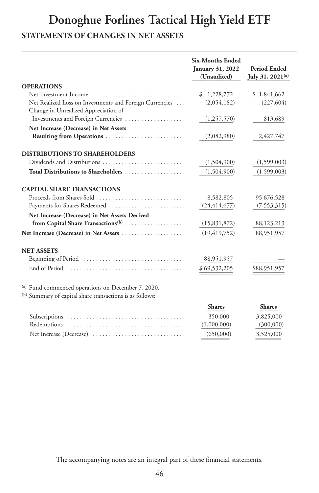### **Donoghue Forlines Tactical High Yield ETF STATEMENTS OF CHANGES IN NET ASSETS**

|                                                                                                | <b>Six-Months Ended</b><br>January 31, 2022<br>(Unaudited) | <b>Period Ended</b><br>July 31, 2021 <sup>(a)</sup> |
|------------------------------------------------------------------------------------------------|------------------------------------------------------------|-----------------------------------------------------|
| <b>OPERATIONS</b>                                                                              |                                                            |                                                     |
| Net Investment Income                                                                          | 1,228,772<br>\$                                            | \$1,841,662                                         |
| Net Realized Loss on Investments and Foreign Currencies                                        | (2,054,182)                                                | (227, 604)                                          |
| Change in Unrealized Appreciation of                                                           |                                                            |                                                     |
| Investments and Foreign Currencies                                                             | (1,257,570)                                                | 813,689                                             |
| Net Increase (Decrease) in Net Assets                                                          |                                                            |                                                     |
| Resulting from Operations                                                                      | (2,082,980)                                                | 2,427,747                                           |
| <b>DISTRIBUTIONS TO SHAREHOLDERS</b>                                                           |                                                            |                                                     |
|                                                                                                | (1,504,900)                                                | (1,599,003)                                         |
| Total Distributions to Shareholders                                                            | (1,504,900)                                                | (1,599,003)                                         |
| <b>CAPITAL SHARE TRANSACTIONS</b>                                                              |                                                            |                                                     |
| Proceeds from Shares Sold                                                                      | 8,582,805                                                  | 95,676,528                                          |
| Payments for Shares Redeemed                                                                   | (24, 414, 677)                                             | (7, 553, 315)                                       |
| Net Increase (Decrease) in Net Assets Derived                                                  |                                                            |                                                     |
| from Capital Share Transactions <sup>(b)</sup>                                                 | (15,831,872)                                               | 88,123,213                                          |
| Net Increase (Decrease) in Net Assets                                                          | (19, 419, 752)                                             | 88,951,957                                          |
| <b>NET ASSETS</b>                                                                              |                                                            |                                                     |
| Beginning of Period                                                                            | 88,951,957                                                 |                                                     |
| End of Period $\ldots, \ldots, \ldots, \ldots, \ldots, \ldots, \ldots, \ldots, \ldots, \ldots$ | \$69,532,205                                               | \$88,951,957                                        |
| (a) Fund commenced operations on December 7, 2020.                                             |                                                            |                                                     |
| (b) Summary of capital share transactions is as follows:                                       |                                                            |                                                     |
|                                                                                                | <b>Shares</b>                                              | <b>Shares</b>                                       |
|                                                                                                | 350,000                                                    | 3,825,000                                           |
|                                                                                                | (1,000,000)                                                | (300,000)                                           |
| Net Increase (Decrease)                                                                        | (650,000)                                                  | 3,525,000                                           |
|                                                                                                |                                                            |                                                     |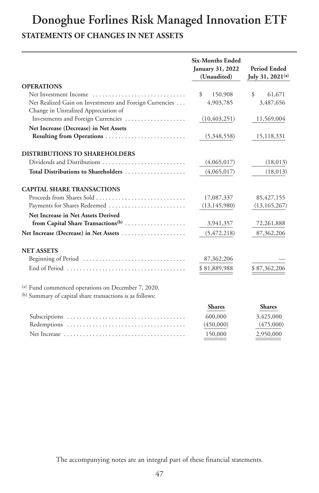## **Donoghue Forlines Risk Managed Innovation ETF STATEMENTS OF CHANGES IN NET ASSETS**

|                                                                                                | <b>Six-Months Ended</b><br>January 31, 2022<br>(Unaudited) | <b>Period Ended</b><br>July 31, 2021 <sup>(a)</sup> |
|------------------------------------------------------------------------------------------------|------------------------------------------------------------|-----------------------------------------------------|
| <b>OPERATIONS</b>                                                                              |                                                            |                                                     |
| Net Investment Income                                                                          | $\mathcal{S}$<br>150,908                                   | $\mathcal{S}$<br>61,671                             |
| Net Realized Gain on Investments and Foreign Currencies                                        | 4,903,785                                                  | 3,487,656                                           |
| Change in Unrealized Appreciation of                                                           |                                                            |                                                     |
| Investments and Foreign Currencies                                                             | (10, 403, 251)                                             | 11,569,004                                          |
| Net Increase (Decrease) in Net Assets                                                          |                                                            |                                                     |
| Resulting from Operations                                                                      | (5,348,558)                                                | 15,118,331                                          |
| <b>DISTRIBUTIONS TO SHAREHOLDERS</b>                                                           |                                                            |                                                     |
|                                                                                                | (4,065,017)                                                | (18,013)                                            |
| Total Distributions to Shareholders                                                            | (4,065,017)                                                | (18, 013)                                           |
| <b>CAPITAL SHARE TRANSACTIONS</b>                                                              |                                                            |                                                     |
|                                                                                                | 17,087,337                                                 | 85,427,155                                          |
| Payments for Shares Redeemed                                                                   | (13, 145, 980)                                             | (13, 165, 267)                                      |
| Net Increase in Net Assets Derived                                                             |                                                            |                                                     |
| from Capital Share Transactions <sup>(b)</sup>                                                 | 3,941,357                                                  | 72,261,888                                          |
| Net Increase (Decrease) in Net Assets                                                          | (5, 472, 218)                                              | 87,362,206                                          |
| <b>NET ASSETS</b>                                                                              |                                                            |                                                     |
| Beginning of Period                                                                            | 87,362,206                                                 |                                                     |
| End of Period $\ldots, \ldots, \ldots, \ldots, \ldots, \ldots, \ldots, \ldots, \ldots, \ldots$ | \$81,889,988                                               | \$87,362,206                                        |
| (a) Fund commenced operations on December 7, 2020.                                             |                                                            |                                                     |
| (b) Summary of capital share transactions is as follows:                                       |                                                            |                                                     |
|                                                                                                | <b>Shares</b>                                              | <b>Shares</b>                                       |
|                                                                                                | 600,000                                                    | 3,425,000                                           |
|                                                                                                | (450,000)                                                  | (475,000)                                           |
|                                                                                                | 150,000                                                    | 2,950,000                                           |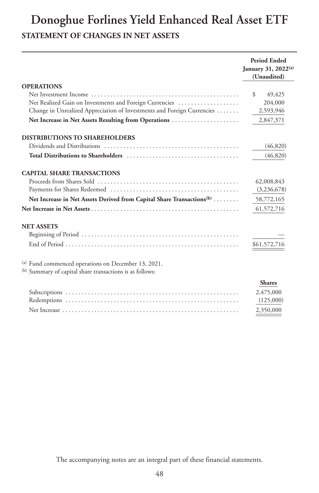# **Donoghue Forlines Yield Enhanced Real Asset ETF STATEMENT OF CHANGES IN NET ASSETS**

|                                                                                   | <b>Period Ended</b><br>January 31, 2022(a)<br>(Unaudited) |
|-----------------------------------------------------------------------------------|-----------------------------------------------------------|
| <b>OPERATIONS</b>                                                                 |                                                           |
|                                                                                   | \$<br>49,425                                              |
| Net Realized Gain on Investments and Foreign Currencies                           | 204,000                                                   |
| Change in Unrealized Appreciation of Investments and Foreign Currencies           | 2,593,946                                                 |
| Net Increase in Net Assets Resulting from Operations                              | 2,847,371                                                 |
| <b>DISTRIBUTIONS TO SHAREHOLDERS</b>                                              |                                                           |
|                                                                                   | (46, 820)                                                 |
|                                                                                   | (46, 820)                                                 |
| <b>CAPITAL SHARE TRANSACTIONS</b>                                                 |                                                           |
|                                                                                   | 62,008,843                                                |
|                                                                                   | (3,236,678)                                               |
| Net Increase in Net Assets Derived from Capital Share Transactions <sup>(b)</sup> | 58,772,165                                                |
|                                                                                   | 61,572,716                                                |
| <b>NET ASSETS</b>                                                                 |                                                           |
|                                                                                   |                                                           |
|                                                                                   | \$61,572,716                                              |
| (a) Fund commenced operations on December 13, 2021.                               |                                                           |
| (b) Summary of capital share transactions is as follows:                          |                                                           |
|                                                                                   | <b>Shares</b>                                             |
|                                                                                   | 2,475,000                                                 |
|                                                                                   | (125,000)                                                 |
|                                                                                   | 2,350,000                                                 |

The accompanying notes are an integral part of these financial statements.

,350,000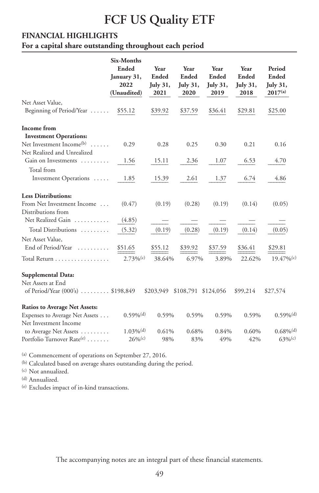# **FCF US Quality ETF**

#### **FINANCIAL HIGHLIGHTS**

#### **For a capital share outstanding throughout each period**

|                                        | Six-Months              |           |                     |                 |                 |                          |
|----------------------------------------|-------------------------|-----------|---------------------|-----------------|-----------------|--------------------------|
|                                        | Ended                   | Year      | Year                | Year            | Year            | Period                   |
|                                        | January 31,             | Ended     | Ended               | Ended           | Ended           | Ended                    |
|                                        | 2022                    | July 31,  | <b>July 31,</b>     | <b>July 31,</b> | <b>July 31,</b> | <b>July 31,</b>          |
|                                        | (Unaudited)             | 2021      | 2020                | 2019            | 2018            | $2017^{(a)}$             |
| Net Asset Value,                       |                         |           |                     |                 |                 |                          |
| Beginning of Period/Year               | \$55.12                 | \$39.92   | \$37.59             | \$36.41         | \$29.81         | \$25.00                  |
| Income from                            |                         |           |                     |                 |                 |                          |
| <b>Investment Operations:</b>          |                         |           |                     |                 |                 |                          |
| Net Investment Income <sup>(b)</sup>   | 0.29                    | 0.28      | 0.25                | 0.30            | 0.21            | 0.16                     |
| Net Realized and Unrealized            |                         |           |                     |                 |                 |                          |
| Gain on Investments                    | 1.56                    | 15.11     | 2.36                | 1.07            | 6.53            | 4.70                     |
| Total from                             |                         |           |                     |                 |                 |                          |
| Investment Operations                  | 1.85                    | 15.39     | 2.61                | 1.37            | 6.74            | 4.86                     |
| <b>Less Distributions:</b>             |                         |           |                     |                 |                 |                          |
| From Net Investment Income             | (0.47)                  | (0.19)    | (0.28)              | (0.19)          | (0.14)          | (0.05)                   |
| Distributions from                     |                         |           |                     |                 |                 |                          |
| Net Realized Gain                      | (4.85)                  |           |                     |                 |                 |                          |
| Total Distributions                    | (5.32)                  | (0.19)    | (0.28)              | (0.19)          | (0.14)          | (0.05)                   |
| Net Asset Value,                       |                         |           |                     |                 |                 |                          |
| End of Period/Year                     | \$51.65                 | \$55.12   | \$39.92             | \$37.59         | \$36.41         | \$29.81                  |
| Total Return                           | $2.73\%$ <sup>(c)</sup> | 38.64%    | 6.97%               | 3.89%           | 22.62%          | $19.47\%$ <sup>(c)</sup> |
| <b>Supplemental Data:</b>              |                         |           |                     |                 |                 |                          |
| Net Assets at End                      |                         |           |                     |                 |                 |                          |
| of Period/Year (000's)  \$198,849      |                         | \$203,949 | \$108,791 \$124,056 |                 | \$99,214        | \$27,574                 |
| <b>Ratios to Average Net Assets:</b>   |                         |           |                     |                 |                 |                          |
| Expenses to Average Net Assets         | $0.59\%$ <sup>(d)</sup> | 0.59%     | 0.59%               | 0.59%           | 0.59%           | $0.59\%$ <sup>(d)</sup>  |
| Net Investment Income                  |                         |           |                     |                 |                 |                          |
| to Average Net Assets                  | $1.03\%$ <sup>(d)</sup> | 0.61%     | 0.68%               | 0.84%           | 0.60%           | $0.68\%$ <sup>(d)</sup>  |
| Portfolio Turnover Rate <sup>(e)</sup> | $26\%$ <sup>(c)</sup>   | 98%       | 83%                 | 49%             | 42%             | 63%                      |
|                                        |                         |           |                     |                 |                 |                          |

(a) Commencement of operations on September 27, 2016.

(b) Calculated based on average shares outstanding during the period.

(c) Not annualized.

(d) Annualized.

(e) Excludes impact of in-kind transactions.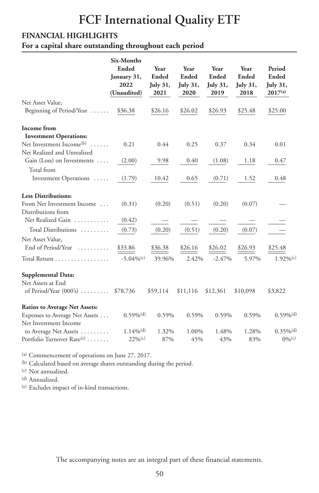# **FCF International Quality ETF**

#### **FINANCIAL HIGHLIGHTS**

**For a capital share outstanding throughout each period**

|                                        | Six-Months              |          |                 |             |                 |                         |
|----------------------------------------|-------------------------|----------|-----------------|-------------|-----------------|-------------------------|
|                                        | Ended                   | Year     | Year            | Year        | Year            | Period                  |
|                                        | January 31,             | Ended    | Ended           | Ended       | Ended           | Ended                   |
|                                        | 2022                    | July 31, | <b>July 31,</b> | July $31$ , | <b>July 31,</b> | <b>July 31,</b>         |
|                                        | (Unaudited)             | 2021     | 2020            | 2019        | 2018            | $2017^{(a)}$            |
| Net Asset Value,                       |                         |          |                 |             |                 |                         |
| Beginning of Period/Year               | \$36.38                 | \$26.16  | \$26.02         | \$26.93     | \$25.48         | \$25.00                 |
| Income from                            |                         |          |                 |             |                 |                         |
| <b>Investment Operations:</b>          |                         |          |                 |             |                 |                         |
| Net Investment Income <sup>(b)</sup>   | 0.21                    | 0.44     | 0.25            | 0.37        | 0.34            | 0.01                    |
| Net Realized and Unrealized            |                         |          |                 |             |                 |                         |
| Gain (Loss) on Investments             | (2.00)                  | 9.98     | 0.40            | (1.08)      | 1.18            | 0.47                    |
| Total from                             |                         |          |                 |             |                 |                         |
| Investment Operations                  | (1.79)                  | 10.42    | 0.65            | (0.71)      | 1.52            | 0.48                    |
| <b>Less Distributions:</b>             |                         |          |                 |             |                 |                         |
| From Net Investment Income             | (0.31)                  | (0.20)   | (0.51)          | (0.20)      | (0.07)          |                         |
| Distributions from                     |                         |          |                 |             |                 |                         |
| Net Realized Gain                      | (0.42)                  |          |                 |             |                 |                         |
| Total Distributions                    | (0.73)                  | (0.20)   | (0.51)          | (0.20)      | (0.07)          |                         |
| Net Asset Value,                       |                         |          |                 |             |                 |                         |
| End of Period/Year                     | \$33.86                 | \$36.38  | \$26.16         | \$26.02     | \$26.93         | \$25.48                 |
| Total Return                           | $-5.04\%$ (c)           | 39.96%   | 2.42%           | $-2.47%$    | 5.97%           | $1.92\%$ <sup>(c)</sup> |
| Supplemental Data:                     |                         |          |                 |             |                 |                         |
| Net Assets at End                      |                         |          |                 |             |                 |                         |
| of Period/Year $(000)$ \$78,736        |                         | \$59,114 | \$11,116        | \$12,361    | \$10,098        | \$3,822                 |
| <b>Ratios to Average Net Assets:</b>   |                         |          |                 |             |                 |                         |
| Expenses to Average Net Assets         | $0.59\%$ <sup>(d)</sup> | 0.59%    | 0.59%           | 0.59%       | 0.59%           | $0.59\%$ <sup>(d)</sup> |
| Net Investment Income                  |                         |          |                 |             |                 |                         |
| to Average Net Assets                  | $1.14\%$ <sup>(d)</sup> | 1.32%    | 1.00%           | 1.48%       | 1.28%           | $0.35\%$ <sup>(d)</sup> |
| Portfolio Turnover Rate <sup>(e)</sup> | $22\%$ <sup>(c)</sup>   | 87%      | 45%             | 43%         | 83%             | $0\%$ <sup>(c)</sup>    |

(a) Commencement of operations on June 27, 2017.

(b) Calculated based on average shares outstanding during the period.

(c) Not annualized.

(d) Annualized.

(e) Excludes impact of in-kind transactions.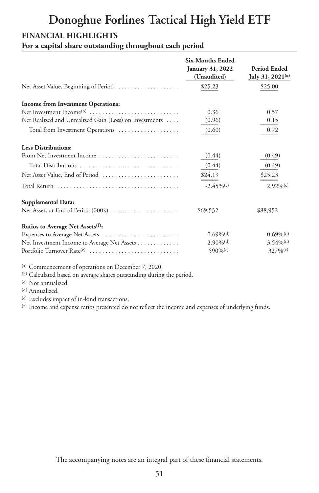# **Donoghue Forlines Tactical High Yield ETF**

#### **FINANCIAL HIGHLIGHTS**

**For a capital share outstanding throughout each period**

|                                                        | <b>Six-Months Ended</b><br>January 31, 2022<br>(Unaudited) | <b>Period Ended</b><br>July 31, 2021 <sup>(a)</sup> |
|--------------------------------------------------------|------------------------------------------------------------|-----------------------------------------------------|
| Net Asset Value, Beginning of Period                   | \$25.23                                                    | \$25.00                                             |
| <b>Income from Investment Operations:</b>              |                                                            |                                                     |
|                                                        | 0.36                                                       | 0.57                                                |
| Net Realized and Unrealized Gain (Loss) on Investments | (0.96)                                                     | 0.15                                                |
| Total from Investment Operations                       | (0.60)                                                     | 0.72                                                |
| <b>Less Distributions:</b>                             |                                                            |                                                     |
| From Net Investment Income                             | (0.44)                                                     | (0.49)                                              |
| Total Distributions                                    | (0.44)                                                     | (0.49)                                              |
| Net Asset Value, End of Period                         | \$24.19                                                    | \$25.23                                             |
|                                                        | $-2.45\%$ (c)                                              | $2.92\%$ <sup>(c)</sup>                             |
| Supplemental Data:                                     |                                                            |                                                     |
| Net Assets at End of Period (000's)                    | \$69,532                                                   | \$88,952                                            |
| Ratios to Average Net Assets <sup>(f)</sup> :          |                                                            |                                                     |
| Expenses to Average Net Assets                         | $0.69\%$ <sup>(d)</sup>                                    | $0.69\%$ <sup>(d)</sup>                             |
| Net Investment Income to Average Net Assets            | $2.90\%$ <sup>(d)</sup>                                    | $3.54\%$ <sup>(d)</sup>                             |
| Portfolio Turnover Rate <sup>(e)</sup>                 | 590\%(c)                                                   | $327\%$ <sup>(c)</sup>                              |

(a) Commencement of operations on December 7, 2020.

(b) Calculated based on average shares outstanding during the period.

(c) Not annualized.

(d) Annualized.

(e) Excludes impact of in-kind transactions.

(f) Income and expense ratios presented do not reflect the income and expenses of underlying funds.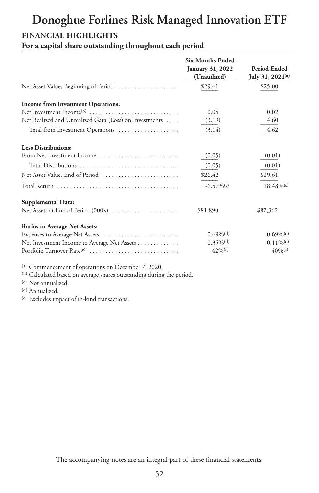# **Donoghue Forlines Risk Managed Innovation ETF**

#### **FINANCIAL HIGHLIGHTS**

**For a capital share outstanding throughout each period**

|                                                        | <b>Six-Months Ended</b><br><b>January 31, 2022</b><br>(Unaudited) | <b>Period Ended</b><br>July 31, 2021 <sup>(a)</sup> |
|--------------------------------------------------------|-------------------------------------------------------------------|-----------------------------------------------------|
| Net Asset Value, Beginning of Period                   | \$29.61                                                           | \$25.00                                             |
| <b>Income from Investment Operations:</b>              |                                                                   |                                                     |
| Net Investment Income <sup>(b)</sup>                   | 0.05                                                              | 0.02                                                |
| Net Realized and Unrealized Gain (Loss) on Investments | (3.19)                                                            | 4.60                                                |
| Total from Investment Operations                       | (3.14)                                                            | 4.62                                                |
| <b>Less Distributions:</b>                             |                                                                   |                                                     |
| From Net Investment Income                             | (0.05)                                                            | (0.01)                                              |
| Total Distributions                                    | (0.05)                                                            | (0.01)                                              |
| Net Asset Value, End of Period                         | \$26.42                                                           | \$29.61                                             |
|                                                        | $-6.57\%$ (c)                                                     | $18.48\%$ <sup>(c)</sup>                            |
| Supplemental Data:                                     |                                                                   |                                                     |
| Net Assets at End of Period (000's)                    | \$81,890                                                          | \$87,362                                            |
| <b>Ratios to Average Net Assets:</b>                   |                                                                   |                                                     |
| Expenses to Average Net Assets                         | $0.69\%$ <sup>(d)</sup>                                           | $0.69\%$ <sup>(d)</sup>                             |
| Net Investment Income to Average Net Assets            | $0.35\%$ <sup>(d)</sup>                                           | $0.11\%$ <sup>(d)</sup>                             |
| Portfolio Turnover Rate <sup>(e)</sup>                 | $42%$ (c)                                                         | $40%$ <sup>(c)</sup>                                |

(a) Commencement of operations on December 7, 2020.

(b) Calculated based on average shares outstanding during the period.

(c) Not annualized.

(d) Annualized.

(e) Excludes impact of in-kind transactions.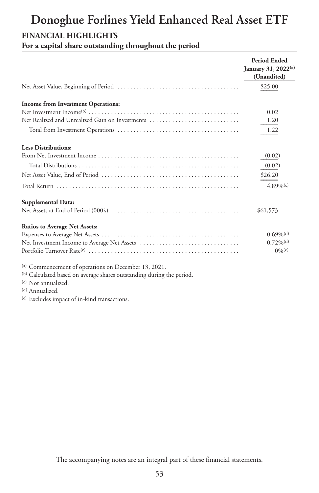#### **FINANCIAL HIGHLIGHTS**

**For a capital share outstanding throughout the period**

|                                                                       | Period Ended<br>January 31, 2022(a)<br>(Unaudited) |
|-----------------------------------------------------------------------|----------------------------------------------------|
|                                                                       | \$25.00                                            |
| <b>Income from Investment Operations:</b>                             |                                                    |
|                                                                       | 0.02                                               |
| Net Realized and Unrealized Gain on Investments                       | 1.20                                               |
|                                                                       | 1.22                                               |
| <b>Less Distributions:</b>                                            |                                                    |
|                                                                       | (0.02)                                             |
|                                                                       | (0.02)                                             |
|                                                                       | \$26.20                                            |
|                                                                       | $4.89\%$ <sup>(c)</sup>                            |
| Supplemental Data:                                                    |                                                    |
|                                                                       | \$61,573                                           |
| <b>Ratios to Average Net Assets:</b>                                  |                                                    |
|                                                                       | $0.69\%$ <sup>(d)</sup>                            |
|                                                                       | $0.72\%$ <sup>(d)</sup>                            |
|                                                                       | $0\%$ <sup>(c)</sup>                               |
| (a) Commencement of operations on December 13, 2021.                  |                                                    |
| (b) Calculated based on average shares outstanding during the period. |                                                    |
| (c) Not annualized.                                                   |                                                    |

(d) Annualized.

(e) Excludes impact of in-kind transactions.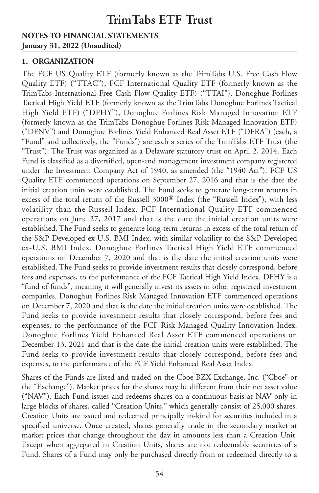#### **NOTES TO FINANCIAL STATEMENTS January 31, 2022 (Unaudited)**

#### **1. ORGANIZATION**

The FCF US Quality ETF (formerly known as the TrimTabs U.S. Free Cash Flow Quality ETF) ("TTAC"), FCF International Quality ETF (formerly known as the TrimTabs International Free Cash Flow Quality ETF) ("TTAI"), Donoghue Forlines Tactical High Yield ETF (formerly known as the TrimTabs Donoghue Forlines Tactical High Yield ETF) ("DFHY"), Donoghue Forlines Risk Managed Innovation ETF (formerly known as the TrimTabs Donoghue Forlines Risk Managed Innovation ETF) ("DFNV") and Donoghue Forlines Yield Enhanced Real Asset ETF ("DFRA") (each, a "Fund" and collectively, the "Funds") are each a series of the TrimTabs ETF Trust (the "Trust"). The Trust was organized as a Delaware statutory trust on April 2, 2014. Each Fund is classified as a diversified, open-end management investment company registered under the Investment Company Act of 1940, as amended (the "1940 Act"). FCF US Quality ETF commenced operations on September 27, 2016 and that is the date the initial creation units were established. The Fund seeks to generate long-term returns in excess of the total return of the Russell 3000® Index (the "Russell Index"), with less volatility than the Russell Index. FCF International Quality ETF commenced operations on June 27, 2017 and that is the date the initial creation units were established. The Fund seeks to generate long-term returns in excess of the total return of the S&P Developed ex-U.S. BMI Index, with similar volatility to the S&P Developed ex-U.S. BMI Index. Donoghue Forlines Tactical High Yield ETF commenced operations on December 7, 2020 and that is the date the initial creation units were established. The Fund seeks to provide investment results that closely correspond, before fees and expenses, to the performance of the FCF Tactical High Yield Index. DFHY is a "fund of funds", meaning it will generally invest its assets in other registered investment companies. Donoghue Forlines Risk Managed Innovation ETF commenced operations on December 7, 2020 and that is the date the initial creation units were established. The Fund seeks to provide investment results that closely correspond, before fees and expenses, to the performance of the FCF Risk Managed Quality Innovation Index. Donoghue Forlines Yield Enhanced Real Asset ETF commenced operations on December 13, 2021 and that is the date the initial creation units were established. The Fund seeks to provide investment results that closely correspond, before fees and expenses, to the performance of the FCF Yield Enhanced Real Asset Index.

Shares of the Funds are listed and traded on the Cboe BZX Exchange, Inc. ("Cboe" or the "Exchange"). Market prices for the shares may be different from their net asset value ("NAV"). Each Fund issues and redeems shares on a continuous basis at NAV only in large blocks of shares, called "Creation Units," which generally consist of 25,000 shares. Creation Units are issued and redeemed principally in-kind for securities included in a specified universe. Once created, shares generally trade in the secondary market at market prices that change throughout the day in amounts less than a Creation Unit. Except when aggregated in Creation Units, shares are not redeemable securities of a Fund. Shares of a Fund may only be purchased directly from or redeemed directly to a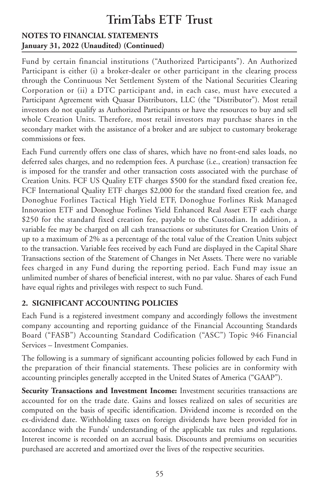#### **NOTES TO FINANCIAL STATEMENTS January 31, 2022 (Unaudited) (Continued)**

Fund by certain financial institutions ("Authorized Participants"). An Authorized Participant is either (i) a broker-dealer or other participant in the clearing process through the Continuous Net Settlement System of the National Securities Clearing Corporation or (ii) a DTC participant and, in each case, must have executed a Participant Agreement with Quasar Distributors, LLC (the "Distributor"). Most retail investors do not qualify as Authorized Participants or have the resources to buy and sell whole Creation Units. Therefore, most retail investors may purchase shares in the secondary market with the assistance of a broker and are subject to customary brokerage commissions or fees.

Each Fund currently offers one class of shares, which have no front-end sales loads, no deferred sales charges, and no redemption fees. A purchase (i.e., creation) transaction fee is imposed for the transfer and other transaction costs associated with the purchase of Creation Units. FCF US Quality ETF charges \$500 for the standard fixed creation fee, FCF International Quality ETF charges \$2,000 for the standard fixed creation fee, and Donoghue Forlines Tactical High Yield ETF, Donoghue Forlines Risk Managed Innovation ETF and Donoghue Forlines Yield Enhanced Real Asset ETF each charge \$250 for the standard fixed creation fee, payable to the Custodian. In addition, a variable fee may be charged on all cash transactions or substitutes for Creation Units of up to a maximum of 2% as a percentage of the total value of the Creation Units subject to the transaction. Variable fees received by each Fund are displayed in the Capital Share Transactions section of the Statement of Changes in Net Assets. There were no variable fees charged in any Fund during the reporting period. Each Fund may issue an unlimited number of shares of beneficial interest, with no par value. Shares of each Fund have equal rights and privileges with respect to such Fund.

#### **2. SIGNIFICANT ACCOUNTING POLICIES**

Each Fund is a registered investment company and accordingly follows the investment company accounting and reporting guidance of the Financial Accounting Standards Board ("FASB") Accounting Standard Codification ("ASC") Topic 946 Financial Services – Investment Companies.

The following is a summary of significant accounting policies followed by each Fund in the preparation of their financial statements. These policies are in conformity with accounting principles generally accepted in the United States of America ("GAAP").

**Security Transactions and Investment Income:** Investment securities transactions are accounted for on the trade date. Gains and losses realized on sales of securities are computed on the basis of specific identification. Dividend income is recorded on the ex-dividend date. Withholding taxes on foreign dividends have been provided for in accordance with the Funds' understanding of the applicable tax rules and regulations. Interest income is recorded on an accrual basis. Discounts and premiums on securities purchased are accreted and amortized over the lives of the respective securities.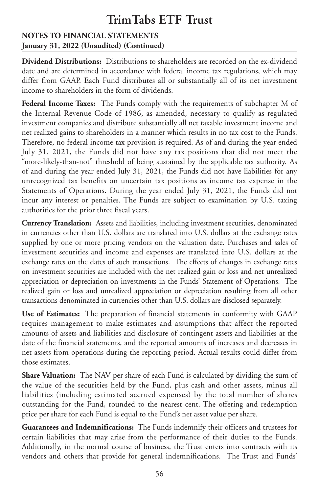#### **NOTES TO FINANCIAL STATEMENTS January 31, 2022 (Unaudited) (Continued)**

**Dividend Distributions:** Distributions to shareholders are recorded on the ex-dividend date and are determined in accordance with federal income tax regulations, which may differ from GAAP. Each Fund distributes all or substantially all of its net investment income to shareholders in the form of dividends.

**Federal Income Taxes:** The Funds comply with the requirements of subchapter M of the Internal Revenue Code of 1986, as amended, necessary to qualify as regulated investment companies and distribute substantially all net taxable investment income and net realized gains to shareholders in a manner which results in no tax cost to the Funds. Therefore, no federal income tax provision is required. As of and during the year ended July 31, 2021, the Funds did not have any tax positions that did not meet the "more-likely-than-not" threshold of being sustained by the applicable tax authority. As of and during the year ended July 31, 2021, the Funds did not have liabilities for any unrecognized tax benefits on uncertain tax positions as income tax expense in the Statements of Operations. During the year ended July 31, 2021, the Funds did not incur any interest or penalties. The Funds are subject to examination by U.S. taxing authorities for the prior three fiscal years.

**Currency Translation:** Assets and liabilities, including investment securities, denominated in currencies other than U.S. dollars are translated into U.S. dollars at the exchange rates supplied by one or more pricing vendors on the valuation date. Purchases and sales of investment securities and income and expenses are translated into U.S. dollars at the exchange rates on the dates of such transactions. The effects of changes in exchange rates on investment securities are included with the net realized gain or loss and net unrealized appreciation or depreciation on investments in the Funds' Statement of Operations. The realized gain or loss and unrealized appreciation or depreciation resulting from all other transactions denominated in currencies other than U.S. dollars are disclosed separately.

**Use of Estimates:** The preparation of financial statements in conformity with GAAP requires management to make estimates and assumptions that affect the reported amounts of assets and liabilities and disclosure of contingent assets and liabilities at the date of the financial statements, and the reported amounts of increases and decreases in net assets from operations during the reporting period. Actual results could differ from those estimates.

**Share Valuation:** The NAV per share of each Fund is calculated by dividing the sum of the value of the securities held by the Fund, plus cash and other assets, minus all liabilities (including estimated accrued expenses) by the total number of shares outstanding for the Fund, rounded to the nearest cent. The offering and redemption price per share for each Fund is equal to the Fund's net asset value per share.

**Guarantees and Indemnifications:** The Funds indemnify their officers and trustees for certain liabilities that may arise from the performance of their duties to the Funds. Additionally, in the normal course of business, the Trust enters into contracts with its vendors and others that provide for general indemnifications. The Trust and Funds'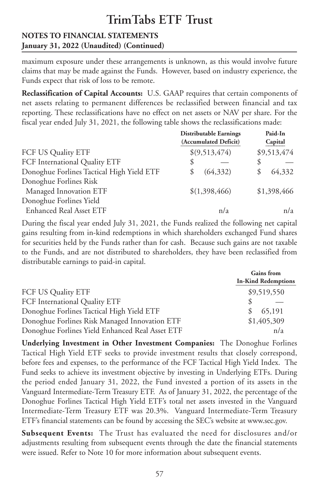#### **NOTES TO FINANCIAL STATEMENTS January 31, 2022 (Unaudited) (Continued)**

maximum exposure under these arrangements is unknown, as this would involve future claims that may be made against the Funds. However, based on industry experience, the Funds expect that risk of loss to be remote.

**Reclassification of Capital Accounts:** U.S. GAAP requires that certain components of net assets relating to permanent differences be reclassified between financial and tax reporting. These reclassifications have no effect on net assets or NAV per share. For the fiscal year ended July 31, 2021, the following table shows the reclassifications made:

|                                           | <b>Distributable Earnings</b><br>(Accumulated Deficit) | Paid-In<br>Capital |
|-------------------------------------------|--------------------------------------------------------|--------------------|
| FCF US Quality ETF                        | \$(9,513,474)                                          | \$9,513,474        |
| FCF International Quality ETF             | \$                                                     | \$                 |
| Donoghue Forlines Tactical High Yield ETF | (64, 332)<br>S                                         | 64,332             |
| Donoghue Forlines Risk                    |                                                        |                    |
| Managed Innovation ETF                    | \$(1,398,466)                                          | \$1,398,466        |
| Donoghue Forlines Yield                   |                                                        |                    |
| <b>Enhanced Real Asset ETF</b>            | n/a                                                    | n/a                |

During the fiscal year ended July 31, 2021, the Funds realized the following net capital gains resulting from in-kind redemptions in which shareholders exchanged Fund shares for securities held by the Funds rather than for cash. Because such gains are not taxable to the Funds, and are not distributed to shareholders, they have been reclassified from distributable earnings to paid-in capital.

|                                                 | <b>Gains</b> from<br><b>In-Kind Redemptions</b> |  |  |
|-------------------------------------------------|-------------------------------------------------|--|--|
| FCF US Quality ETF                              | \$9,519,550                                     |  |  |
| FCF International Quality ETF                   |                                                 |  |  |
| Donoghue Forlines Tactical High Yield ETF       | 65,191                                          |  |  |
| Donoghue Forlines Risk Managed Innovation ETF   | \$1,405,309                                     |  |  |
| Donoghue Forlines Yield Enhanced Real Asset ETF | n/a                                             |  |  |

**Underlying Investment in Other Investment Companies:** The Donoghue Forlines Tactical High Yield ETF seeks to provide investment results that closely correspond, before fees and expenses, to the performance of the FCF Tactical High Yield Index. The Fund seeks to achieve its investment objective by investing in Underlying ETFs. During the period ended January 31, 2022, the Fund invested a portion of its assets in the Vanguard Intermediate-Term Treasury ETF. As of January 31, 2022, the percentage of the Donoghue Forlines Tactical High Yield ETF's total net assets invested in the Vanguard Intermediate-Term Treasury ETF was 20.3%. Vanguard Intermediate-Term Treasury ETF's financial statements can be found by accessing the SEC's website at www.sec.gov.

**Subsequent Events:** The Trust has evaluated the need for disclosures and/or adjustments resulting from subsequent events through the date the financial statements were issued. Refer to Note 10 for more information about subsequent events.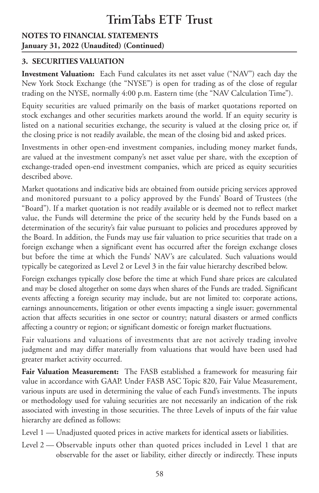#### **NOTES TO FINANCIAL STATEMENTS January 31, 2022 (Unaudited) (Continued)**

#### **3. SECURITIES VALUATION**

**Investment Valuation:** Each Fund calculates its net asset value ("NAV") each day the New York Stock Exchange (the "NYSE") is open for trading as of the close of regular trading on the NYSE, normally 4:00 p.m. Eastern time (the "NAV Calculation Time").

Equity securities are valued primarily on the basis of market quotations reported on stock exchanges and other securities markets around the world. If an equity security is listed on a national securities exchange, the security is valued at the closing price or, if the closing price is not readily available, the mean of the closing bid and asked prices.

Investments in other open-end investment companies, including money market funds, are valued at the investment company's net asset value per share, with the exception of exchange-traded open-end investment companies, which are priced as equity securities described above.

Market quotations and indicative bids are obtained from outside pricing services approved and monitored pursuant to a policy approved by the Funds' Board of Trustees (the "Board"). If a market quotation is not readily available or is deemed not to reflect market value, the Funds will determine the price of the security held by the Funds based on a determination of the security's fair value pursuant to policies and procedures approved by the Board. In addition, the Funds may use fair valuation to price securities that trade on a foreign exchange when a significant event has occurred after the foreign exchange closes but before the time at which the Funds' NAV's are calculated. Such valuations would typically be categorized as Level 2 or Level 3 in the fair value hierarchy described below.

Foreign exchanges typically close before the time at which Fund share prices are calculated and may be closed altogether on some days when shares of the Funds are traded. Significant events affecting a foreign security may include, but are not limited to: corporate actions, earnings announcements, litigation or other events impacting a single issuer; governmental action that affects securities in one sector or country; natural disasters or armed conflicts affecting a country or region; or significant domestic or foreign market fluctuations.

Fair valuations and valuations of investments that are not actively trading involve judgment and may differ materially from valuations that would have been used had greater market activity occurred.

**Fair Valuation Measurement:** The FASB established a framework for measuring fair value in accordance with GAAP. Under FASB ASC Topic 820, Fair Value Measurement, various inputs are used in determining the value of each Fund's investments. The inputs or methodology used for valuing securities are not necessarily an indication of the risk associated with investing in those securities. The three Levels of inputs of the fair value hierarchy are defined as follows:

- Level 1 Unadjusted quoted prices in active markets for identical assets or liabilities.
- Level 2 Observable inputs other than quoted prices included in Level 1 that are observable for the asset or liability, either directly or indirectly. These inputs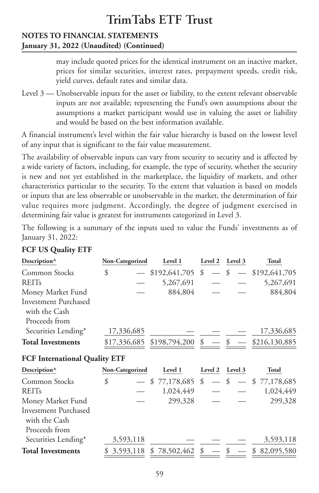#### **NOTES TO FINANCIAL STATEMENTS January 31, 2022 (Unaudited) (Continued)**

may include quoted prices for the identical instrument on an inactive market, prices for similar securities, interest rates, prepayment speeds, credit risk, yield curves, default rates and similar data.

Level 3 — Unobservable inputs for the asset or liability, to the extent relevant observable inputs are not available; representing the Fund's own assumptions about the assumptions a market participant would use in valuing the asset or liability and would be based on the best information available.

A financial instrument's level within the fair value hierarchy is based on the lowest level of any input that is significant to the fair value measurement.

The availability of observable inputs can vary from security to security and is affected by a wide variety of factors, including, for example, the type of security, whether the security is new and not yet established in the marketplace, the liquidity of markets, and other characteristics particular to the security. To the extent that valuation is based on models or inputs that are less observable or unobservable in the market, the determination of fair value requires more judgment. Accordingly, the degree of judgment exercised in determining fair value is greatest for instruments categorized in Level 3.

The following is a summary of the inputs used to value the Funds' investments as of January 31, 2022:

| Description <sup>^</sup>                                      | Non-Categorized | Level 1                        | Level 2 | Level 3       | <b>Total</b>      |
|---------------------------------------------------------------|-----------------|--------------------------------|---------|---------------|-------------------|
| Common Stocks                                                 | \$              | $$192,641,705$ \$              |         | $-$ \$        | $-$ \$192,641,705 |
| <b>REITs</b>                                                  |                 | 5,267,691                      |         |               | 5,267,691         |
| Money Market Fund                                             |                 | 884,804                        |         |               | 884,804           |
| <b>Investment Purchased</b><br>with the Cash<br>Proceeds from |                 |                                |         |               |                   |
|                                                               |                 |                                |         |               |                   |
| Securities Lending*                                           | 17,336,685      |                                |         |               | 17,336,685        |
| <b>Total Investments</b>                                      |                 | $$17,336,685$ \$198,794,200 \$ |         | $\frac{1}{2}$ | \$216,130,885     |
| <b>FCF International Quality ETF</b>                          |                 |                                |         |               |                   |
| Description^                                                  | Non-Categorized | Level 1                        | Level 2 | Level 3       | Total             |
| Common Stocks                                                 | \$              | $-$ \$ 77,178,685 \$           |         | $-$ \$        | $-$ \$ 77,178,685 |
| <b>REITs</b>                                                  |                 | 1,024,449                      |         |               | 1,024,449         |
| Money Market Fund                                             |                 | 299,328                        |         |               | 299,328           |
| Investment Purchased<br>with the Cash                         |                 |                                |         |               |                   |
| Proceeds from                                                 |                 |                                |         |               |                   |
| Securities Lending*                                           | 3,593,118       |                                |         |               | 3,593,118         |
| <b>Total Investments</b>                                      | 3,593,118       | \$78,502,462                   | \$      |               | \$<br>82,095,580  |

#### **FCF US Quality ETF**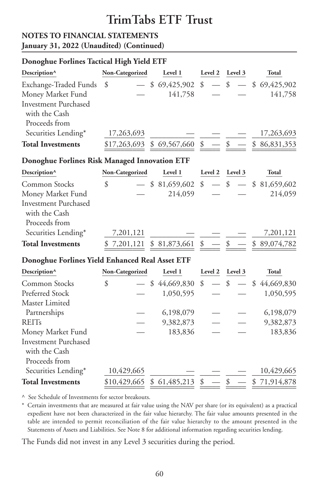#### **NOTES TO FINANCIAL STATEMENTS January 31, 2022 (Unaudited) (Continued)**

#### **Donoghue Forlines Tactical High Yield ETF**

| Description^                                                      | Non-Categorized                                    | Level 1                         |               | Level 2 Level 3 | <b>Total</b>                        |
|-------------------------------------------------------------------|----------------------------------------------------|---------------------------------|---------------|-----------------|-------------------------------------|
| Exchange-Traded Funds                                             | \$                                                 | $-$ \$ 69,425,902 \$            |               |                 | $-$ \$ $-$ \$ 69,425,902            |
| Money Market Fund                                                 |                                                    | 141,758                         |               |                 | 141,758                             |
| <b>Investment Purchased</b><br>with the Cash<br>Proceeds from     |                                                    |                                 |               |                 |                                     |
| Securities Lending*                                               | 17,263,693                                         |                                 |               |                 | 17,263,693                          |
| <b>Total Investments</b>                                          | $\frac{$17,263,693}{$17,263,693}$ \$ 69,567,660 \$ |                                 |               | $-$ \$          | \$86,831,353                        |
| Donoghue Forlines Risk Managed Innovation ETF                     |                                                    |                                 |               |                 |                                     |
| Description <sup>^</sup>                                          | Non-Categorized                                    | Level 1                         |               | Level 2 Level 3 | Total                               |
| Common Stocks<br>Money Market Fund<br><b>Investment Purchased</b> | \$                                                 | $-$ \$ 81,659,602 \$<br>214,059 |               |                 | $-$ \$ $-$ \$ 81,659,602<br>214,059 |
| with the Cash<br>Proceeds from                                    |                                                    |                                 |               |                 |                                     |
| Securities Lending*                                               | 7,201,121                                          |                                 |               |                 | 7,201,121                           |
| <b>Total Investments</b>                                          | \$7,201,121 \$81,873,661 \$                        |                                 |               |                 | \$89,074,782                        |
| Donoghue Forlines Yield Enhanced Real Asset ETF                   |                                                    |                                 |               |                 |                                     |
| Description <sup>^</sup>                                          | Non-Categorized                                    | Level 1                         | Level 2       | Level 3         | Total                               |
| Common Stocks                                                     | \$                                                 | \$44,669,830                    | $\mathcal{S}$ | $\mathcal{S}$   | $-$ \$ 44,669,830                   |
| Preferred Stock                                                   |                                                    | 1,050,595                       |               |                 | 1,050,595                           |
| Master Limited                                                    |                                                    |                                 |               |                 |                                     |
| Partnerships                                                      |                                                    | 6,198,079                       |               |                 | 6,198,079                           |
| <b>REITs</b>                                                      |                                                    | 9,382,873                       |               |                 | 9,382,873                           |
| Money Market Fund<br><b>Investment Purchased</b><br>with the Cash |                                                    | 183,836                         |               |                 | 183,836                             |
| Proceeds from                                                     |                                                    |                                 |               |                 |                                     |
| Securities Lending*                                               | 10,429,665                                         |                                 |               |                 | 10,429,665                          |

^ See Schedule of Investments for sector breakouts.

 $Total$  **Investments** 

\* Certain investments that are measured at fair value using the NAV per share (or its equivalent) as a practical expedient have not been characterized in the fair value hierarchy. The fair value amounts presented in the table are intended to permit reconciliation of the fair value hierarchy to the amount presented in the Statements of Assets and Liabilities. See Note 8 for additional information regarding securities lending.

 $\underbrace{429,665}_{\underline{429,665}}$  <u>\$ 61,485,213</u> <u>\$ - \$ 71,914,878</u>

The Funds did not invest in any Level 3 securities during the period.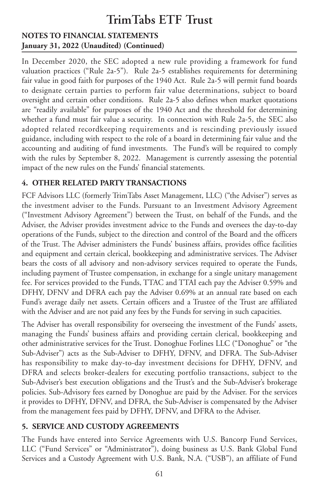#### **NOTES TO FINANCIAL STATEMENTS January 31, 2022 (Unaudited) (Continued)**

In December 2020, the SEC adopted a new rule providing a framework for fund valuation practices ("Rule 2a-5"). Rule 2a-5 establishes requirements for determining fair value in good faith for purposes of the 1940 Act. Rule 2a-5 will permit fund boards to designate certain parties to perform fair value determinations, subject to board oversight and certain other conditions. Rule 2a-5 also defines when market quotations are "readily available" for purposes of the 1940 Act and the threshold for determining whether a fund must fair value a security. In connection with Rule 2a-5, the SEC also adopted related recordkeeping requirements and is rescinding previously issued guidance, including with respect to the role of a board in determining fair value and the accounting and auditing of fund investments. The Fund's will be required to comply with the rules by September 8, 2022. Management is currently assessing the potential impact of the new rules on the Funds' financial statements.

#### **4. OTHER RELATED PARTY TRANSACTIONS**

FCF Advisors LLC (formerly TrimTabs Asset Management, LLC) ("the Adviser") serves as the investment adviser to the Funds. Pursuant to an Investment Advisory Agreement ("Investment Advisory Agreement") between the Trust, on behalf of the Funds, and the Adviser, the Adviser provides investment advice to the Funds and oversees the day-to-day operations of the Funds, subject to the direction and control of the Board and the officers of the Trust. The Adviser administers the Funds' business affairs, provides office facilities and equipment and certain clerical, bookkeeping and administrative services. The Adviser bears the costs of all advisory and non-advisory services required to operate the Funds, including payment of Trustee compensation, in exchange for a single unitary management fee. For services provided to the Funds, TTAC and TTAI each pay the Adviser 0.59% and DFHY, DFNV and DFRA each pay the Adviser 0.69% at an annual rate based on each Fund's average daily net assets. Certain officers and a Trustee of the Trust are affiliated with the Adviser and are not paid any fees by the Funds for serving in such capacities.

The Adviser has overall responsibility for overseeing the investment of the Funds' assets, managing the Funds' business affairs and providing certain clerical, bookkeeping and other administrative services for the Trust. Donoghue Forlines LLC ("Donoghue" or "the Sub-Adviser") acts as the Sub-Adviser to DFHY, DFNV, and DFRA. The Sub-Adviser has responsibility to make day-to-day investment decisions for DFHY, DFNV, and DFRA and selects broker-dealers for executing portfolio transactions, subject to the Sub-Adviser's best execution obligations and the Trust's and the Sub-Adviser's brokerage policies. Sub-Advisory fees earned by Donoghue are paid by the Adviser. For the services it provides to DFHY, DFNV, and DFRA, the Sub-Adviser is compensated by the Adviser from the management fees paid by DFHY, DFNV, and DFRA to the Adviser.

#### **5. SERVICE AND CUSTODY AGREEMENTS**

The Funds have entered into Service Agreements with U.S. Bancorp Fund Services, LLC ("Fund Services" or "Administrator"), doing business as U.S. Bank Global Fund Services and a Custody Agreement with U.S. Bank, N.A. ("USB"), an affiliate of Fund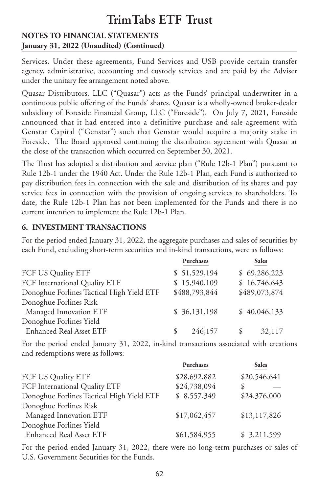#### **NOTES TO FINANCIAL STATEMENTS January 31, 2022 (Unaudited) (Continued)**

Services. Under these agreements, Fund Services and USB provide certain transfer agency, administrative, accounting and custody services and are paid by the Adviser under the unitary fee arrangement noted above.

Quasar Distributors, LLC ("Quasar") acts as the Funds' principal underwriter in a continuous public offering of the Funds' shares. Quasar is a wholly-owned broker-dealer subsidiary of Foreside Financial Group, LLC ("Foreside"). On July 7, 2021, Foreside announced that it had entered into a definitive purchase and sale agreement with Genstar Capital ("Genstar") such that Genstar would acquire a majority stake in Foreside. The Board approved continuing the distribution agreement with Quasar at the close of the transaction which occurred on September 30, 2021.

The Trust has adopted a distribution and service plan ("Rule 12b-1 Plan") pursuant to Rule 12b-1 under the 1940 Act. Under the Rule 12b-1 Plan, each Fund is authorized to pay distribution fees in connection with the sale and distribution of its shares and pay service fees in connection with the provision of ongoing services to shareholders. To date, the Rule 12b-1 Plan has not been implemented for the Funds and there is no current intention to implement the Rule 12b-1 Plan.

#### **6. INVESTMENT TRANSACTIONS**

For the period ended January 31, 2022, the aggregate purchases and sales of securities by each Fund, excluding short-term securities and in-kind transactions, were as follows:

| <b>Purchases</b>                                           | <b>Sales</b>  |
|------------------------------------------------------------|---------------|
| \$51,529,194<br>FCF US Quality ETF                         | \$69,286,223  |
| \$15,940,109<br>FCF International Quality ETF              | \$16,746,643  |
| \$488,793,844<br>Donoghue Forlines Tactical High Yield ETF | \$489,073,874 |
| Donoghue Forlines Risk                                     |               |
| \$36,131,198<br>Managed Innovation ETF                     | \$40,046,133  |
| Donoghue Forlines Yield                                    |               |
| <b>Enhanced Real Asset ETF</b><br>246,157<br>\$.           | 32,117        |

For the period ended January 31, 2022, in-kind transactions associated with creations and redemptions were as follows:

|              | <b>Sales</b> |
|--------------|--------------|
| \$28,692,882 | \$20,546,641 |
| \$24,738,094 | \$           |
| \$8,557,349  | \$24,376,000 |
|              |              |
| \$17,062,457 | \$13,117,826 |
|              |              |
| \$61,584,955 | \$3,211,599  |
|              | Purchases    |

For the period ended January 31, 2022, there were no long-term purchases or sales of U.S. Government Securities for the Funds.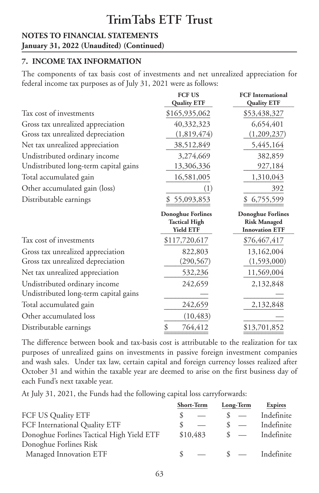#### **NOTES TO FINANCIAL STATEMENTS January 31, 2022 (Unaudited) (Continued)**

### **7. INCOME TAX INFORMATION**

The components of tax basis cost of investments and net unrealized appreciation for federal income tax purposes as of July 31, 2021 were as follows:

|                                       | <b>FCF US</b><br><b>Quality ETF</b>                                  | <b>FCF</b> International<br><b>Quality ETF</b>                           |
|---------------------------------------|----------------------------------------------------------------------|--------------------------------------------------------------------------|
| Tax cost of investments               | \$165,935,062                                                        | \$53,438,327                                                             |
| Gross tax unrealized appreciation     | 40,332,323                                                           | 6,654,401                                                                |
| Gross tax unrealized depreciation     | (1,819,474)                                                          | (1,209,237)                                                              |
| Net tax unrealized appreciation       | 38,512,849                                                           | 5,445,164                                                                |
| Undistributed ordinary income         | 3,274,669                                                            | 382,859                                                                  |
| Undistributed long-term capital gains | 13,306,336                                                           | 927,184                                                                  |
| Total accumulated gain                | 16,581,005                                                           | 1,310,043                                                                |
| Other accumulated gain (loss)         | (1)                                                                  | 392                                                                      |
| Distributable earnings                | 55,093,853                                                           | 6,755,599                                                                |
|                                       | <b>Donoghue Forlines</b><br><b>Tactical High</b><br><b>Yield ETF</b> | <b>Donoghue Forlines</b><br><b>Risk Managed</b><br><b>Innovation ETF</b> |
| Tax cost of investments               | \$117,720,617                                                        | \$76,467,417                                                             |
| Gross tax unrealized appreciation     | 822,803                                                              | 13,162,004                                                               |
| Gross tax unrealized depreciation     | (290,567)                                                            | (1,593,000)                                                              |
| Net tax unrealized appreciation       | 532,236                                                              | 11,569,004                                                               |
| Undistributed ordinary income         | 242,659                                                              | 2,132,848                                                                |
| Undistributed long-term capital gains |                                                                      |                                                                          |
| Total accumulated gain                | 242,659                                                              | 2,132,848                                                                |
| Other accumulated loss                | (10, 483)                                                            |                                                                          |
| Distributable earnings                | \$<br>764,412                                                        | \$13,701,852                                                             |

The difference between book and tax-basis cost is attributable to the realization for tax purposes of unrealized gains on investments in passive foreign investment companies and wash sales. Under tax law, certain capital and foreign currency losses realized after October 31 and within the taxable year are deemed to arise on the first business day of each Fund's next taxable year.

At July 31, 2021, the Funds had the following capital loss carryforwards:

|                                           | Short-Term | Long-Term                | <b>Expires</b> |
|-------------------------------------------|------------|--------------------------|----------------|
| FCF US Quality ETF                        |            | $\overline{\phantom{a}}$ | Indefinite     |
| FCF International Quality ETF             |            | $\frac{1}{2}$            | Indefinite     |
| Donoghue Forlines Tactical High Yield ETF | \$10,483   | $\frac{1}{2}$            | Indefinite     |
| Donoghue Forlines Risk                    |            |                          |                |
| Managed Innovation ETF                    |            | $\sqrt{s}$ —             | Indefinite     |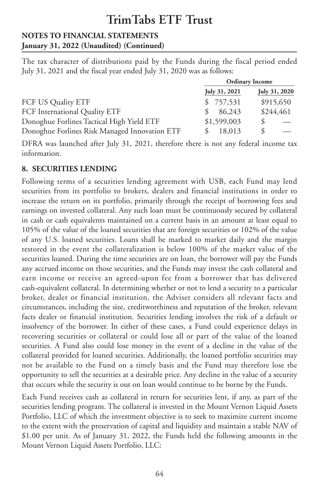#### **NOTES TO FINANCIAL STATEMENTS January 31, 2022 (Unaudited) (Continued)**

The tax character of distributions paid by the Funds during the fiscal period ended July 31, 2021 and the fiscal year ended July 31, 2020 was as follows:

|                                               | <b>Ordinary Income</b> |               |
|-----------------------------------------------|------------------------|---------------|
|                                               | July 31, 2021          | July 31, 2020 |
| FCF US Quality ETF                            | \$757,531              | \$915,650     |
| FCF International Quality ETF                 | 86,243                 | \$244,461     |
| Donoghue Forlines Tactical High Yield ETF     | \$1,599,003            | S             |
| Donoghue Forlines Risk Managed Innovation ETF | 18,013                 | S             |

DFRA was launched after July 31, 2021, therefore there is not any federal income tax information.

#### **8. SECURITIES LENDING**

Following terms of a securities lending agreement with USB, each Fund may lend securities from its portfolio to brokers, dealers and financial institutions in order to increase the return on its portfolio, primarily through the receipt of borrowing fees and earnings on invested collateral. Any such loan must be continuously secured by collateral in cash or cash equivalents maintained on a current basis in an amount at least equal to 105% of the value of the loaned securities that are foreign securities or 102% of the value of any U.S. loaned securities. Loans shall be marked to market daily and the margin restored in the event the collateralization is below 100% of the market value of the securities loaned. During the time securities are on loan, the borrower will pay the Funds any accrued income on those securities, and the Funds may invest the cash collateral and earn income or receive an agreed-upon fee from a borrower that has delivered cash-equivalent collateral. In determining whether or not to lend a security to a particular broker, dealer or financial institution, the Adviser considers all relevant facts and circumstances, including the size, creditworthiness and reputation of the broker, relevant facts dealer or financial institution. Securities lending involves the risk of a default or insolvency of the borrower. In either of these cases, a Fund could experience delays in recovering securities or collateral or could lose all or part of the value of the loaned securities. A Fund also could lose money in the event of a decline in the value of the collateral provided for loaned securities. Additionally, the loaned portfolio securities may not be available to the Fund on a timely basis and the Fund may therefore lose the opportunity to sell the securities at a desirable price. Any decline in the value of a security that occurs while the security is out on loan would continue to be borne by the Funds.

Each Fund receives cash as collateral in return for securities lent, if any, as part of the securities lending program. The collateral is invested in the Mount Vernon Liquid Assets Portfolio, LLC of which the investment objective is to seek to maximize current income to the extent with the preservation of capital and liquidity and maintain a stable NAV of \$1.00 per unit. As of January 31, 2022, the Funds held the following amounts in the Mount Vernon Liquid Assets Portfolio, LLC: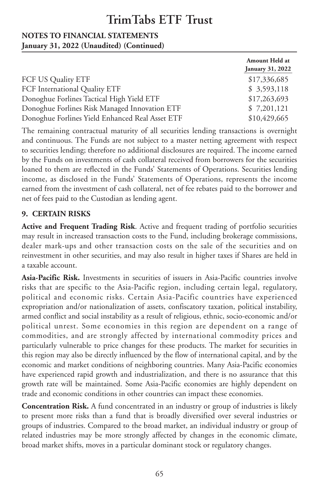#### **NOTES TO FINANCIAL STATEMENTS January 31, 2022 (Unaudited) (Continued)**

|                                                 | Amount Held at<br>January 31, 2022 |
|-------------------------------------------------|------------------------------------|
| FCF US Quality ETF                              | \$17,336,685                       |
| FCF International Quality ETF                   | \$3,593,118                        |
| Donoghue Forlines Tactical High Yield ETF       | \$17,263,693                       |
| Donoghue Forlines Risk Managed Innovation ETF   | \$7,201,121                        |
| Donoghue Forlines Yield Enhanced Real Asset ETF | \$10,429,665                       |

The remaining contractual maturity of all securities lending transactions is overnight and continuous. The Funds are not subject to a master netting agreement with respect to securities lending; therefore no additional disclosures are required. The income earned by the Funds on investments of cash collateral received from borrowers for the securities loaned to them are reflected in the Funds' Statements of Operations. Securities lending income, as disclosed in the Funds' Statements of Operations, represents the income earned from the investment of cash collateral, net of fee rebates paid to the borrower and net of fees paid to the Custodian as lending agent.

#### **9. CERTAIN RISKS**

**Active and Frequent Trading Risk**. Active and frequent trading of portfolio securities may result in increased transaction costs to the Fund, including brokerage commissions, dealer mark-ups and other transaction costs on the sale of the securities and on reinvestment in other securities, and may also result in higher taxes if Shares are held in a taxable account.

**Asia-Pacific Risk.** Investments in securities of issuers in Asia-Pacific countries involve risks that are specific to the Asia-Pacific region, including certain legal, regulatory, political and economic risks. Certain Asia-Pacific countries have experienced expropriation and/or nationalization of assets, confiscatory taxation, political instability, armed conflict and social instability as a result of religious, ethnic, socio-economic and/or political unrest. Some economies in this region are dependent on a range of commodities, and are strongly affected by international commodity prices and particularly vulnerable to price changes for these products. The market for securities in this region may also be directly influenced by the flow of international capital, and by the economic and market conditions of neighboring countries. Many Asia-Pacific economies have experienced rapid growth and industrialization, and there is no assurance that this growth rate will be maintained. Some Asia-Pacific economies are highly dependent on trade and economic conditions in other countries can impact these economies.

**Concentration Risk.** A fund concentrated in an industry or group of industries is likely to present more risks than a fund that is broadly diversified over several industries or groups of industries. Compared to the broad market, an individual industry or group of related industries may be more strongly affected by changes in the economic climate, broad market shifts, moves in a particular dominant stock or regulatory changes.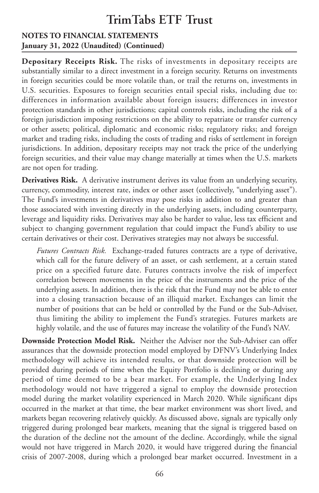#### **NOTES TO FINANCIAL STATEMENTS January 31, 2022 (Unaudited) (Continued)**

**Depositary Receipts Risk.** The risks of investments in depositary receipts are substantially similar to a direct investment in a foreign security. Returns on investments in foreign securities could be more volatile than, or trail the returns on, investments in U.S. securities. Exposures to foreign securities entail special risks, including due to: differences in information available about foreign issuers; differences in investor protection standards in other jurisdictions; capital controls risks, including the risk of a foreign jurisdiction imposing restrictions on the ability to repatriate or transfer currency or other assets; political, diplomatic and economic risks; regulatory risks; and foreign market and trading risks, including the costs of trading and risks of settlement in foreign jurisdictions. In addition, depositary receipts may not track the price of the underlying foreign securities, and their value may change materially at times when the U.S. markets are not open for trading.

**Derivatives Risk.** A derivative instrument derives its value from an underlying security, currency, commodity, interest rate, index or other asset (collectively, "underlying asset"). The Fund's investments in derivatives may pose risks in addition to and greater than those associated with investing directly in the underlying assets, including counterparty, leverage and liquidity risks. Derivatives may also be harder to value, less tax efficient and subject to changing government regulation that could impact the Fund's ability to use certain derivatives or their cost. Derivatives strategies may not always be successful.

*Futures Contracts Risk.* Exchange-traded futures contracts are a type of derivative, which call for the future delivery of an asset, or cash settlement, at a certain stated price on a specified future date. Futures contracts involve the risk of imperfect correlation between movements in the price of the instruments and the price of the underlying assets. In addition, there is the risk that the Fund may not be able to enter into a closing transaction because of an illiquid market. Exchanges can limit the number of positions that can be held or controlled by the Fund or the Sub-Adviser, thus limiting the ability to implement the Fund's strategies. Futures markets are highly volatile, and the use of futures may increase the volatility of the Fund's NAV.

**Downside Protection Model Risk.** Neither the Adviser nor the Sub-Adviser can offer assurances that the downside protection model employed by DFNV's Underlying Index methodology will achieve its intended results, or that downside protection will be provided during periods of time when the Equity Portfolio is declining or during any period of time deemed to be a bear market. For example, the Underlying Index methodology would not have triggered a signal to employ the downside protection model during the market volatility experienced in March 2020. While significant dips occurred in the market at that time, the bear market environment was short lived, and markets began recovering relatively quickly. As discussed above, signals are typically only triggered during prolonged bear markets, meaning that the signal is triggered based on the duration of the decline not the amount of the decline. Accordingly, while the signal would not have triggered in March 2020, it would have triggered during the financial crisis of 2007-2008, during which a prolonged bear market occurred. Investment in a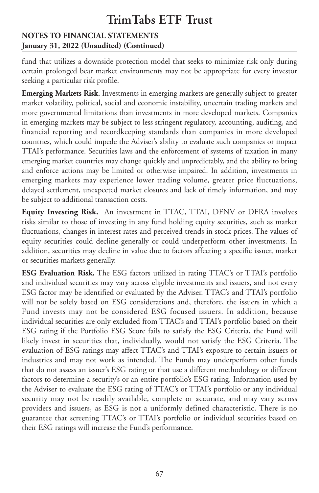#### **NOTES TO FINANCIAL STATEMENTS January 31, 2022 (Unaudited) (Continued)**

fund that utilizes a downside protection model that seeks to minimize risk only during certain prolonged bear market environments may not be appropriate for every investor seeking a particular risk profile.

**Emerging Markets Risk**. Investments in emerging markets are generally subject to greater market volatility, political, social and economic instability, uncertain trading markets and more governmental limitations than investments in more developed markets. Companies in emerging markets may be subject to less stringent regulatory, accounting, auditing, and financial reporting and recordkeeping standards than companies in more developed countries, which could impede the Adviser's ability to evaluate such companies or impact TTAI's performance. Securities laws and the enforcement of systems of taxation in many emerging market countries may change quickly and unpredictably, and the ability to bring and enforce actions may be limited or otherwise impaired. In addition, investments in emerging markets may experience lower trading volume, greater price fluctuations, delayed settlement, unexpected market closures and lack of timely information, and may be subject to additional transaction costs.

**Equity Investing Risk.** An investment in TTAC, TTAI, DFNV or DFRA involves risks similar to those of investing in any fund holding equity securities, such as market fluctuations, changes in interest rates and perceived trends in stock prices. The values of equity securities could decline generally or could underperform other investments. In addition, securities may decline in value due to factors affecting a specific issuer, market or securities markets generally.

**ESG Evaluation Risk.** The ESG factors utilized in rating TTAC's or TTAI's portfolio and individual securities may vary across eligible investments and issuers, and not every ESG factor may be identified or evaluated by the Adviser. TTAC's and TTAI's portfolio will not be solely based on ESG considerations and, therefore, the issuers in which a Fund invests may not be considered ESG focused issuers. In addition, because individual securities are only excluded from TTAC's and TTAI's portfolio based on their ESG rating if the Portfolio ESG Score fails to satisfy the ESG Criteria, the Fund will likely invest in securities that, individually, would not satisfy the ESG Criteria. The evaluation of ESG ratings may affect TTAC's and TTAI's exposure to certain issuers or industries and may not work as intended. The Funds may underperform other funds that do not assess an issuer's ESG rating or that use a different methodology or different factors to determine a security's or an entire portfolio's ESG rating. Information used by the Adviser to evaluate the ESG rating of TTAC's or TTAI's portfolio or any individual security may not be readily available, complete or accurate, and may vary across providers and issuers, as ESG is not a uniformly defined characteristic. There is no guarantee that screening TTAC's or TTAI's portfolio or individual securities based on their ESG ratings will increase the Fund's performance.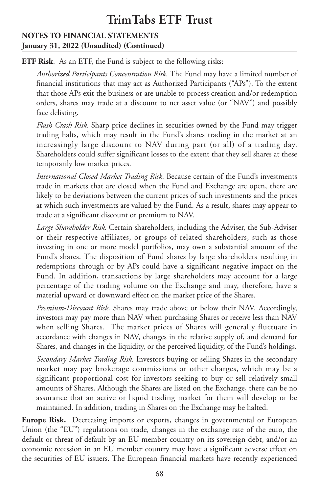#### **NOTES TO FINANCIAL STATEMENTS January 31, 2022 (Unaudited) (Continued)**

**ETF Risk**. As an ETF, the Fund is subject to the following risks:

*Authorized Participants Concentration Risk.* The Fund may have a limited number of financial institutions that may act as Authorized Participants ("APs"). To the extent that those APs exit the business or are unable to process creation and/or redemption orders, shares may trade at a discount to net asset value (or "NAV") and possibly face delisting.

*Flash Crash Risk.* Sharp price declines in securities owned by the Fund may trigger trading halts, which may result in the Fund's shares trading in the market at an increasingly large discount to NAV during part (or all) of a trading day. Shareholders could suffer significant losses to the extent that they sell shares at these temporarily low market prices.

*International Closed Market Trading Risk.* Because certain of the Fund's investments trade in markets that are closed when the Fund and Exchange are open, there are likely to be deviations between the current prices of such investments and the prices at which such investments are valued by the Fund. As a result, shares may appear to trade at a significant discount or premium to NAV.

*Large Shareholder Risk.* Certain shareholders, including the Adviser, the Sub-Adviser or their respective affiliates, or groups of related shareholders, such as those investing in one or more model portfolios, may own a substantial amount of the Fund's shares. The disposition of Fund shares by large shareholders resulting in redemptions through or by APs could have a significant negative impact on the Fund. In addition, transactions by large shareholders may account for a large percentage of the trading volume on the Exchange and may, therefore, have a material upward or downward effect on the market price of the Shares.

*Premium-Discount Risk.* Shares may trade above or below their NAV. Accordingly, investors may pay more than NAV when purchasing Shares or receive less than NAV when selling Shares. The market prices of Shares will generally fluctuate in accordance with changes in NAV, changes in the relative supply of, and demand for Shares, and changes in the liquidity, or the perceived liquidity, of the Fund's holdings.

*Secondary Market Trading Risk.* Investors buying or selling Shares in the secondary market may pay brokerage commissions or other charges, which may be a significant proportional cost for investors seeking to buy or sell relatively small amounts of Shares. Although the Shares are listed on the Exchange, there can be no assurance that an active or liquid trading market for them will develop or be maintained. In addition, trading in Shares on the Exchange may be halted.

**Europe Risk.** Decreasing imports or exports, changes in governmental or European Union (the "EU") regulations on trade, changes in the exchange rate of the euro, the default or threat of default by an EU member country on its sovereign debt, and/or an economic recession in an EU member country may have a significant adverse effect on the securities of EU issuers. The European financial markets have recently experienced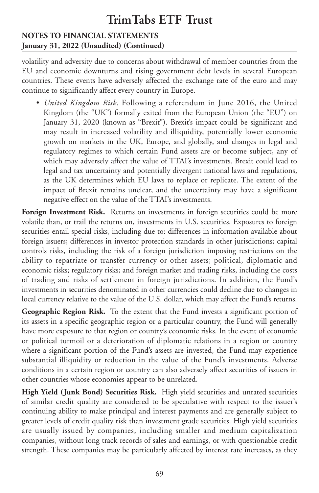#### **NOTES TO FINANCIAL STATEMENTS January 31, 2022 (Unaudited) (Continued)**

volatility and adversity due to concerns about withdrawal of member countries from the EU and economic downturns and rising government debt levels in several European countries. These events have adversely affected the exchange rate of the euro and may continue to significantly affect every country in Europe.

• *United Kingdom Risk.* Following a referendum in June 2016, the United Kingdom (the "UK") formally exited from the European Union (the "EU") on January 31, 2020 (known as "Brexit"). Brexit's impact could be significant and may result in increased volatility and illiquidity, potentially lower economic growth on markets in the UK, Europe, and globally, and changes in legal and regulatory regimes to which certain Fund assets are or become subject, any of which may adversely affect the value of TTAI's investments. Brexit could lead to legal and tax uncertainty and potentially divergent national laws and regulations, as the UK determines which EU laws to replace or replicate. The extent of the impact of Brexit remains unclear, and the uncertainty may have a significant negative effect on the value of the TTAI's investments.

**Foreign Investment Risk.** Returns on investments in foreign securities could be more volatile than, or trail the returns on, investments in U.S. securities. Exposures to foreign securities entail special risks, including due to: differences in information available about foreign issuers; differences in investor protection standards in other jurisdictions; capital controls risks, including the risk of a foreign jurisdiction imposing restrictions on the ability to repatriate or transfer currency or other assets; political, diplomatic and economic risks; regulatory risks; and foreign market and trading risks, including the costs of trading and risks of settlement in foreign jurisdictions. In addition, the Fund's investments in securities denominated in other currencies could decline due to changes in local currency relative to the value of the U.S. dollar, which may affect the Fund's returns.

**Geographic Region Risk.** To the extent that the Fund invests a significant portion of its assets in a specific geographic region or a particular country, the Fund will generally have more exposure to that region or country's economic risks. In the event of economic or political turmoil or a deterioration of diplomatic relations in a region or country where a significant portion of the Fund's assets are invested, the Fund may experience substantial illiquidity or reduction in the value of the Fund's investments. Adverse conditions in a certain region or country can also adversely affect securities of issuers in other countries whose economies appear to be unrelated.

**High Yield (Junk Bond) Securities Risk.** High yield securities and unrated securities of similar credit quality are considered to be speculative with respect to the issuer's continuing ability to make principal and interest payments and are generally subject to greater levels of credit quality risk than investment grade securities. High yield securities are usually issued by companies, including smaller and medium capitalization companies, without long track records of sales and earnings, or with questionable credit strength. These companies may be particularly affected by interest rate increases, as they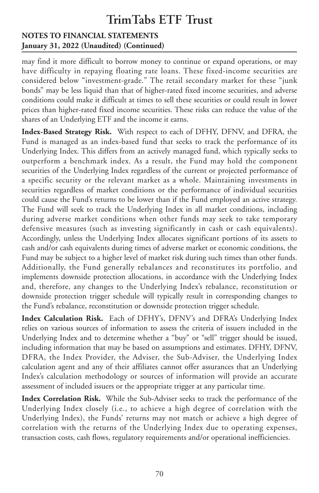#### **NOTES TO FINANCIAL STATEMENTS January 31, 2022 (Unaudited) (Continued)**

may find it more difficult to borrow money to continue or expand operations, or may have difficulty in repaying floating rate loans. These fixed-income securities are considered below "investment-grade." The retail secondary market for these "junk bonds" may be less liquid than that of higher-rated fixed income securities, and adverse conditions could make it difficult at times to sell these securities or could result in lower prices than higher-rated fixed income securities. These risks can reduce the value of the shares of an Underlying ETF and the income it earns.

**Index-Based Strategy Risk.** With respect to each of DFHY, DFNV, and DFRA, the Fund is managed as an index-based fund that seeks to track the performance of its Underlying Index. This differs from an actively managed fund, which typically seeks to outperform a benchmark index. As a result, the Fund may hold the component securities of the Underlying Index regardless of the current or projected performance of a specific security or the relevant market as a whole. Maintaining investments in securities regardless of market conditions or the performance of individual securities could cause the Fund's returns to be lower than if the Fund employed an active strategy. The Fund will seek to track the Underlying Index in all market conditions, including during adverse market conditions when other funds may seek to take temporary defensive measures (such as investing significantly in cash or cash equivalents). Accordingly, unless the Underlying Index allocates significant portions of its assets to cash and/or cash equivalents during times of adverse market or economic conditions, the Fund may be subject to a higher level of market risk during such times than other funds. Additionally, the Fund generally rebalances and reconstitutes its portfolio, and implements downside protection allocations, in accordance with the Underlying Index and, therefore, any changes to the Underlying Index's rebalance, reconstitution or downside protection trigger schedule will typically result in corresponding changes to the Fund's rebalance, reconstitution or downside protection trigger schedule.

**Index Calculation Risk.** Each of DFHY's, DFNV's and DFRA's Underlying Index relies on various sources of information to assess the criteria of issuers included in the Underlying Index and to determine whether a "buy" or "sell" trigger should be issued, including information that may be based on assumptions and estimates. DFHY, DFNV, DFRA, the Index Provider, the Adviser, the Sub-Adviser, the Underlying Index calculation agent and any of their affiliates cannot offer assurances that an Underlying Index's calculation methodology or sources of information will provide an accurate assessment of included issuers or the appropriate trigger at any particular time.

**Index Correlation Risk.** While the Sub-Adviser seeks to track the performance of the Underlying Index closely (i.e., to achieve a high degree of correlation with the Underlying Index), the Funds' returns may not match or achieve a high degree of correlation with the returns of the Underlying Index due to operating expenses, transaction costs, cash flows, regulatory requirements and/or operational inefficiencies.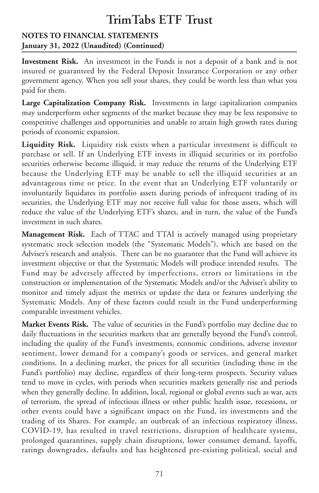### **NOTES TO FINANCIAL STATEMENTS January 31, 2022 (Unaudited) (Continued)**

**Investment Risk.** An investment in the Funds is not a deposit of a bank and is not insured or guaranteed by the Federal Deposit Insurance Corporation or any other government agency. When you sell your shares, they could be worth less than what you paid for them.

**Large Capitalization Company Risk.** Investments in large capitalization companies may underperform other segments of the market because they may be less responsive to competitive challenges and opportunities and unable to attain high growth rates during periods of economic expansion.

**Liquidity Risk.** Liquidity risk exists when a particular investment is difficult to purchase or sell. If an Underlying ETF invests in illiquid securities or its portfolio securities otherwise become illiquid, it may reduce the returns of the Underlying ETF because the Underlying ETF may be unable to sell the illiquid securities at an advantageous time or price. In the event that an Underlying ETF voluntarily or involuntarily liquidates its portfolio assets during periods of infrequent trading of its securities, the Underlying ETF may not receive full value for those assets, which will reduce the value of the Underlying ETF's shares, and in turn, the value of the Fund's investment in such shares.

**Management Risk.** Each of TTAC and TTAI is actively managed using proprietary systematic stock selection models (the "Systematic Models"), which are based on the Adviser's research and analysis. There can be no guarantee that the Fund will achieve its investment objective or that the Systematic Models will produce intended results. The Fund may be adversely affected by imperfections, errors or limitations in the construction or implementation of the Systematic Models and/or the Adviser's ability to monitor and timely adjust the metrics or update the data or features underlying the Systematic Models. Any of these factors could result in the Fund underperforming comparable investment vehicles.

**Market Events Risk.** The value of securities in the Fund's portfolio may decline due to daily fluctuations in the securities markets that are generally beyond the Fund's control, including the quality of the Fund's investments, economic conditions, adverse investor sentiment, lower demand for a company's goods or services, and general market conditions. In a declining market, the prices for all securities (including those in the Fund's portfolio) may decline, regardless of their long-term prospects. Security values tend to move in cycles, with periods when securities markets generally rise and periods when they generally decline. In addition, local, regional or global events such as war, acts of terrorism, the spread of infectious illness or other public health issue, recessions, or other events could have a significant impact on the Fund, its investments and the trading of its Shares. For example, an outbreak of an infectious respiratory illness, COVID-19, has resulted in travel restrictions, disruption of healthcare systems, prolonged quarantines, supply chain disruptions, lower consumer demand, layoffs, ratings downgrades, defaults and has heightened pre-existing political, social and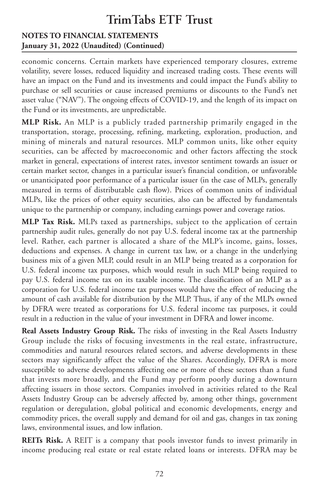### **NOTES TO FINANCIAL STATEMENTS January 31, 2022 (Unaudited) (Continued)**

economic concerns. Certain markets have experienced temporary closures, extreme volatility, severe losses, reduced liquidity and increased trading costs. These events will have an impact on the Fund and its investments and could impact the Fund's ability to purchase or sell securities or cause increased premiums or discounts to the Fund's net asset value ("NAV"). The ongoing effects of COVID-19, and the length of its impact on the Fund or its investments, are unpredictable.

**MLP Risk.** An MLP is a publicly traded partnership primarily engaged in the transportation, storage, processing, refining, marketing, exploration, production, and mining of minerals and natural resources. MLP common units, like other equity securities, can be affected by macroeconomic and other factors affecting the stock market in general, expectations of interest rates, investor sentiment towards an issuer or certain market sector, changes in a particular issuer's financial condition, or unfavorable or unanticipated poor performance of a particular issuer (in the case of MLPs, generally measured in terms of distributable cash flow). Prices of common units of individual MLPs, like the prices of other equity securities, also can be affected by fundamentals unique to the partnership or company, including earnings power and coverage ratios.

**MLP Tax Risk.** MLPs taxed as partnerships, subject to the application of certain partnership audit rules, generally do not pay U.S. federal income tax at the partnership level. Rather, each partner is allocated a share of the MLP's income, gains, losses, deductions and expenses. A change in current tax law, or a change in the underlying business mix of a given MLP, could result in an MLP being treated as a corporation for U.S. federal income tax purposes, which would result in such MLP being required to pay U.S. federal income tax on its taxable income. The classification of an MLP as a corporation for U.S. federal income tax purposes would have the effect of reducing the amount of cash available for distribution by the MLP. Thus, if any of the MLPs owned by DFRA were treated as corporations for U.S. federal income tax purposes, it could result in a reduction in the value of your investment in DFRA and lower income.

**Real Assets Industry Group Risk.** The risks of investing in the Real Assets Industry Group include the risks of focusing investments in the real estate, infrastructure, commodities and natural resources related sectors, and adverse developments in these sectors may significantly affect the value of the Shares. Accordingly, DFRA is more susceptible to adverse developments affecting one or more of these sectors than a fund that invests more broadly, and the Fund may perform poorly during a downturn affecting issuers in those sectors. Companies involved in activities related to the Real Assets Industry Group can be adversely affected by, among other things, government regulation or deregulation, global political and economic developments, energy and commodity prices, the overall supply and demand for oil and gas, changes in tax zoning laws, environmental issues, and low inflation.

**REITs Risk.** A REIT is a company that pools investor funds to invest primarily in income producing real estate or real estate related loans or interests. DFRA may be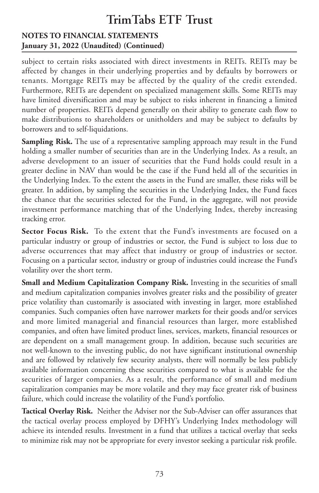#### **NOTES TO FINANCIAL STATEMENTS January 31, 2022 (Unaudited) (Continued)**

subject to certain risks associated with direct investments in REITs. REITs may be affected by changes in their underlying properties and by defaults by borrowers or tenants. Mortgage REITs may be affected by the quality of the credit extended. Furthermore, REITs are dependent on specialized management skills. Some REITs may have limited diversification and may be subject to risks inherent in financing a limited number of properties. REITs depend generally on their ability to generate cash flow to make distributions to shareholders or unitholders and may be subject to defaults by borrowers and to self-liquidations.

**Sampling Risk.** The use of a representative sampling approach may result in the Fund holding a smaller number of securities than are in the Underlying Index. As a result, an adverse development to an issuer of securities that the Fund holds could result in a greater decline in NAV than would be the case if the Fund held all of the securities in the Underlying Index. To the extent the assets in the Fund are smaller, these risks will be greater. In addition, by sampling the securities in the Underlying Index, the Fund faces the chance that the securities selected for the Fund, in the aggregate, will not provide investment performance matching that of the Underlying Index, thereby increasing tracking error.

**Sector Focus Risk.** To the extent that the Fund's investments are focused on a particular industry or group of industries or sector, the Fund is subject to loss due to adverse occurrences that may affect that industry or group of industries or sector. Focusing on a particular sector, industry or group of industries could increase the Fund's volatility over the short term.

**Small and Medium Capitalization Company Risk.** Investing in the securities of small and medium capitalization companies involves greater risks and the possibility of greater price volatility than customarily is associated with investing in larger, more established companies. Such companies often have narrower markets for their goods and/or services and more limited managerial and financial resources than larger, more established companies, and often have limited product lines, services, markets, financial resources or are dependent on a small management group. In addition, because such securities are not well-known to the investing public, do not have significant institutional ownership and are followed by relatively few security analysts, there will normally be less publicly available information concerning these securities compared to what is available for the securities of larger companies. As a result, the performance of small and medium capitalization companies may be more volatile and they may face greater risk of business failure, which could increase the volatility of the Fund's portfolio.

**Tactical Overlay Risk.** Neither the Adviser nor the Sub-Adviser can offer assurances that the tactical overlay process employed by DFHY's Underlying Index methodology will achieve its intended results. Investment in a fund that utilizes a tactical overlay that seeks to minimize risk may not be appropriate for every investor seeking a particular risk profile.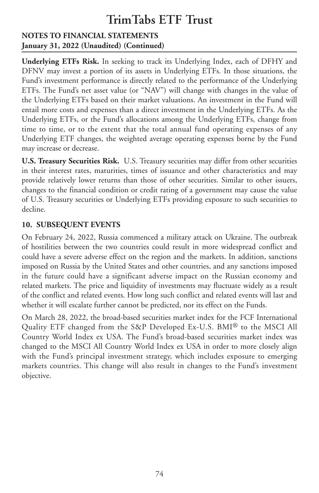### **NOTES TO FINANCIAL STATEMENTS January 31, 2022 (Unaudited) (Continued)**

**Underlying ETFs Risk.** In seeking to track its Underlying Index, each of DFHY and DFNV may invest a portion of its assets in Underlying ETFs. In those situations, the Fund's investment performance is directly related to the performance of the Underlying ETFs. The Fund's net asset value (or "NAV") will change with changes in the value of the Underlying ETFs based on their market valuations. An investment in the Fund will entail more costs and expenses than a direct investment in the Underlying ETFs. As the Underlying ETFs, or the Fund's allocations among the Underlying ETFs, change from time to time, or to the extent that the total annual fund operating expenses of any Underlying ETF changes, the weighted average operating expenses borne by the Fund may increase or decrease.

**U.S. Treasury Securities Risk.** U.S. Treasury securities may differ from other securities in their interest rates, maturities, times of issuance and other characteristics and may provide relatively lower returns than those of other securities. Similar to other issuers, changes to the financial condition or credit rating of a government may cause the value of U.S. Treasury securities or Underlying ETFs providing exposure to such securities to decline.

### **10. SUBSEQUENT EVENTS**

On February 24, 2022, Russia commenced a military attack on Ukraine. The outbreak of hostilities between the two countries could result in more widespread conflict and could have a severe adverse effect on the region and the markets. In addition, sanctions imposed on Russia by the United States and other countries, and any sanctions imposed in the future could have a significant adverse impact on the Russian economy and related markets. The price and liquidity of investments may fluctuate widely as a result of the conflict and related events. How long such conflict and related events will last and whether it will escalate further cannot be predicted, nor its effect on the Funds.

On March 28, 2022, the broad-based securities market index for the FCF International Quality ETF changed from the S&P Developed Ex-U.S. BMI® to the MSCI All Country World Index ex USA. The Fund's broad-based securities market index was changed to the MSCI All Country World Index ex USA in order to more closely align with the Fund's principal investment strategy, which includes exposure to emerging markets countries. This change will also result in changes to the Fund's investment objective.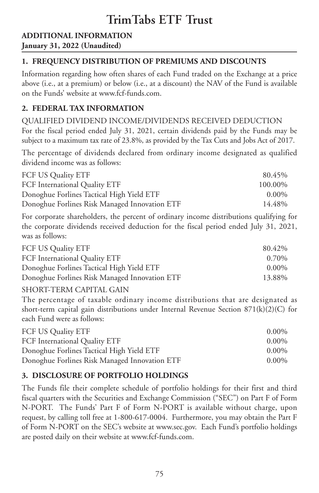# **ADDITIONAL INFORMATION**

## **January 31, 2022 (Unaudited)**

# **1. FREQUENCY DISTRIBUTION OF PREMIUMS AND DISCOUNTS**

Information regarding how often shares of each Fund traded on the Exchange at a price above (i.e., at a premium) or below (i.e., at a discount) the NAV of the Fund is available on the Funds' website at www.fcf-funds.com.

## **2. FEDERAL TAX INFORMATION**

QUALIFIED DIVIDEND INCOME/DIVIDENDS RECEIVED DEDUCTION For the fiscal period ended July 31, 2021, certain dividends paid by the Funds may be subject to a maximum tax rate of 23.8%, as provided by the Tax Cuts and Jobs Act of 2017.

The percentage of dividends declared from ordinary income designated as qualified dividend income was as follows:

| FCF US Quality ETF                            | 80.45%   |
|-----------------------------------------------|----------|
| FCF International Quality ETF                 | 100.00%  |
| Donoghue Forlines Tactical High Yield ETF     | $0.00\%$ |
| Donoghue Forlines Risk Managed Innovation ETF | 14.48%   |

For corporate shareholders, the percent of ordinary income distributions qualifying for the corporate dividends received deduction for the fiscal period ended July 31, 2021, was as follows:

| FCF US Quality ETF                            | 80.42%   |
|-----------------------------------------------|----------|
| FCF International Quality ETF                 | 0.70%    |
| Donoghue Forlines Tactical High Yield ETF     | $0.00\%$ |
| Donoghue Forlines Risk Managed Innovation ETF | 13.88%   |
| SHORT-TERM CAPITAL GAIN                       |          |

The percentage of taxable ordinary income distributions that are designated as short-term capital gain distributions under Internal Revenue Section  $871(k)(2)(C)$  for each Fund were as follows:

| FCF US Quality ETF                            | $0.00\%$ |
|-----------------------------------------------|----------|
| FCF International Quality ETF                 | $0.00\%$ |
| Donoghue Forlines Tactical High Yield ETF     | $0.00\%$ |
| Donoghue Forlines Risk Managed Innovation ETF | $0.00\%$ |

# **3. DISCLOSURE OF PORTFOLIO HOLDINGS**

The Funds file their complete schedule of portfolio holdings for their first and third fiscal quarters with the Securities and Exchange Commission ("SEC") on Part F of Form N-PORT. The Funds' Part F of Form N-PORT is available without charge, upon request, by calling toll free at 1-800-617-0004. Furthermore, you may obtain the Part F of Form N-PORT on the SEC's website at www.sec.gov. Each Fund's portfolio holdings are posted daily on their website at www.fcf-funds.com.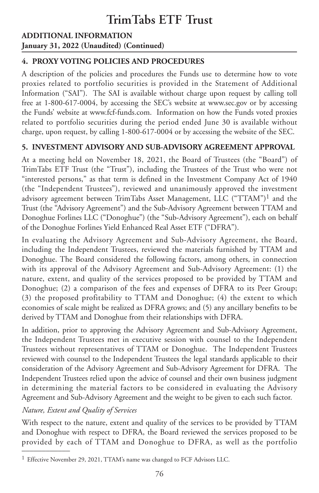## **ADDITIONAL INFORMATION January 31, 2022 (Unaudited) (Continued)**

## **4. PROXY VOTING POLICIES AND PROCEDURES**

A description of the policies and procedures the Funds use to determine how to vote proxies related to portfolio securities is provided in the Statement of Additional Information ("SAI"). The SAI is available without charge upon request by calling toll free at 1-800-617-0004, by accessing the SEC's website at www.sec.gov or by accessing the Funds' website at www.fcf-funds.com. Information on how the Funds voted proxies related to portfolio securities during the period ended June 30 is available without charge, upon request, by calling 1-800-617-0004 or by accessing the website of the SEC.

## **5. INVESTMENT ADVISORY AND SUB-ADVISORY AGREEMENT APPROVAL**

At a meeting held on November 18, 2021, the Board of Trustees (the "Board") of TrimTabs ETF Trust (the "Trust"), including the Trustees of the Trust who were not "interested persons," as that term is defined in the Investment Company Act of 1940 (the "Independent Trustees"), reviewed and unanimously approved the investment advisory agreement between TrimTabs Asset Management, LLC ("TTAM")1 and the Trust (the "Advisory Agreement") and the Sub-Advisory Agreement between TTAM and Donoghue Forlines LLC ("Donoghue") (the "Sub-Advisory Agreement"), each on behalf of the Donoghue Forlines Yield Enhanced Real Asset ETF ("DFRA").

In evaluating the Advisory Agreement and Sub-Advisory Agreement, the Board, including the Independent Trustees, reviewed the materials furnished by TTAM and Donoghue. The Board considered the following factors, among others, in connection with its approval of the Advisory Agreement and Sub-Advisory Agreement: (1) the nature, extent, and quality of the services proposed to be provided by TTAM and Donoghue; (2) a comparison of the fees and expenses of DFRA to its Peer Group; (3) the proposed profitability to TTAM and Donoghue; (4) the extent to which economies of scale might be realized as DFRA grows; and (5) any ancillary benefits to be derived by TTAM and Donoghue from their relationships with DFRA.

In addition, prior to approving the Advisory Agreement and Sub-Advisory Agreement, the Independent Trustees met in executive session with counsel to the Independent Trustees without representatives of TTAM or Donoghue. The Independent Trustees reviewed with counsel to the Independent Trustees the legal standards applicable to their consideration of the Advisory Agreement and Sub-Advisory Agreement for DFRA. The Independent Trustees relied upon the advice of counsel and their own business judgment in determining the material factors to be considered in evaluating the Advisory Agreement and Sub-Advisory Agreement and the weight to be given to each such factor.

## *Nature, Extent and Quality of Services*

With respect to the nature, extent and quality of the services to be provided by TTAM and Donoghue with respect to DFRA, the Board reviewed the services proposed to be provided by each of TTAM and Donoghue to DFRA, as well as the portfolio

<sup>&</sup>lt;sup>1</sup> Effective November 29, 2021, TTAM's name was changed to FCF Advisors LLC.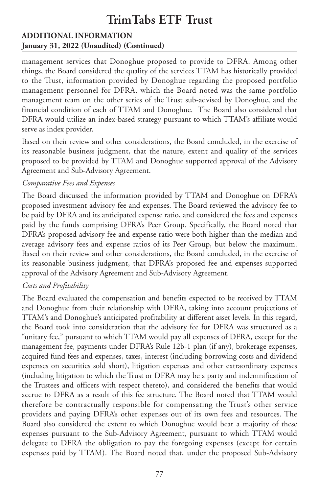### **ADDITIONAL INFORMATION January 31, 2022 (Unaudited) (Continued)**

management services that Donoghue proposed to provide to DFRA. Among other things, the Board considered the quality of the services TTAM has historically provided to the Trust, information provided by Donoghue regarding the proposed portfolio management personnel for DFRA, which the Board noted was the same portfolio management team on the other series of the Trust sub-advised by Donoghue, and the financial condition of each of TTAM and Donoghue. The Board also considered that DFRA would utilize an index-based strategy pursuant to which TTAM's affiliate would serve as index provider.

Based on their review and other considerations, the Board concluded, in the exercise of its reasonable business judgment, that the nature, extent and quality of the services proposed to be provided by TTAM and Donoghue supported approval of the Advisory Agreement and Sub-Advisory Agreement.

### *Comparative Fees and Expenses*

The Board discussed the information provided by TTAM and Donoghue on DFRA's proposed investment advisory fee and expenses. The Board reviewed the advisory fee to be paid by DFRA and its anticipated expense ratio, and considered the fees and expenses paid by the funds comprising DFRA's Peer Group. Specifically, the Board noted that DFRA's proposed advisory fee and expense ratio were both higher than the median and average advisory fees and expense ratios of its Peer Group, but below the maximum. Based on their review and other considerations, the Board concluded, in the exercise of its reasonable business judgment, that DFRA's proposed fee and expenses supported approval of the Advisory Agreement and Sub-Advisory Agreement.

## *Costs and Profitability*

The Board evaluated the compensation and benefits expected to be received by TTAM and Donoghue from their relationship with DFRA, taking into account projections of TTAM's and Donoghue's anticipated profitability at different asset levels. In this regard, the Board took into consideration that the advisory fee for DFRA was structured as a "unitary fee," pursuant to which TTAM would pay all expenses of DFRA, except for the management fee, payments under DFRA's Rule 12b-1 plan (if any), brokerage expenses, acquired fund fees and expenses, taxes, interest (including borrowing costs and dividend expenses on securities sold short), litigation expenses and other extraordinary expenses (including litigation to which the Trust or DFRA may be a party and indemnification of the Trustees and officers with respect thereto), and considered the benefits that would accrue to DFRA as a result of this fee structure. The Board noted that TTAM would therefore be contractually responsible for compensating the Trust's other service providers and paying DFRA's other expenses out of its own fees and resources. The Board also considered the extent to which Donoghue would bear a majority of these expenses pursuant to the Sub-Advisory Agreement, pursuant to which TTAM would delegate to DFRA the obligation to pay the foregoing expenses (except for certain expenses paid by TTAM). The Board noted that, under the proposed Sub-Advisory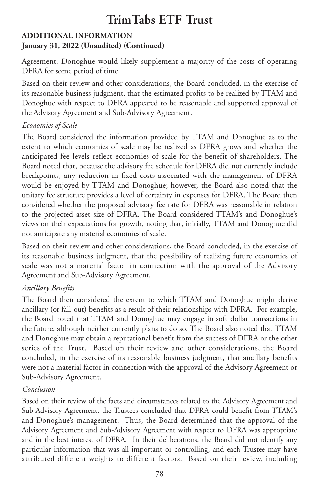## **ADDITIONAL INFORMATION January 31, 2022 (Unaudited) (Continued)**

Agreement, Donoghue would likely supplement a majority of the costs of operating DFRA for some period of time.

Based on their review and other considerations, the Board concluded, in the exercise of its reasonable business judgment, that the estimated profits to be realized by TTAM and Donoghue with respect to DFRA appeared to be reasonable and supported approval of the Advisory Agreement and Sub-Advisory Agreement.

### *Economies of Scale*

The Board considered the information provided by TTAM and Donoghue as to the extent to which economies of scale may be realized as DFRA grows and whether the anticipated fee levels reflect economies of scale for the benefit of shareholders. The Board noted that, because the advisory fee schedule for DFRA did not currently include breakpoints, any reduction in fixed costs associated with the management of DFRA would be enjoyed by TTAM and Donoghue; however, the Board also noted that the unitary fee structure provides a level of certainty in expenses for DFRA. The Board then considered whether the proposed advisory fee rate for DFRA was reasonable in relation to the projected asset size of DFRA. The Board considered TTAM's and Donoghue's views on their expectations for growth, noting that, initially, TTAM and Donoghue did not anticipate any material economies of scale.

Based on their review and other considerations, the Board concluded, in the exercise of its reasonable business judgment, that the possibility of realizing future economies of scale was not a material factor in connection with the approval of the Advisory Agreement and Sub-Advisory Agreement.

## *Ancillary Benefits*

The Board then considered the extent to which TTAM and Donoghue might derive ancillary (or fall-out) benefits as a result of their relationships with DFRA. For example, the Board noted that TTAM and Donoghue may engage in soft dollar transactions in the future, although neither currently plans to do so. The Board also noted that TTAM and Donoghue may obtain a reputational benefit from the success of DFRA or the other series of the Trust. Based on their review and other considerations, the Board concluded, in the exercise of its reasonable business judgment, that ancillary benefits were not a material factor in connection with the approval of the Advisory Agreement or Sub-Advisory Agreement.

## *Conclusion*

Based on their review of the facts and circumstances related to the Advisory Agreement and Sub-Advisory Agreement, the Trustees concluded that DFRA could benefit from TTAM's and Donoghue's management. Thus, the Board determined that the approval of the Advisory Agreement and Sub-Advisory Agreement with respect to DFRA was appropriate and in the best interest of DFRA. In their deliberations, the Board did not identify any particular information that was all-important or controlling, and each Trustee may have attributed different weights to different factors. Based on their review, including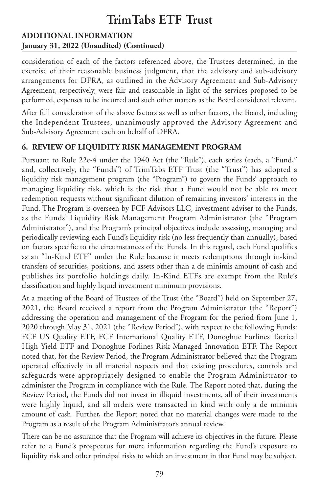## **ADDITIONAL INFORMATION January 31, 2022 (Unaudited) (Continued)**

consideration of each of the factors referenced above, the Trustees determined, in the exercise of their reasonable business judgment, that the advisory and sub-advisory arrangements for DFRA, as outlined in the Advisory Agreement and Sub-Advisory Agreement, respectively, were fair and reasonable in light of the services proposed to be performed, expenses to be incurred and such other matters as the Board considered relevant.

After full consideration of the above factors as well as other factors, the Board, including the Independent Trustees, unanimously approved the Advisory Agreement and Sub-Advisory Agreement each on behalf of DFRA.

### **6. REVIEW OF LIQUIDITY RISK MANAGEMENT PROGRAM**

Pursuant to Rule 22e-4 under the 1940 Act (the "Rule"), each series (each, a "Fund," and, collectively, the "Funds") of TrimTabs ETF Trust (the "Trust") has adopted a liquidity risk management program (the "Program") to govern the Funds' approach to managing liquidity risk, which is the risk that a Fund would not be able to meet redemption requests without significant dilution of remaining investors' interests in the Fund. The Program is overseen by FCF Advisors LLC, investment adviser to the Funds, as the Funds' Liquidity Risk Management Program Administrator (the "Program Administrator"), and the Program's principal objectives include assessing, managing and periodically reviewing each Fund's liquidity risk (no less frequently than annually), based on factors specific to the circumstances of the Funds. In this regard, each Fund qualifies as an "In-Kind ETF" under the Rule because it meets redemptions through in-kind transfers of securities, positions, and assets other than a de minimis amount of cash and publishes its portfolio holdings daily. In-Kind ETFs are exempt from the Rule's classification and highly liquid investment minimum provisions.

At a meeting of the Board of Trustees of the Trust (the "Board") held on September 27, 2021, the Board received a report from the Program Administrator (the "Report") addressing the operation and management of the Program for the period from June 1, 2020 through May 31, 2021 (the "Review Period"), with respect to the following Funds: FCF US Quality ETF, FCF International Quality ETF, Donoghue Forlines Tactical High Yield ETF and Donoghue Forlines Risk Managed Innovation ETF. The Report noted that, for the Review Period, the Program Administrator believed that the Program operated effectively in all material respects and that existing procedures, controls and safeguards were appropriately designed to enable the Program Administrator to administer the Program in compliance with the Rule. The Report noted that, during the Review Period, the Funds did not invest in illiquid investments, all of their investments were highly liquid, and all orders were transacted in kind with only a de minimis amount of cash. Further, the Report noted that no material changes were made to the Program as a result of the Program Administrator's annual review.

There can be no assurance that the Program will achieve its objectives in the future. Please refer to a Fund's prospectus for more information regarding the Fund's exposure to liquidity risk and other principal risks to which an investment in that Fund may be subject.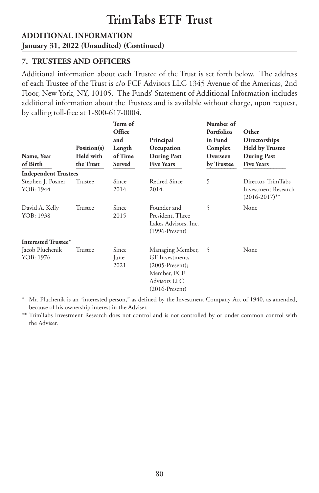### **ADDITIONAL INFORMATION January 31, 2022 (Unaudited) (Continued)**

### **7. TRUSTEES AND OFFICERS**

Additional information about each Trustee of the Trust is set forth below. The address of each Trustee of the Trust is c/o FCF Advisors LLC 1345 Avenue of the Americas, 2nd Floor, New York, NY, 10105. The Funds' Statement of Additional Information includes additional information about the Trustees and is available without charge, upon request, by calling toll-free at 1-800-617-0004.

| Name, Year<br>of Birth         | Position(s)<br>Held with<br>the Trust | Term of<br>Office<br>and<br>Length<br>of Time<br>Served | Principal<br>Occupation<br><b>During Past</b><br><b>Five Years</b>                                                | Number of<br><b>Portfolios</b><br>in Fund<br>Complex<br>Overseen<br>by Trustee | Other<br>Directorships<br><b>Held by Trustee</b><br><b>During Past</b><br><b>Five Years</b> |
|--------------------------------|---------------------------------------|---------------------------------------------------------|-------------------------------------------------------------------------------------------------------------------|--------------------------------------------------------------------------------|---------------------------------------------------------------------------------------------|
| <b>Independent Trustees</b>    |                                       |                                                         |                                                                                                                   |                                                                                |                                                                                             |
| Stephen J. Posner<br>YOB: 1944 | Trustee                               | Since<br>2014                                           | <b>Retired Since</b><br>2014.                                                                                     | 5                                                                              | Director, TrimTabs<br>Investment Research<br>$(2016 - 2017)$ **                             |
| David A. Kelly<br>YOB: 1938    | Trustee                               | Since<br>2015                                           | Founder and<br>President, Three<br>Lakes Advisors, Inc.<br>$(1996-Present)$                                       | 5                                                                              | None                                                                                        |
| Interested Trustee*            |                                       |                                                         |                                                                                                                   |                                                                                |                                                                                             |
| Jacob Pluchenik<br>YOB: 1976   | Trustee                               | Since<br>June<br>2021                                   | Managing Member,<br><b>GF</b> Investments<br>$(2005-Present);$<br>Member, FCF<br>Advisors LLC<br>$(2016-Present)$ | 5                                                                              | None                                                                                        |

\* Mr. Pluchenik is an "interested person," as defined by the Investment Company Act of 1940, as amended, because of his ownership interest in the Adviser.

\*\* TrimTabs Investment Research does not control and is not controlled by or under common control with the Adviser.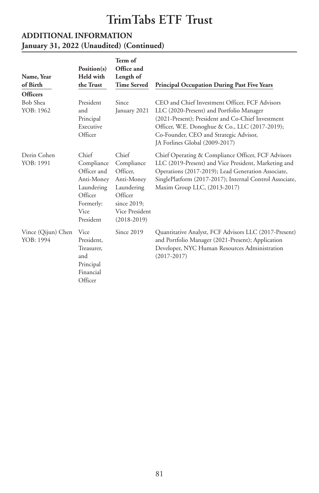### **ADDITIONAL INFORMATION January 31, 2022 (Unaudited) (Continued)**

|                                 |                                                                                                                    | Term of<br>Office and                                                                                                    |                                                                                                                                                                                                                                                                               |
|---------------------------------|--------------------------------------------------------------------------------------------------------------------|--------------------------------------------------------------------------------------------------------------------------|-------------------------------------------------------------------------------------------------------------------------------------------------------------------------------------------------------------------------------------------------------------------------------|
| Name, Year                      | Position(s)<br><b>Held with</b>                                                                                    | Length of                                                                                                                |                                                                                                                                                                                                                                                                               |
| of Birth                        | the Trust                                                                                                          | <b>Time Served</b>                                                                                                       | <b>Principal Occupation During Past Five Years</b>                                                                                                                                                                                                                            |
| <b>Officers</b>                 |                                                                                                                    |                                                                                                                          |                                                                                                                                                                                                                                                                               |
| Bob Shea<br>YOB: 1962           | President<br>and<br>Principal<br>Executive<br>Officer                                                              | Since<br>January 2021                                                                                                    | CEO and Chief Investment Officer, FCF Advisors<br>LLC (2020-Present) and Portfolio Manager<br>(2021-Present); President and Co-Chief Investment<br>Officer, W.E. Donoghue & Co., LLC (2017-2019);<br>Co-Founder, CEO and Strategic Advisor,<br>JA Forlines Global (2009-2017) |
| Derin Cohen<br>YOB: 1991        | Chief<br>Compliance<br>Officer and<br>Anti-Money<br>Laundering<br>Officer<br>Formerly:<br><b>Vice</b><br>President | Chief<br>Compliance<br>Officer.<br>Anti-Money<br>Laundering<br>Officer<br>since 2019;<br>Vice President<br>$(2018-2019)$ | Chief Operating & Compliance Officer, FCF Advisors<br>LLC (2019-Present) and Vice President, Marketing and<br>Operations (2017-2019); Lead Generation Associate,<br>SinglePlatform (2017-2017); Internal Control Associate,<br>Maxim Group LLC, (2013-2017)                   |
| Vince (Qijun) Chen<br>YOB: 1994 | <b>Vice</b><br>President,<br>Treasurer,<br>and<br>Principal<br>Financial<br>Officer                                | Since 2019                                                                                                               | Quantitative Analyst, FCF Advisors LLC (2017-Present)<br>and Portfolio Manager (2021-Present); Application<br>Developer, NYC Human Resources Administration<br>$(2017 - 2017)$                                                                                                |